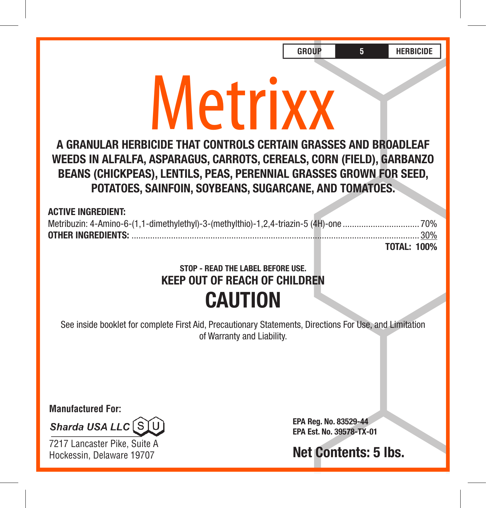# **Metrixx**

**A GRANULAR HERBICIDE THAT CONTROLS CERTAIN GRASSES AND BROADLEAF WEEDS IN ALFALFA, ASPARAGUS, CARROTS, CEREALS, CORN (FIELD), GARBANZO BEANS (CHICKPEAS), LENTILS, PEAS, PERENNIAL GRASSES GROWN FOR SEED, POTATOES, SAINFOIN, SOYBEANS, SUGARCANE, AND TOMATOES.**

| <b>ACTIVE INGREDIENT:</b> |                    |
|---------------------------|--------------------|
|                           |                    |
|                           |                    |
|                           | <b>TOTAL: 100%</b> |

# **STOP - READ THE LABEL BEFORE USE. KEEP OUT OF REACH OF CHILDREN CAUTION**

See inside booklet for complete First Aid, Precautionary Statements, Directions For Use, and Limitation of Warranty and Liability.

**Manufactured For:**

Sharda USA LLC [S]

7217 Lancaster Pike, Suite A Hockessin, Delaware 19707

**EPA Reg. No. 83529-44 EPA Est. No. 39578-TX-01**

**Net Contents: 5 lbs.**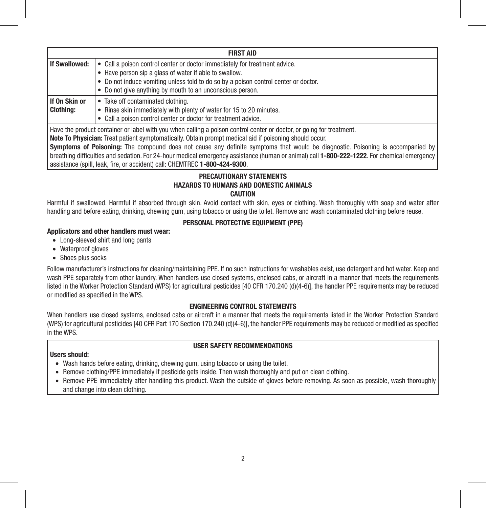| <b>FIRST AID</b>                                                                                                     |                                                                                                                                                                                                                                |  |  |  |  |  |  |
|----------------------------------------------------------------------------------------------------------------------|--------------------------------------------------------------------------------------------------------------------------------------------------------------------------------------------------------------------------------|--|--|--|--|--|--|
| If Swallowed:                                                                                                        | • Call a poison control center or doctor immediately for treatment advice.                                                                                                                                                     |  |  |  |  |  |  |
|                                                                                                                      | • Have person sip a glass of water if able to swallow.                                                                                                                                                                         |  |  |  |  |  |  |
|                                                                                                                      | • Do not induce vomiting unless told to do so by a poison control center or doctor.                                                                                                                                            |  |  |  |  |  |  |
|                                                                                                                      | • Do not give anything by mouth to an unconscious person.                                                                                                                                                                      |  |  |  |  |  |  |
| If On Skin or                                                                                                        | • Take off contaminated clothing.                                                                                                                                                                                              |  |  |  |  |  |  |
| Clothina:                                                                                                            | • Rinse skin immediately with plenty of water for 15 to 20 minutes.                                                                                                                                                            |  |  |  |  |  |  |
|                                                                                                                      | • Call a poison control center or doctor for treatment advice.                                                                                                                                                                 |  |  |  |  |  |  |
| Have the product container or label with you when calling a poison control center or doctor, or going for treatment. |                                                                                                                                                                                                                                |  |  |  |  |  |  |
| Note To Physician: Treat patient symptomatically. Obtain prompt medical aid if poisoning should occur.               |                                                                                                                                                                                                                                |  |  |  |  |  |  |
|                                                                                                                      | <b>Symptoms of Poisoning:</b> The compound does not cause any definite symptoms that would be diagnostic. Poisoning is accompanied by                                                                                          |  |  |  |  |  |  |
|                                                                                                                      | bacables differenties and colories. For 0.4 becaused included concernations of the content of subset of the content of the content of the content of the content of the content of the content of the content of the content o |  |  |  |  |  |  |

breathing difficulties and sedation. For 24-hour medical emergency assistance (human or animal) call **1-800-222-1222**. For chemical emergency assistance (spill, leak, fire, or accident) call: CHEMTREC **1-800-424-9300**.

### **PRECAUTIONARY STATEMENTS HAZARDS TO HUMANS AND DOMESTIC ANIMALS CAUTION**

Harmful if swallowed. Harmful if absorbed through skin. Avoid contact with skin, eyes or clothing. Wash thoroughly with soap and water after handling and before eating, drinking, chewing gum, using tobacco or using the toilet. Remove and wash contaminated clothing before reuse.

### **PERSONAL PROTECTIVE EQUIPMENT (PPE)**

### **Applicators and other handlers must wear:**

- Long-sleeved shirt and long pants
- Waterproof gloves
- Shoes plus socks

Follow manufacturer's instructions for cleaning/maintaining PPE. If no such instructions for washables exist, use detergent and hot water. Keep and wash PPE separately from other laundry. When handlers use closed systems, enclosed cabs, or aircraft in a manner that meets the requirements listed in the Worker Protection Standard (WPS) for agricultural pesticides [40 CFR 170.240 (d)(4-6)], the handler PPE requirements may be reduced or modified as specified in the WPS.

### **ENGINEERING CONTROL STATEMENTS**

When handlers use closed systems, enclosed cabs or aircraft in a manner that meets the requirements listed in the Worker Protection Standard (WPS) for agricultural pesticides [40 CFR Part 170 Section 170.240 (d)(4-6)], the handler PPE requirements may be reduced or modified as specified in the WPS.

### **USER SAFETY RECOMMENDATIONS**

### **Users should:**

- Wash hands before eating, drinking, chewing gum, using tobacco or using the toilet.
- Remove clothing/PPE immediately if pesticide gets inside. Then wash thoroughly and put on clean clothing.
- Remove PPE immediately after handling this product. Wash the outside of gloves before removing. As soon as possible, wash thoroughly and change into clean clothing.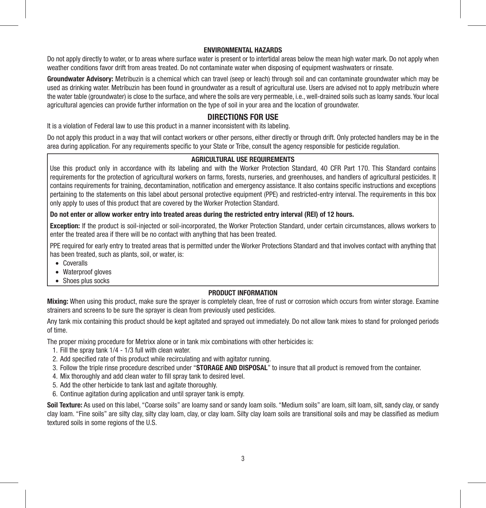### **ENVIRONMENTAL HAZARDS**

Do not apply directly to water, or to areas where surface water is present or to intertidal areas below the mean high water mark. Do not apply when weather conditions favor drift from areas treated. Do not contaminate water when disposing of equipment washwaters or rinsate.

**Groundwater Advisory:** Metribuzin is a chemical which can travel (seep or leach) through soil and can contaminate groundwater which may be used as drinking water. Metribuzin has been found in groundwater as a result of agricultural use. Users are advised not to apply metribuzin where the water table (groundwater) is close to the surface, and where the soils are very permeable, i.e., well-drained soils such as loamy sands. Your local agricultural agencies can provide further information on the type of soil in your area and the location of groundwater.

### **DIRECTIONS FOR USE**

It is a violation of Federal law to use this product in a manner inconsistent with its labeling.

Do not apply this product in a way that will contact workers or other persons, either directly or through drift. Only protected handlers may be in the area during application. For any requirements specific to your State or Tribe, consult the agency responsible for pesticide regulation.

### **AGRICULTURAL USE REQUIREMENTS**

Use this product only in accordance with its labeling and with the Worker Protection Standard, 40 CFR Part 170. This Standard contains requirements for the protection of agricultural workers on farms, forests, nurseries, and greenhouses, and handlers of agricultural pesticides, It contains requirements for training, decontamination, notification and emergency assistance. It also contains specific instructions and exceptions pertaining to the statements on this label about personal protective equipment (PPE) and restricted-entry interval. The requirements in this box only apply to uses of this product that are covered by the Worker Protection Standard.

### **Do not enter or allow worker entry into treated areas during the restricted entry interval (REI) of 12 hours.**

**Exception:** If the product is soil-injected or soil-incorporated, the Worker Protection Standard, under certain circumstances, allows workers to enter the treated area if there will be no contact with anything that has been treated.

PPE required for early entry to treated areas that is permitted under the Worker Protections Standard and that involves contact with anything that has been treated, such as plants, soil, or water, is:

- • Coveralls
- • Waterproof gloves
- Shoes plus socks

### **PRODUCT INFORMATION**

**Mixing:** When using this product, make sure the sprayer is completely clean, free of rust or corrosion which occurs from winter storage. Examine strainers and screens to be sure the sprayer is clean from previously used pesticides.

Any tank mix containing this product should be kept agitated and sprayed out immediately. Do not allow tank mixes to stand for prolonged periods of time.

The proper mixing procedure for Metrixx alone or in tank mix combinations with other herbicides is:

- 1. Fill the spray tank 1/4 1/3 full with clean water.
- 2. Add specified rate of this product while recirculating and with agitator running.
- 3. Follow the triple rinse procedure described under "**STORAGE AND DISPOSAL**" to insure that all product is removed from the container.
- 4. Mix thoroughly and add clean water to fill spray tank to desired level.
- 5. Add the other herbicide to tank last and agitate thoroughly.
- 6. Continue agitation during application and until sprayer tank is empty.

Soil Texture: As used on this label, "Coarse soils" are loamy sand or sandy loam soils. "Medium soils" are loam, silt loam, silt, sandy clay, or sandy clay loam. "Fine soils" are silty clay, silty clay loam, clay, or clay loam. Silty clay loam soils are transitional soils and may be classified as medium textured soils in some regions of the U.S.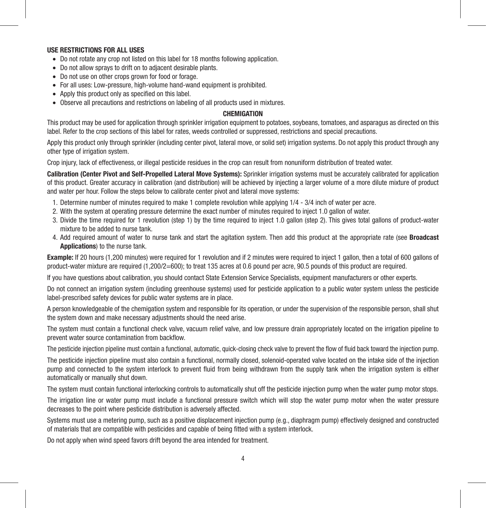### **USE RESTRICTIONS FOR ALL USES**

- Do not rotate any crop not listed on this label for 18 months following application.
- Do not allow sprays to drift on to adjacent desirable plants.
- Do not use on other crops grown for food or forage.
- For all uses: Low-pressure, high-volume hand-wand equipment is prohibited.
- Apply this product only as specified on this label.
- Observe all precautions and restrictions on labeling of all products used in mixtures.

### **CHEMIGATION**

This product may be used for application through sprinkler irrigation equipment to potatoes, soybeans, tomatoes, and asparagus as directed on this label. Refer to the crop sections of this label for rates, weeds controlled or suppressed, restrictions and special precautions.

Apply this product only through sprinkler (including center pivot, lateral move, or solid set) irrigation systems. Do not apply this product through any other type of irrigation system.

Crop injury, lack of effectiveness, or illegal pesticide residues in the crop can result from nonuniform distribution of treated water.

**Calibration (Center Pivot and Self-Propelled Lateral Move Systems):** Sprinkler irrigation systems must be accurately calibrated for application of this product. Greater accuracy in calibration (and distribution) will be achieved by injecting a larger volume of a more dilute mixture of product and water per hour. Follow the steps below to calibrate center pivot and lateral move systems:

- 1. Determine number of minutes required to make 1 complete revolution while applying 1/4 3/4 inch of water per acre.
- 2. With the system at operating pressure determine the exact number of minutes required to inject 1.0 gallon of water.
- 3. Divide the time required for 1 revolution (step 1) by the time required to inject 1.0 gallon (step 2). This gives total gallons of product-water mixture to be added to nurse tank.
- 4. Add required amount of water to nurse tank and start the agitation system. Then add this product at the appropriate rate (see **Broadcast Applications**) to the nurse tank.

**Example:** If 20 hours (1,200 minutes) were required for 1 revolution and if 2 minutes were required to inject 1 gallon, then a total of 600 gallons of product-water mixture are required (1,200/2=600); to treat 135 acres at 0.6 pound per acre, 90.5 pounds of this product are required.

If you have questions about calibration, you should contact State Extension Service Specialists, equipment manufacturers or other experts.

Do not connect an irrigation system (including greenhouse systems) used for pesticide application to a public water system unless the pesticide label-prescribed safety devices for public water systems are in place.

A person knowledgeable of the chemigation system and responsible for its operation, or under the supervision of the responsible person, shall shut the system down and make necessary adjustments should the need arise.

The system must contain a functional check valve, vacuum relief valve, and low pressure drain appropriately located on the irrigation pipeline to prevent water source contamination from backflow.

The pesticide injection pipeline must contain a functional, automatic, quick-closing check valve to prevent the flow of fluid back toward the injection pump.

The pesticide injection pipeline must also contain a functional, normally closed, solenoid-operated valve located on the intake side of the injection pump and connected to the system interlock to prevent fluid from being withdrawn from the supply tank when the irrigation system is either automatically or manually shut down.

The system must contain functional interlocking controls to automatically shut off the pesticide injection pump when the water pump motor stops.

The irrigation line or water pump must include a functional pressure switch which will stop the water pump motor when the water pressure decreases to the point where pesticide distribution is adversely affected.

Systems must use a metering pump, such as a positive displacement injection pump (e.g., diaphragm pump) effectively designed and constructed of materials that are compatible with pesticides and capable of being fitted with a system interlock.

Do not apply when wind speed favors drift beyond the area intended for treatment.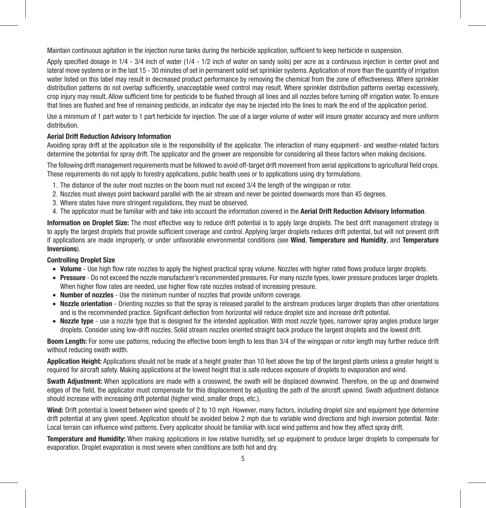Maintain continuous agitation in the injection nurse tanks during the herbicide application, sufficient to keep herbicide in suspension.

Apply specified dosage in 1/4 - 3/4 inch of water (1/4 - 1/2 inch of water on sandy soils) per acre as a continuous injection in center pivot and lateral move systems or in the last 15 - 30 minutes of set in permanent solid set sprinkler systems. Application of more than the quantity of irrigation water listed on this label may result in decreased product performance by removing the chemical from the zone of effectiveness. Where sprinkler distribution patterns do not overlap sufficiently, unacceptable weed control may result. Where sprinkler distribution patterns overlap excessively, crop injury may result. Allow sufficient time for pesticide to be flushed through all lines and all nozzles before turning off irrigation water. To ensure that lines are flushed and free of remaining pesticide, an indicator dye may be injected into the lines to mark the end of the application period.

Use a minimum of 1 part water to 1 part herbicide for injection. The use of a larger volume of water will insure greater accuracy and more uniform distribution.

### **Aerial Drift Reduction Advisory Information**

Avoiding spray drift at the application site is the responsibility of the applicator. The interaction of many equipment- and weather-related factors determine the potential for spray drift. The applicator and the grower are responsible for considering all these factors when making decisions.

The following drift management requirements must be followed to avoid off-target drift movement from aerial applications to agricultural field crops. These requirements do not apply to forestry applications, public health uses or to applications using dry formulations.

- 1. The distance of the outer most nozzles on the boom must not exceed 3/4 the length of the wingspan or rotor.
- 2. Nozzles must always point backward parallel with the air stream and never be pointed downwards more than 45 degrees.
- 3. Where states have more stringent regulations, they must be observed.
- 4. The applicator must be familiar with and take into account the information covered in the **Aerial Drift Reduction Advisory Information**.

**Information on Droplet Size:** The most effective way to reduce drift potential is to apply large droplets. The best drift management strategy is to apply the largest droplets that provide sufficient coverage and control. Applying larger droplets reduces drift potential, but will not prevent drift if applications are made improperly, or under unfavorable environmental conditions (see **Wind**, **Temperature and Humidity**, and **Temperature Inversions**).

### **Controlling Droplet Size**

- • **Volume**  Use high flow rate nozzles to apply the highest practical spray volume. Nozzles with higher rated flows produce larger droplets.
- • **Pressure** Do not exceed the nozzle manufacturer's recommended pressures. For many nozzle types, lower pressure produces larger droplets. When higher flow rates are needed, use higher flow rate nozzles instead of increasing pressure.
- • **Number of nozzles** Use the minimum number of nozzles that provide uniform coverage.
- • **Nozzle orientation** Orienting nozzles so that the spray is released parallel to the airstream produces larger droplets than other orientations and is the recommended practice. Significant deflection from horizontal will reduce droplet size and increase drift potential.
- **Nozzle type** use a nozzle type that is designed for the intended application. With most nozzle types, narrower spray angles produce larger droplets. Consider using low-drift nozzles. Solid stream nozzles oriented straight back produce the largest droplets and the lowest drift.

**Boom Length:** For some use patterns, reducing the effective boom length to less than 3/4 of the wingspan or rotor length may further reduce drift without reducing swath width.

**Application Height:** Applications should not be made at a height greater than 10 feet above the top of the largest plants unless a greater height is required for aircraft safety. Making applications at the lowest height that is safe reduces exposure of droplets to evaporation and wind.

**Swath Adjustment:** When applications are made with a crosswind, the swath will be displaced downwind. Therefore, on the up and downwind edges of the field, the applicator must compensate for this displacement by adjusting the path of the aircraft upwind. Swath adjustment distance should increase with increasing drift potential (higher wind, smaller drops, etc.).

Wind: Drift potential is lowest between wind speeds of 2 to 10 mph. However, many factors, including droplet size and equipment type determine drift potential at any given speed. Application should be avoided below 2 mph due to variable wind directions and high inversion potential. Note: Local terrain can influence wind patterns. Every applicator should be familiar with local wind patterns and how they affect spray drift.

**Temperature and Humidity:** When making applications in low relative humidity, set up equipment to produce larger droplets to compensate for evaporation. Droplet evaporation is most severe when conditions are both hot and dry.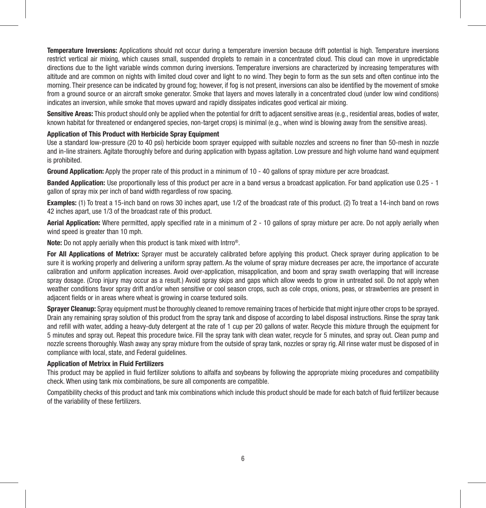**Temperature Inversions:** Applications should not occur during a temperature inversion because drift potential is high. Temperature inversions restrict vertical air mixing, which causes small, suspended droplets to remain in a concentrated cloud. This cloud can move in unpredictable directions due to the light variable winds common during inversions. Temperature inversions are characterized by increasing temperatures with altitude and are common on nights with limited cloud cover and light to no wind. They begin to form as the sun sets and often continue into the morning. Their presence can be indicated by ground fog; however, if fog is not present, inversions can also be identified by the movement of smoke from a ground source or an aircraft smoke generator. Smoke that layers and moves laterally in a concentrated cloud (under low wind conditions) indicates an inversion, while smoke that moves upward and rapidly dissipates indicates good vertical air mixing.

Sensitive Areas: This product should only be applied when the potential for drift to adjacent sensitive areas (e.g., residential areas, bodies of water, known habitat for threatened or endangered species, non-target crops) is minimal (e.g., when wind is blowing away from the sensitive areas).

### **Application of This Product with Herbicide Spray Equipment**

Use a standard low-pressure (20 to 40 psi) herbicide boom sprayer equipped with suitable nozzles and screens no finer than 50-mesh in nozzle and in-line strainers. Agitate thoroughly before and during application with bypass agitation. Low pressure and high volume hand wand equipment is prohibited.

**Ground Application:** Apply the proper rate of this product in a minimum of 10 - 40 gallons of spray mixture per acre broadcast.

**Banded Application:** Use proportionally less of this product per acre in a band versus a broadcast application. For band application use 0.25 - 1 gallon of spray mix per inch of band width regardless of row spacing.

**Examples:** (1) To treat a 15-inch band on rows 30 inches apart, use 1/2 of the broadcast rate of this product. (2) To treat a 14-inch band on rows 42 inches apart, use 1/3 of the broadcast rate of this product.

Aerial Application: Where permitted, apply specified rate in a minimum of 2 - 10 gallons of spray mixture per acre. Do not apply aerially when wind speed is greater than 10 mph.

**Note:** Do not apply aerially when this product is tank mixed with Intrro®.

**For All Applications of Metrixx:** Sprayer must be accurately calibrated before applying this product. Check sprayer during application to be sure it is working properly and delivering a uniform spray pattern. As the volume of spray mixture decreases per acre, the importance of accurate calibration and uniform application increases. Avoid over-application, misapplication, and boom and spray swath overlapping that will increase spray dosage. (Crop injury may occur as a result.) Avoid spray skips and gaps which allow weeds to grow in untreated soil. Do not apply when weather conditions favor spray drift and/or when sensitive or cool season crops, such as cole crops, onions, peas, or strawberries are present in adjacent fields or in areas where wheat is growing in coarse textured soils.

**Sprayer Cleanup:** Spray equipment must be thoroughly cleaned to remove remaining traces of herbicide that might injure other crops to be sprayed. Drain any remaining spray solution of this product from the spray tank and dispose of according to label disposal instructions. Rinse the spray tank and refill with water, adding a heavy-duty detergent at the rate of 1 cup per 20 gallons of water. Recycle this mixture through the equipment for 5 minutes and spray out. Repeat this procedure twice. Fill the spray tank with clean water, recycle for 5 minutes, and spray out. Clean pump and nozzle screens thoroughly. Wash away any spray mixture from the outside of spray tank, nozzles or spray rig. All rinse water must be disposed of in compliance with local, state, and Federal guidelines.

### **Application of Metrixx in Fluid Fertilizers**

This product may be applied in fluid fertilizer solutions to alfalfa and soybeans by following the appropriate mixing procedures and compatibility check. When using tank mix combinations, be sure all components are compatible.

Compatibility checks of this product and tank mix combinations which include this product should be made for each batch of fluid fertilizer because of the variability of these fertilizers.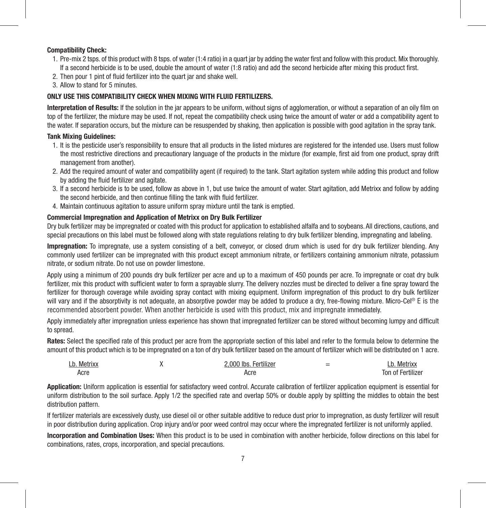### **Compatibility Check:**

- 1. Pre-mix 2 tsps. of this product with 8 tsps. of water (1:4 ratio) in a quart jar by adding the water first and follow with this product. Mix thoroughly. If a second herbicide is to be used, double the amount of water (1:8 ratio) and add the second herbicide after mixing this product first.
- 2. Then pour 1 pint of fluid fertilizer into the quart jar and shake well.
- 3. Allow to stand for 5 minutes.

### **ONLY USE THIS COMPATIBILITY CHECK WHEN MIXING WITH FLUID FERTILIZERS.**

**Interpretation of Results:** If the solution in the jar appears to be uniform, without signs of agglomeration, or without a separation of an oily film on top of the fertilizer, the mixture may be used. If not, repeat the compatibility check using twice the amount of water or add a compatibility agent to the water. If separation occurs, but the mixture can be resuspended by shaking, then application is possible with good agitation in the spray tank.

### **Tank Mixing Guidelines:**

- 1. It is the pesticide user's responsibility to ensure that all products in the listed mixtures are registered for the intended use. Users must follow the most restrictive directions and precautionary language of the products in the mixture (for example, first aid from one product, spray drift management from another).
- 2. Add the required amount of water and compatibility agent (if required) to the tank. Start agitation system while adding this product and follow by adding the fluid fertilizer and agitate.
- 3. If a second herbicide is to be used, follow as above in 1, but use twice the amount of water. Start agitation, add Metrixx and follow by adding the second herbicide, and then continue filling the tank with fluid fertilizer.
- 4. Maintain continuous agitation to assure uniform spray mixture until the tank is emptied.

### **Commercial Impregnation and Application of Metrixx on Dry Bulk Fertilizer**

Dry bulk fertilizer may be impregnated or coated with this product for application to established alfalfa and to soybeans. All directions, cautions, and special precautions on this label must be followed along with state regulations relating to dry bulk fertilizer blending, impregnating and labeling.

**Impregnation:** To impregnate, use a system consisting of a belt, conveyor, or closed drum which is used for dry bulk fertilizer blending. Any commonly used fertilizer can be impregnated with this product except ammonium nitrate, or fertilizers containing ammonium nitrate, potassium nitrate, or sodium nitrate. Do not use on powder limestone.

Apply using a minimum of 200 pounds dry bulk fertilizer per acre and up to a maximum of 450 pounds per acre. To impregnate or coat dry bulk fertilizer, mix this product with sufficient water to form a sprayable slurry. The delivery nozzles must be directed to deliver a fine spray toward the fertilizer for thorough coverage while avoiding spray contact with mixing equipment. Uniform impregnation of this product to dry bulk fertilizer will vary and if the absorptivity is not adequate, an absorptive powder may be added to produce a dry, free-flowing mixture. Micro-Cel® E is the recommended absorbent powder. When another herbicide is used with this product, mix and impregnate immediately.

Apply immediately after impregnation unless experience has shown that impregnated fertilizer can be stored without becoming lumpy and difficult to spread.

**Rates:** Select the specified rate of this product per acre from the appropriate section of this label and refer to the formula below to determine the amount of this product which is to be impregnated on a ton of dry bulk fertilizer based on the amount of fertilizer which will be distributed on 1 acre.

| Lb. Metrixx | 2.000 lbs. Fertilizer | - | Metrixx           |
|-------------|-----------------------|---|-------------------|
| Acre        | Acre                  |   | Ton of Fertilizer |

**Application:** Uniform application is essential for satisfactory weed control. Accurate calibration of fertilizer application equipment is essential for uniform distribution to the soil surface. Apply 1/2 the specified rate and overlap 50% or double apply by splitting the middles to obtain the best distribution pattern.

If fertilizer materials are excessively dusty, use diesel oil or other suitable additive to reduce dust prior to impregnation, as dusty fertilizer will result in poor distribution during application. Crop injury and/or poor weed control may occur where the impregnated fertilizer is not uniformly applied.

**Incorporation and Combination Uses:** When this product is to be used in combination with another herbicide, follow directions on this label for combinations, rates, crops, incorporation, and special precautions.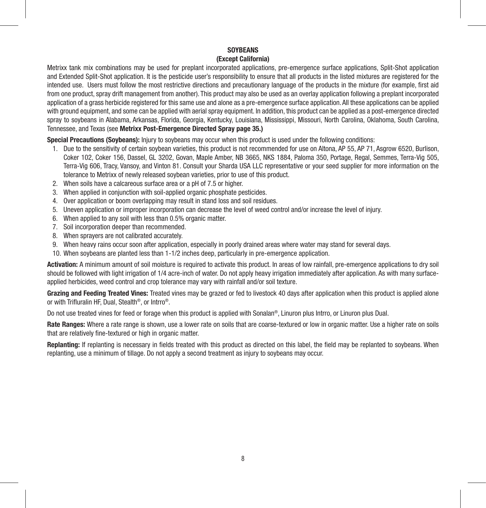### **SOYBEANS**

### **(Except California)**

Metrixx tank mix combinations may be used for preplant incorporated applications, pre-emergence surface applications, Split-Shot application and Extended Split-Shot application. It is the pesticide user's responsibility to ensure that all products in the listed mixtures are registered for the intended use. Users must follow the most restrictive directions and precautionary language of the products in the mixture (for example, first aid from one product, spray drift management from another). This product may also be used as an overlay application following a preplant incorporated application of a grass herbicide registered for this same use and alone as a pre-emergence surface application. All these applications can be applied with ground equipment, and some can be applied with aerial spray equipment. In addition, this product can be applied as a post-emergence directed spray to soybeans in Alabama, Arkansas, Florida, Georgia, Kentucky, Louisiana, Mississippi, Missouri, North Carolina, Oklahoma, South Carolina, Tennessee, and Texas (see **Metrixx Post-Emergence Directed Spray page 35.)**

**Special Precautions (Soybeans):** Injury to soybeans may occur when this product is used under the following conditions:

- 1. Due to the sensitivity of certain soybean varieties, this product is not recommended for use on Altona, AP 55, AP 71, Asgrow 6520, Burlison, Coker 102, Coker 156, Dassel, GL 3202, Govan, Maple Amber, NB 3665, NKS 1884, Paloma 350, Portage, Regal, Semmes, Terra-Vig 505, Terra-Vig 606, Tracy, Vansoy, and Vinton 81. Consult your Sharda USA LLC representative or your seed supplier for more information on the tolerance to Metrixx of newly released soybean varieties, prior to use of this product.
- 2. When soils have a calcareous surface area or a pH of 7.5 or higher.
- 3. When applied in conjunction with soil-applied organic phosphate pesticides.
- 4. Over application or boom overlapping may result in stand loss and soil residues.
- 5. Uneven application or improper incorporation can decrease the level of weed control and/or increase the level of injury.
- 6. When applied to any soil with less than 0.5% organic matter.
- 7. Soil incorporation deeper than recommended.
- 8. When sprayers are not calibrated accurately.
- 9. When heavy rains occur soon after application, especially in poorly drained areas where water may stand for several days.
- 10. When soybeans are planted less than 1-1/2 inches deep, particularly in pre-emergence application.

**Activation:** A minimum amount of soil moisture is required to activate this product. In areas of low rainfall, pre-emergence applications to dry soil should be followed with light irrigation of 1/4 acre-inch of water. Do not apply heavy irrigation immediately after application. As with many surfaceapplied herbicides, weed control and crop tolerance may vary with rainfall and/or soil texture.

Grazing and Feeding Treated Vines: Treated vines may be grazed or fed to livestock 40 days after application when this product is applied alone or with Trifluralin HF, Dual, Stealth®, or Intrro®.

Do not use treated vines for feed or forage when this product is applied with Sonalan®, Linuron plus Intrro, or Linuron plus Dual.

**Rate Ranges:** Where a rate range is shown, use a lower rate on soils that are coarse-textured or low in organic matter. Use a higher rate on soils that are relatively fine-textured or high in organic matter.

**Replanting:** If replanting is necessary in fields treated with this product as directed on this label, the field may be replanted to soybeans. When replanting, use a minimum of tillage. Do not apply a second treatment as injury to soybeans may occur.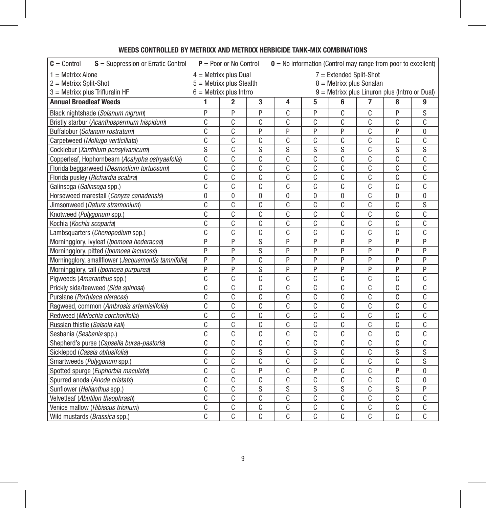| $C =$ Control<br>$S =$ Suppression or Erratic Control | $P =$ Poor or No Control<br>$\mathbf{0}$ = No information (Control may range from poor to excellent) |                            |                         |                |                |                           |                |                                                |                |
|-------------------------------------------------------|------------------------------------------------------------------------------------------------------|----------------------------|-------------------------|----------------|----------------|---------------------------|----------------|------------------------------------------------|----------------|
| $1 =$ Metrixx Alone                                   |                                                                                                      | $4 =$ Metrixx plus Dual    |                         |                |                | $7 =$ Extended Split-Shot |                |                                                |                |
| 2 = Metrixx Split-Shot                                |                                                                                                      | $5$ = Metrixx plus Stealth |                         |                |                | 8 = Metrixx plus Sonalan  |                |                                                |                |
| 3 = Metrixx plus Trifluralin HF                       |                                                                                                      | $6 =$ Metrixx plus Intrro  |                         |                |                |                           |                | 9 = Metrixx plus Linuron plus (Intrro or Dual) |                |
| <b>Annual Broadleaf Weeds</b>                         | 1                                                                                                    | $\overline{2}$             | 3                       | 4              | 5              | 6                         | 7              | 8                                              | 9              |
| Black nightshade (Solanum nigrum)                     | P                                                                                                    | P                          | P                       | C              | P              | C                         | C              | P                                              | S              |
| Bristly starbur (Acanthospermum hispidum)             | C                                                                                                    | C                          | C                       | C              | C              | C                         | C              | C                                              | C              |
| Buffalobur (Solanum rostratum)                        | C                                                                                                    | C                          | P                       | P              | P              | P                         | C              | P                                              | 0              |
| Carpetweed (Mollugo verticillata)                     | C                                                                                                    | C                          | C                       | C              | C              | C                         | C              | C                                              | C              |
| Cocklebur (Xanthium pensylvanicum)                    | S                                                                                                    | C                          | $\overline{s}$          | S              | S              | S                         | C              | S                                              | S              |
| Copperleaf, Hophornbeam (Acalypha ostryaefolia)       | C                                                                                                    | $\overline{c}$             | $\overline{c}$          | $\overline{c}$ | $\overline{c}$ | $\overline{c}$            | $\overline{c}$ | $\overline{C}$                                 | $\overline{c}$ |
| Florida beggarweed (Desmodium tortuosum)              | C                                                                                                    | Ć                          | $\overline{c}$          | C              | C              | C                         | C              | C                                              | C              |
| Florida pusley (Richardia scabra)                     | C                                                                                                    | Ċ                          | C                       | C              | Ċ              | C                         | C              | Ċ                                              | C              |
| Galinsoga (Galinsoga spp.)                            | C                                                                                                    | C                          | C                       | C              | C              | C                         | C              | C                                              | C              |
| Horseweed marestail (Conyza canadensis)               | $\mathbf{0}$                                                                                         | $\mathbf{0}$               | $\mathbf{0}$            | $\mathbf 0$    | 0              | 0                         | C              | 0                                              | $\mathbf 0$    |
| Jimsonweed (Datura stramonium)                        | C                                                                                                    | C                          | C                       | C              | C              | C                         | C              | C                                              | S              |
| Knotweed (Polygonum spp.)                             | C                                                                                                    | C                          | C                       | C              | Ċ              | C                         | C              | C                                              | C              |
| Kochia (Kochia scoparia)                              | $\overline{c}$                                                                                       | C                          | C                       | C              | C              | C                         | C              | C                                              | $\overline{c}$ |
| Lambsquarters (Chenopodium spp.)                      | C                                                                                                    | C                          | C                       | C              | C              | C                         | C              | C                                              | C              |
| Morningglory, ivyleaf (Ipomoea hederacea)             | P                                                                                                    | P                          | S                       | P              | P              | P                         | P              | P                                              | P              |
| Morningglory, pitted (Ipomoea lacunosa)               | $\overline{P}$                                                                                       | $\overline{P}$             | $\overline{\mathbf{s}}$ | P              | $\overline{P}$ | P                         | P              | P                                              | $\overline{P}$ |
| Morningglory, smallflower (Jacquemontia tamnifolia)   | P                                                                                                    | $\overline{P}$             | $\overline{c}$          | $\overline{P}$ | $\overline{P}$ | P                         | P              | $\overline{P}$                                 | $\overline{P}$ |
| Morningglory, tall (Ipomoea purpurea)                 | P                                                                                                    | P                          | S                       | P              | P              | P                         | P              | P                                              | P              |
| Pigweeds (Amaranthus spp.)                            | C                                                                                                    | C                          | C                       | C              | C              | C                         | C              | C                                              | C              |
| Prickly sida/teaweed (Sida spinosa)                   | C                                                                                                    | C                          | $\overline{c}$          | C              | C              | C                         | C              | C                                              | C              |
| Purslane (Portulaca oleracea)                         | C                                                                                                    | C                          | C                       | C              | C              | C                         | C              | C                                              | C              |
| Ragweed, common (Ambrosia artemisiifolia)             | C                                                                                                    | C                          | C                       | C              | C              | C                         | C              | C                                              | C              |
| Redweed (Melochia corchorifolia)                      | $\overline{c}$                                                                                       | C                          | C                       | C              | $\overline{c}$ | C                         | C              | C                                              | $\overline{c}$ |
| Russian thistle (Salsola kali)                        | $\overline{c}$                                                                                       | C                          | $\overline{c}$          | C              | $\overline{c}$ | C                         | $\overline{c}$ | C                                              | $\overline{c}$ |
| Sesbania (Sesbania spp.)                              | C                                                                                                    | C                          | C                       | C              | C              | C                         | C              | C                                              | C              |
| Shepherd's purse (Capsella bursa-pastoris)            | C                                                                                                    | Ċ                          | C                       | C              | Ċ              | C                         | C              | C                                              | C              |
| Sicklepod (Cassia obtusifolia)                        | $\overline{c}$                                                                                       | $\overline{C}$             | $\overline{\mathbf{s}}$ | $\overline{c}$ | $\overline{s}$ | $\overline{c}$            | $\overline{C}$ | $\overline{s}$                                 | $\overline{s}$ |
| Smartweeds (Polygonum spp.)                           | C                                                                                                    | C                          | C                       | C              | C              | C                         | C              | Ć                                              | S              |
| Spotted spurge (Euphorbia maculate)                   | C                                                                                                    | C                          | P                       | C              | P              | C                         | C              | P                                              | 0              |
| Spurred anoda (Anoda cristata)                        | C                                                                                                    | C                          | $\overline{c}$          | C              | C              | C                         | C              | C                                              | 0              |
| Sunflower (Helianthus spp.)                           | $\overline{c}$                                                                                       | C                          | S                       | S              | S              | S                         | C              | S                                              | $\overline{P}$ |
| Velvetleaf (Abutilon theophrasti)                     | C                                                                                                    | C                          | C                       | C              | C              | C                         | C              | C                                              | C              |
| Venice mallow (Hibiscus trionum)                      | C                                                                                                    | C                          | C                       | C              | C              | C                         | C              | C                                              | C              |
| Wild mustards (Brassica spp.)                         | $\overline{c}$                                                                                       | $\overline{C}$             | $\overline{c}$          | $\overline{C}$ | $\overline{C}$ | $\overline{C}$            | $\overline{C}$ | $\overline{C}$                                 | $\overline{c}$ |

### **WEEDS CONTROLLED BY METRIXX AND METRIXX HERBICIDE TANK-MIX COMBINATIONS**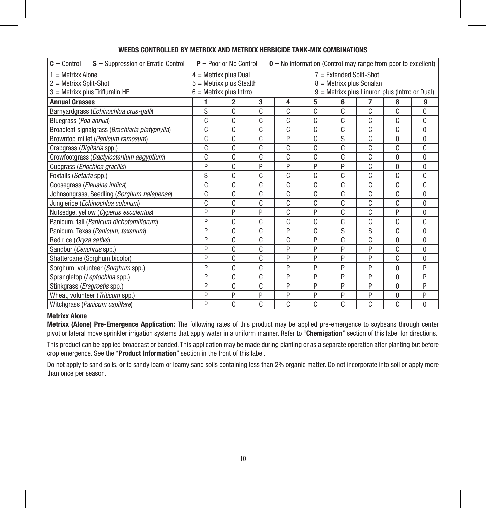| $S =$ Suppression or Erratic Control<br>$C =$ Control | $P =$ Poor or No Control<br>$0 = No$ information (Control may range from poor to excellent) |                           |   |                          |                |                           |                                                |          |          |
|-------------------------------------------------------|---------------------------------------------------------------------------------------------|---------------------------|---|--------------------------|----------------|---------------------------|------------------------------------------------|----------|----------|
| $1 =$ Metrixx Alone                                   | $4 =$ Metrixx plus Dual                                                                     |                           |   |                          |                | $7 =$ Extended Split-Shot |                                                |          |          |
| $2 =$ Metrixx Split-Shot                              | $5 =$ Metrixx plus Stealth                                                                  |                           |   | 8 = Metrixx plus Sonalan |                |                           |                                                |          |          |
| 3 = Metrixx plus Trifluralin HF                       |                                                                                             | $6 =$ Metrixx plus Intrro |   |                          |                |                           | 9 = Metrixx plus Linuron plus (Intrro or Dual) |          |          |
| <b>Annual Grasses</b>                                 |                                                                                             | 2                         | 3 | 4                        | 5              | 6                         |                                                | 8        | 9        |
| Barnyardgrass (Echinochloa crus-galli)                | S                                                                                           | C                         | C | C                        | C              | C                         | C                                              | C        | C        |
| Bluegrass (Poa annua)                                 | C                                                                                           | C                         | C | C                        | C              | C                         | C                                              | C        | C        |
| Broadleaf signalgrass (Brachiaria platyphylla)        | C                                                                                           | C                         | C | C                        | C              | C                         | C                                              | C        | 0        |
| Browntop millet (Panicum ramosum)                     | C                                                                                           | C                         | C | P                        | C              | S                         | C                                              | $\Omega$ | 0        |
| Crabgrass (Digitaria spp.)                            | C                                                                                           | C                         | C | C                        | C              | C                         | C                                              | C        | C        |
| Crowfootgrass (Dactyloctenium aegyptium)              | C                                                                                           | C                         | C | C                        | C              | C                         | C                                              | $\Omega$ | 0        |
| Cupgrass (Eriochloa gracilis)                         | P                                                                                           | C                         | P | P                        | P              | P                         | C                                              | $\Omega$ | 0        |
| Foxtails (Setaria spp.)                               | S                                                                                           | C                         | C | C                        | C              | C                         | C                                              | C        | C        |
| Goosegrass (Eleusine indica)                          | C                                                                                           | C                         | C | C                        | C              | C                         | C                                              | C        | C        |
| Johnsongrass, Seedling (Sorghum halepense)            | C                                                                                           | C                         | C | C                        | C              | C                         | C                                              | C        | $\Omega$ |
| Junglerice (Echinochloa colonum)                      | C                                                                                           | C                         | C | C                        | C              | C                         | C                                              | C        | $\Omega$ |
| Nutsedge, yellow (Cyperus esculentus)                 | P                                                                                           | P                         | P | C                        | $\overline{P}$ | C                         | C                                              | P        | $\Omega$ |
| Panicum, fall (Panicum dichotomiflorum)               | P                                                                                           | C                         | C | C                        | C              | C                         | C                                              | C        | C        |
| Panicum, Texas (Panicum, texanum)                     | P                                                                                           | C                         | C | P                        | C              | S                         | S                                              | C        | 0        |
| Red rice (Oryza sativa)                               | P                                                                                           | C                         | C | C                        | P              | C                         | C                                              | $\Omega$ | 0        |
| Sandbur (Cenchrus spp.)                               | P                                                                                           | C                         | C | P                        | P              | P                         | P                                              | C        | $\Omega$ |
| Shattercane (Sorghum bicolor)                         | P                                                                                           | C                         | C | P                        | P              | P                         | P                                              | C        | 0        |
| Sorghum, volunteer (Sorghum spp.)                     | P                                                                                           | C                         | C | P                        | P              | P                         | P                                              | $\Omega$ | P        |
| Sprangletop (Leptochloa spp.)                         | P                                                                                           | C                         | C | P                        | P              | P                         | P                                              | $\Omega$ | P        |
| Stinkgrass (Eragrostis spp.)                          | P                                                                                           | C                         | C | P                        | P              | P                         | P                                              | $\Omega$ | P        |
| Wheat, volunteer (Triticum spp.)                      | P                                                                                           | P                         | P | P                        | P              | P                         | P                                              | $\Omega$ | P        |
| Witchgrass (Panicum capillare)                        | P                                                                                           | C                         | C | C                        | C              | C                         | C                                              | C        | 0        |

### **WEEDS CONTROLLED BY METRIXX AND METRIXX HERBICIDE TANK-MIX COMBINATIONS**

### **Metrixx Alone**

**Metrixx (Alone) Pre-Emergence Application:** The following rates of this product may be applied pre-emergence to soybeans through center pivot or lateral move sprinkler irrigation systems that apply water in a uniform manner. Refer to "**Chemigation**" section of this label for directions.

This product can be applied broadcast or banded. This application may be made during planting or as a separate operation after planting but before crop emergence. See the "**Product Information**" section in the front of this label.

Do not apply to sand soils, or to sandy loam or loamy sand soils containing less than 2% organic matter. Do not incorporate into soil or apply more than once per season.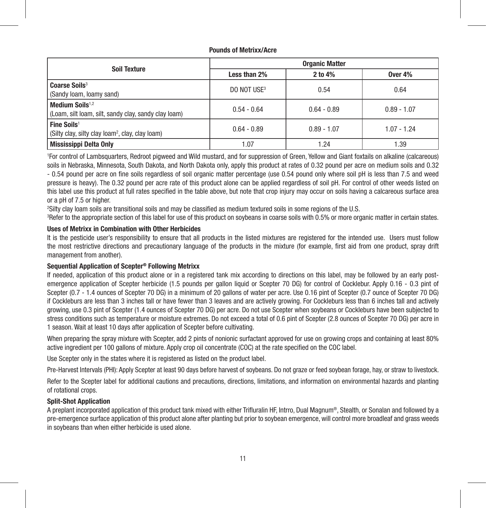| <b>Soil Texture</b>                                                                     | <b>Organic Matter</b>   |               |                |  |  |  |
|-----------------------------------------------------------------------------------------|-------------------------|---------------|----------------|--|--|--|
|                                                                                         | Less than 2%            | 2 to 4%       | <b>Over 4%</b> |  |  |  |
| <b>Coarse Soils<sup>3</sup></b><br>(Sandy Ioam, Ioamy sand)                             | DO NOT USE <sup>3</sup> | 0.54          | 0.64           |  |  |  |
| Medium Soils <sup>1,2</sup><br>(Loam, silt loam, silt, sandy clay, sandy clay loam)     | $0.54 - 0.64$           | $0.64 - 0.89$ | $0.89 - 1.07$  |  |  |  |
| Fine Soils <sup>1</sup><br>(Silty clay, silty clay loam <sup>2</sup> , clay, clay loam) | $0.64 - 0.89$           | $0.89 - 1.07$ | $1.07 - 1.24$  |  |  |  |
| <b>Mississippi Delta Only</b>                                                           | 1.07                    | 1.24          | 1.39           |  |  |  |

### **Pounds of Metrixx/Acre**

1 For control of Lambsquarters, Redroot pigweed and Wild mustard, and for suppression of Green, Yellow and Giant foxtails on alkaline (calcareous) soils in Nebraska, Minnesota, South Dakota, and North Dakota only, apply this product at rates of 0.32 pound per acre on medium soils and 0.32 - 0.54 pound per acre on fine soils regardless of soil organic matter percentage (use 0.54 pound only where soil pH is less than 7.5 and weed pressure is heavy). The 0.32 pound per acre rate of this product alone can be applied regardless of soil pH. For control of other weeds listed on this label use this product at full rates specified in the table above, but note that crop injury may occur on soils having a calcareous surface area or a pH of 7.5 or higher.

2 Silty clay loam soils are transitional soils and may be classified as medium textured soils in some regions of the U.S.

3 Refer to the appropriate section of this label for use of this product on soybeans in coarse soils with 0.5% or more organic matter in certain states.

### **Uses of Metrixx in Combination with Other Herbicides**

It is the pesticide user's responsibility to ensure that all products in the listed mixtures are registered for the intended use. Users must follow the most restrictive directions and precautionary language of the products in the mixture (for example, first aid from one product, spray drift management from another).

### **Sequential Application of Scepter® Following Metrixx**

If needed, application of this product alone or in a registered tank mix according to directions on this label, may be followed by an early postemergence application of Scepter herbicide (1.5 pounds per gallon liquid or Scepter 70 DG) for control of Cocklebur. Apply 0.16 - 0.3 pint of Scepter (0.7 - 1.4 ounces of Scepter 70 DG) in a minimum of 20 gallons of water per acre. Use 0.16 pint of Scepter (0.7 ounce of Scepter 70 DG) if Cockleburs are less than 3 inches tall or have fewer than 3 leaves and are actively growing. For Cockleburs less than 6 inches tall and actively growing, use 0.3 pint of Scepter (1.4 ounces of Scepter 70 DG) per acre. Do not use Scepter when soybeans or Cockleburs have been subjected to stress conditions such as temperature or moisture extremes. Do not exceed a total of 0.6 pint of Scepter (2.8 ounces of Scepter 70 DG) per acre in 1 season. Wait at least 10 days after application of Scepter before cultivating.

When preparing the spray mixture with Scepter, add 2 pints of nonionic surfactant approved for use on growing crops and containing at least 80% active ingredient per 100 gallons of mixture. Apply crop oil concentrate (COC) at the rate specified on the COC label.

Use Scepter only in the states where it is registered as listed on the product label.

Pre-Harvest Intervals (PHI): Apply Scepter at least 90 days before harvest of soybeans. Do not graze or feed soybean forage, hay, or straw to livestock.

Refer to the Scepter label for additional cautions and precautions, directions, limitations, and information on environmental hazards and planting of rotational crops.

### **Split-Shot Application**

A preplant incorporated application of this product tank mixed with either Trifluralin HF, Intrro, Dual Magnum®, Stealth, or Sonalan and followed by a pre-emergence surface application of this product alone after planting but prior to soybean emergence, will control more broadleaf and grass weeds in soybeans than when either herbicide is used alone.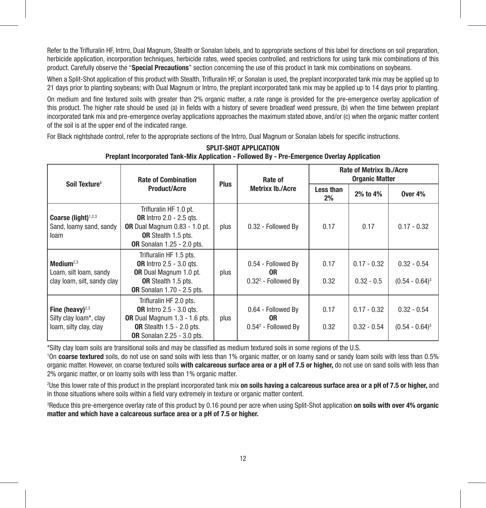Refer to the Trifluralin HF, Intrro, Dual Magnum, Stealth or Sonalan labels, and to appropriate sections of this label for directions on soil preparation, herbicide application, incorporation techniques, herbicide rates, weed species controlled, and restrictions for using tank mix combinations of this product. Carefully observe the "**Special Precautions**" section concerning the use of this product in tank mix combinations on soybeans.

When a Split-Shot application of this product with Stealth, Trifluralin HF, or Sonalan is used, the preplant incorporated tank mix may be applied up to 21 days prior to planting soybeans; with Dual Magnum or Intrro, the preplant incorporated tank mix may be applied up to 14 days prior to planting.

On medium and fine textured soils with greater than 2% organic matter, a rate range is provided for the pre-emergence overlay application of this product. The higher rate should be used (a) in fields with a history of severe broadleaf weed pressure, (b) when the time between preplant incorporated tank mix and pre-emergence overlay applications approaches the maximum stated above, and/or (c) when the organic matter content of the soil is at the upper end of the indicated range.

For Black nightshade control, refer to the appropriate sections of the Intrro, Dual Magnum or Sonalan labels for specific instructions.

| Soil Texture <sup>1</sup>                                                      | <b>Rate of Combination</b>                                                                                                                                           | Plus | Rate of                                                     | <b>Rate of Metrixx Ib./Acre</b><br><b>Organic Matter</b> |                                |                                    |  |
|--------------------------------------------------------------------------------|----------------------------------------------------------------------------------------------------------------------------------------------------------------------|------|-------------------------------------------------------------|----------------------------------------------------------|--------------------------------|------------------------------------|--|
|                                                                                | <b>Product/Acre</b>                                                                                                                                                  |      | <b>Metrixx Ib./Acre</b>                                     |                                                          | 2% to 4%                       | <b>Over 4%</b>                     |  |
| Coarse (light) <sup>1,2,3</sup><br>Sand, loamy sand, sandy<br>loam             | Trifluralin HF 1.0 pt.<br><b>OR</b> Intrro 2.0 - 2.5 gts.<br><b>OR</b> Dual Magnum 0.83 - 1.0 pt.<br>OR Stealth 1.5 pts.<br><b>OR</b> Sonalan 1.25 - 2.0 pts.        | plus | 0.32 - Followed By                                          | 0.17                                                     | 0.17                           | $0.17 - 0.32$                      |  |
| Medium <sup>2,3</sup><br>Loam, silt loam, sandy<br>clay loam, silt, sandy clay | Trifluralin HF 1.5 pts.<br><b>OR</b> Intrro 2.5 - 3.0 ats.<br>OR Dual Magnum 1.0 pt.<br>OR Stealth 1.5 pts.<br><b>OR</b> Sonalan 1.70 - 2.5 pts.                     | plus | 0.54 - Followed By<br>0R<br>$0.32^2$ - Followed By          | 0.17<br>0.32                                             | $0.17 - 0.32$<br>$0.32 - 0.5$  | $0.32 - 0.54$<br>$(0.54 - 0.64)^3$ |  |
| Fine (heavy) $2,3$<br>Silty clay loam*, clay<br>loam, silty clay, clay         | Trifluralin HF 2.0 pts.<br><b>OR</b> Intrro 2.5 - 3.0 gts.<br>OR Dual Magnum 1.3 - 1.6 pts.<br><b>OR</b> Stealth 1.5 - 2.0 pts.<br><b>OR</b> Sonalan 2.25 - 3.0 pts. | plus | 0.64 - Followed By<br>0R<br>0.54 <sup>2</sup> - Followed By | 0.17<br>0.32                                             | $0.17 - 0.32$<br>$0.32 - 0.54$ | $0.32 - 0.54$<br>$(0.54 - 0.64)^3$ |  |

### **SPLIT-SHOT APPLICATION Preplant Incorporated Tank-Mix Application - Followed By - Pre-Emergence Overlay Application**

\*Silty clay loam soils are transitional soils and may be classified as medium textured soils in some regions of the U.S.

<sup>1</sup>On coarse textured soils, do not use on sand soils with less than 1% organic matter, or on loamy sand or sandy loam soils with less than 0.5% organic matter. However, on coarse textured soils **with calcareous surface area or a pH of 7.5 or higher,** do not use on sand soils with less than 2% organic matter, or on loamy soils with less than 1% organic matter.

2 Use this lower rate of this product in the preplant incorporated tank mix **on soils having a calcareous surface area or a pH of 7.5 or higher,** and in those situations where soils within a field vary extremely in texture or organic matter content.

3 Reduce this pre-emergence overlay rate of this product by 0.16 pound per acre when using Split-Shot application **on soils with over 4% organic matter and which have a calcareous surface area or a pH of 7.5 or higher.**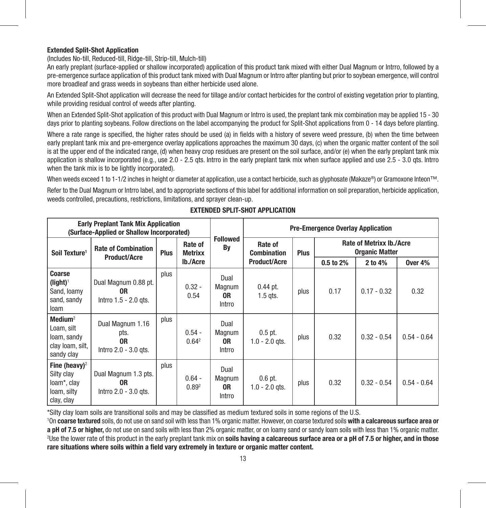### **Extended Split-Shot Application**

(Includes No-till, Reduced-till, Ridge-till, Strip-till, Mulch-till)

An early preplant (surface-applied or shallow incorporated) application of this product tank mixed with either Dual Magnum or Intrro, followed by a pre-emergence surface application of this product tank mixed with Dual Magnum or Intrro after planting but prior to soybean emergence, will control more broadleaf and grass weeds in soybeans than either herbicide used alone.

An Extended Split-Shot application will decrease the need for tillage and/or contact herbicides for the control of existing vegetation prior to planting, while providing residual control of weeds after planting.

When an Extended Split-Shot application of this product with Dual Magnum or Intrro is used, the preplant tank mix combination may be applied 15 - 30 days prior to planting soybeans. Follow directions on the label accompanying the product for Split-Shot applications from 0 - 14 days before planting.

Where a rate range is specified, the higher rates should be used (a) in fields with a history of severe weed pressure, (b) when the time between early preplant tank mix and pre-emergence overlay applications approaches the maximum 30 days, (c) when the organic matter content of the soil is at the upper end of the indicated range, (d) when heavy crop residues are present on the soil surface, and/or (e) when the early preplant tank mix application is shallow incorporated (e.g., use 2.0 - 2.5 gts. Intrro in the early preplant tank mix when surface applied and use 2.5 - 3.0 gts. Intrro when the tank mix is to be lightly incorporated).

When weeds exceed 1 to 1-1/2 inches in height or diameter at application, use a contact herbicide, such as glyphosate (Makaze®) or Gramoxone Inteon™.

Refer to the Dual Magnum or Intrro label, and to appropriate sections of this label for additional information on soil preparation, herbicide application, weeds controlled, precautions, restrictions, limitations, and sprayer clean-up.

|                                                                                     | <b>Early Preplant Tank Mix Application</b><br>(Surface-Applied or Shallow Incorporated) |      |                               | <b>Pre-Emergence Overlay Application</b> |                               |      |                                                          |               |                |
|-------------------------------------------------------------------------------------|-----------------------------------------------------------------------------------------|------|-------------------------------|------------------------------------------|-------------------------------|------|----------------------------------------------------------|---------------|----------------|
| Soil Texture <sup>1</sup>                                                           | <b>Rate of Combination</b><br><b>Product/Acre</b>                                       | Plus | Rate of<br><b>Metrixx</b>     | <b>Followed</b><br>By                    | Rate of<br>Combination        |      | <b>Rate of Metrixx Ib./Acre</b><br><b>Organic Matter</b> |               |                |
|                                                                                     |                                                                                         |      | lb./Acre                      |                                          | <b>Product/Acre</b>           |      | 0.5 to 2%                                                | 2 to 4%       | <b>Over 4%</b> |
| Coarse<br>$(light)^{1}$<br>Sand, Ioamy<br>sand, sandy<br>loam                       | Dual Magnum 0.88 pt.<br>0R<br>Intrro 1.5 - 2.0 ats.                                     | plus | $0.32 -$<br>0.54              | Dual<br>Magnum<br>0R<br>Intrro           | $0.44$ pt.<br>$1.5$ gts.      | plus | 0.17                                                     | $0.17 - 0.32$ | 0.32           |
| Medium <sup>2</sup><br>Loam, silt<br>loam, sandy<br>clay loam, silt,<br>sandy clay  | Dual Magnum 1.16<br>pts.<br>0R<br>Intrro 2.0 - 3.0 ats.                                 | plus | $0.54 -$<br>0.64 <sup>2</sup> | Dual<br>Magnum<br>0R<br>Intrro           | $0.5$ pt.<br>$1.0 - 2.0$ ats. | plus | 0.32                                                     | $0.32 - 0.54$ | $0.54 - 0.64$  |
| Fine (heavy) <sup>2</sup><br>Silty clay<br>loam*, clay<br>loam, silty<br>clay, clay | Dual Magnum 1.3 pts.<br>0R<br>Intrro 2.0 - 3.0 gts.                                     | plus | $0.64 -$<br>0.89 <sup>2</sup> | Dual<br>Magnum<br>0R<br>Intrro           | $0.6$ pt.<br>$1.0 - 2.0$ gts. | plus | 0.32                                                     | $0.32 - 0.54$ | $0.54 - 0.64$  |

### **EXTENDED SPLIT-SHOT APPLICATION**

\*Silty clay loam soils are transitional soils and may be classified as medium textured soils in some regions of the U.S.

1 On **coarse textured** soils, do not use on sand soil with less than 1% organic matter. However, on coarse textured soils **with a calcareous surface area or a pH of 7.5 or higher,** do not use on sand soils with less than 2% organic matter, or on loamy sand or sandy loam soils with less than 1% organic matter. 2 Use the lower rate of this product in the early preplant tank mix on **soils having a calcareous surface area or a pH of 7.5 or higher, and in those rare situations where soils within a field vary extremely in texture or organic matter content.**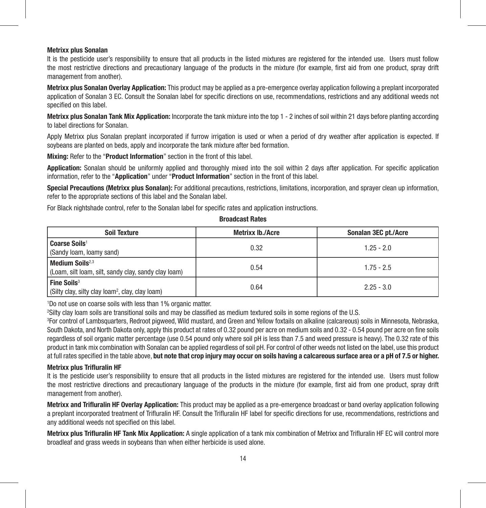### **Metrixx plus Sonalan**

It is the pesticide user's responsibility to ensure that all products in the listed mixtures are registered for the intended use. Users must follow the most restrictive directions and precautionary language of the products in the mixture (for example, first aid from one product, spray drift management from another).

**Metrixx plus Sonalan Overlay Application:** This product may be applied as a pre-emergence overlay application following a preplant incorporated application of Sonalan 3 EC. Consult the Sonalan label for specific directions on use, recommendations, restrictions and any additional weeds not specified on this label.

**Metrixx plus Sonalan Tank Mix Application:** Incorporate the tank mixture into the top 1 - 2 inches of soil within 21 days before planting according to label directions for Sonalan.

Apply Metrixx plus Sonalan preplant incorporated if furrow irrigation is used or when a period of dry weather after application is expected. If soybeans are planted on beds, apply and incorporate the tank mixture after bed formation.

**Mixing:** Refer to the "**Product Information**" section in the front of this label.

**Application:** Sonalan should be uniformly applied and thoroughly mixed into the soil within 2 days after application. For specific application information, refer to the "**Application**" under "**Product Information**" section in the front of this label.

**Special Precautions (Metrixx plus Sonalan):** For additional precautions, restrictions, limitations, incorporation, and sprayer clean up information, refer to the appropriate sections of this label and the Sonalan label.

For Black nightshade control, refer to the Sonalan label for specific rates and application instructions.

### **Broadcast Rates**

| <b>Soil Texture</b>                                                                     | Metrixx Ib./Acre | Sonalan 3EC pt./Acre |
|-----------------------------------------------------------------------------------------|------------------|----------------------|
| Coarse Soils <sup>1</sup><br>(Sandy Ioam, Ioamy sand)                                   | 0.32             | $1.25 - 2.0$         |
| Medium Soils <sup>2,3</sup><br>(Loam, silt loam, silt, sandy clay, sandy clay loam)     | 0.54             | $1.75 - 2.5$         |
| Fine Soils <sup>3</sup><br>(Silty clay, silty clay loam <sup>2</sup> , clay, clay loam) | 0.64             | $2.25 - 3.0$         |

1 Do not use on coarse soils with less than 1% organic matter.

2 Silty clay loam soils are transitional soils and may be classified as medium textured soils in some regions of the U.S.

3 For control of Lambsquarters, Redroot pigweed, Wild mustard, and Green and Yellow foxtails on alkaline (calcareous) soils in Minnesota, Nebraska, South Dakota, and North Dakota only, apply this product at rates of 0.32 pound per acre on medium soils and 0.32 - 0.54 pound per acre on fine soils regardless of soil organic matter percentage (use 0.54 pound only where soil pH is less than 7.5 and weed pressure is heavy). The 0.32 rate of this product in tank mix combination with Sonalan can be applied regardless of soil pH. For control of other weeds not listed on the label, use this product at full rates specified in the table above, **but note that crop injury may occur on soils having a calcareous surface area or a pH of 7.5 or higher.**

### **Metrixx plus Trifluralin HF**

It is the pesticide user's responsibility to ensure that all products in the listed mixtures are registered for the intended use. Users must follow the most restrictive directions and precautionary language of the products in the mixture (for example, first aid from one product, spray drift management from another).

**Metrixx and Trifluralin HF Overlay Application:** This product may be applied as a pre-emergence broadcast or band overlay application following a preplant incorporated treatment of Trifluralin HF. Consult the Trifluralin HF label for specific directions for use, recommendations, restrictions and any additional weeds not specified on this label.

**Metrixx plus Trifluralin HF Tank Mix Application:** A single application of a tank mix combination of Metrixx and Trifluralin HF EC will control more broadleaf and grass weeds in soybeans than when either herbicide is used alone.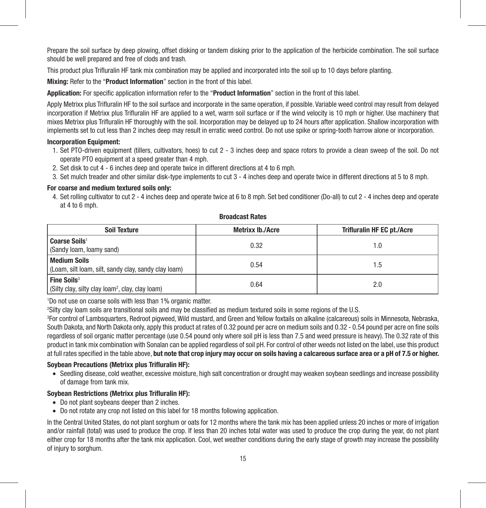Prepare the soil surface by deep plowing, offset disking or tandem disking prior to the application of the herbicide combination. The soil surface should be well prepared and free of clods and trash.

This product plus Trifluralin HF tank mix combination may be applied and incorporated into the soil up to 10 days before planting.

**Mixing:** Refer to the "**Product Information**" section in the front of this label.

**Application:** For specific application information refer to the "**Product Information**" section in the front of this label.

Apply Metrixx plus Trifluralin HF to the soil surface and incorporate in the same operation, if possible. Variable weed control may result from delayed incorporation if Metrixx plus Trifluralin HF are applied to a wet, warm soil surface or if the wind velocity is 10 mph or higher. Use machinery that mixes Metrixx plus Trifluralin HF thoroughly with the soil. Incorporation may be delayed up to 24 hours after application. Shallow incorporation with implements set to cut less than 2 inches deep may result in erratic weed control. Do not use spike or spring-tooth harrow alone or incorporation.

### **Incorporation Equipment:**

- 1. Set PTO-driven equipment (tillers, cultivators, hoes) to cut 2 3 inches deep and space rotors to provide a clean sweep of the soil. Do not operate PTO equipment at a speed greater than 4 mph.
- 2. Set disk to cut 4 6 inches deep and operate twice in different directions at 4 to 6 mph.
- 3. Set mulch treader and other similar disk-type implements to cut 3 4 inches deep and operate twice in different directions at 5 to 8 mph.

### **For coarse and medium textured soils only:**

4. Set rolling cultivator to cut 2 - 4 inches deep and operate twice at 6 to 8 mph. Set bed conditioner (Do-all) to cut 2 - 4 inches deep and operate at 4 to 6 mph.

### **Broadcast Rates**

| <b>Soil Texture</b>                                                                     | <b>Metrixx Ib./Acre</b> | <b>Trifluralin HF EC pt./Acre</b> |
|-----------------------------------------------------------------------------------------|-------------------------|-----------------------------------|
| Coarse Soils <sup>1</sup><br>(Sandy loam, loamy sand)                                   | 0.32                    | 0. ا                              |
| <b>Medium Soils</b><br>(Loam, silt loam, silt, sandy clay, sandy clay loam)             | 0.54                    | .5                                |
| Fine Soils <sup>3</sup><br>(Silty clay, silty clay loam <sup>2</sup> , clay, clay loam) | 0.64                    | 2.0                               |

1 Do not use on coarse soils with less than 1% organic matter.

2 Silty clay loam soils are transitional soils and may be classified as medium textured soils in some regions of the U.S.

3 For control of Lambsquarters, Redroot pigweed, Wild mustard, and Green and Yellow foxtails on alkaline (calcareous) soils in Minnesota, Nebraska, South Dakota, and North Dakota only, apply this product at rates of 0.32 pound per acre on medium soils and 0.32 - 0.54 pound per acre on fine soils regardless of soil organic matter percentage (use 0.54 pound only where soil pH is less than 7.5 and weed pressure is heavy). The 0.32 rate of this product in tank mix combination with Sonalan can be applied regardless of soil pH. For control of other weeds not listed on the label, use this product at full rates specified in the table above, **but note that crop injury may occur on soils having a calcareous surface area or a pH of 7.5 or higher.**

### **Soybean Precautions (Metrixx plus Trifluralin HF):**

• Seedling disease, cold weather, excessive moisture, high salt concentration or drought may weaken soybean seedlings and increase possibility of damage from tank mix.

### **Soybean Restrictions (Metrixx plus Trifluralin HF):**

- Do not plant soybeans deeper than 2 inches.
- Do not rotate any crop not listed on this label for 18 months following application.

In the Central United States, do not plant sorghum or oats for 12 months where the tank mix has been applied unless 20 inches or more of irrigation and/or rainfall (total) was used to produce the crop. If less than 20 inches total water was used to produce the crop during the year, do not plant either crop for 18 months after the tank mix application. Cool, wet weather conditions during the early stage of growth may increase the possibility of injury to sorghum.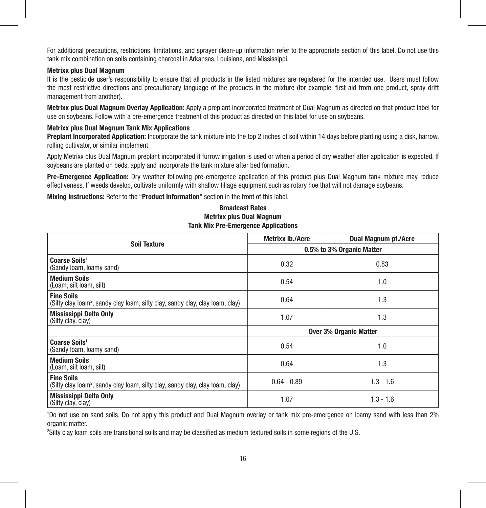For additional precautions, restrictions, limitations, and sprayer clean-up information refer to the appropriate section of this label. Do not use this tank mix combination on soils containing charcoal in Arkansas, Louisiana, and Mississippi.

### **Metrixx plus Dual Magnum**

It is the pesticide user's responsibility to ensure that all products in the listed mixtures are registered for the intended use. Users must follow the most restrictive directions and precautionary language of the products in the mixture (for example, first aid from one product, spray drift management from another).

**Metrixx plus Dual Magnum Overlay Application:** Apply a preplant incorporated treatment of Dual Magnum as directed on that product label for use on soybeans. Follow with a pre-emergence treatment of this product as directed on this label for use on soybeans.

### **Metrixx plus Dual Magnum Tank Mix Applications**

**Preplant Incorporated Application:** Incorporate the tank mixture into the top 2 inches of soil within 14 days before planting using a disk, harrow, rolling cultivator, or similar implement.

Apply Metrixx plus Dual Magnum preplant incorporated if furrow irrigation is used or when a period of dry weather after application is expected. If soybeans are planted on beds, apply and incorporate the tank mixture after bed formation.

**Pre-Emergence Application:** Dry weather following pre-emergence application of this product plus Dual Magnum tank mixture may reduce effectiveness. If weeds develop, cultivate uniformly with shallow tillage equipment such as rotary hoe that will not damage soybeans.

**Mixing Instructions:** Refer to the "**Product Information**" section in the front of this label.

### **Broadcast Rates Metrixx plus Dual Magnum Tank Mix Pre-Emergence Applications**

| <b>Soil Texture</b>                                                                                            | <b>Metrixx Ib./Acre</b>       | Dual Magnum pt./Acre |  |  |
|----------------------------------------------------------------------------------------------------------------|-------------------------------|----------------------|--|--|
|                                                                                                                | 0.5% to 3% Organic Matter     |                      |  |  |
| Coarse Soils <sup>1</sup><br>(Sandy Ioam, Ioamy sand)                                                          | 0.32                          | 0.83                 |  |  |
| <b>Medium Soils</b><br>(Loam, silt loam, silt)                                                                 | 0.54                          | 1.0                  |  |  |
| <b>Fine Soils</b><br>(Silty clay loam <sup>2</sup> , sandy clay loam, silty clay, sandy clay, clay loam, clay) | 0.64                          | 1.3                  |  |  |
| <b>Mississippi Delta Only</b><br>(Silty clay, clay)                                                            | 1.07                          | 1.3                  |  |  |
|                                                                                                                | <b>Over 3% Organic Matter</b> |                      |  |  |
| Coarse Soils <sup>1</sup><br>(Sandy Ioam, Ioamy sand)                                                          | 0.54                          | 1.0                  |  |  |
| <b>Medium Soils</b><br>(Loam, silt loam, silt)                                                                 | 0.64                          | 1.3                  |  |  |
| <b>Fine Soils</b><br>(Silty clay loam <sup>2</sup> , sandy clay loam, silty clay, sandy clay, clay loam, clay) | $0.64 - 0.89$                 | $1.3 - 1.6$          |  |  |
| <b>Mississippi Delta Only</b><br>(Silty clay, clay)                                                            | 1.07                          | $1.3 - 1.6$          |  |  |

1 Do not use on sand soils. Do not apply this product and Dual Magnum overlay or tank mix pre-emergence on loamy sand with less than 2% organic matter.

2 Silty clay loam soils are transitional soils and may be classified as medium textured soils in some regions of the U.S.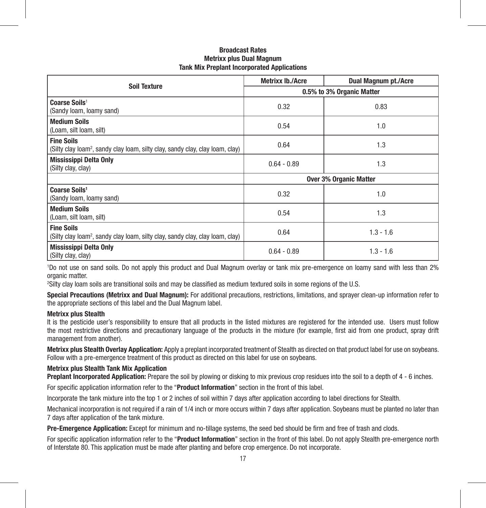### **Broadcast Rates Metrixx plus Dual Magnum Tank Mix Preplant Incorporated Applications**

| <b>Soil Texture</b>                                                                                            | <b>Metrixx Ib./Acre</b>       | Dual Magnum pt./Acre |  |  |
|----------------------------------------------------------------------------------------------------------------|-------------------------------|----------------------|--|--|
|                                                                                                                | 0.5% to 3% Organic Matter     |                      |  |  |
| Coarse Soils <sup>1</sup><br>(Sandy Ioam, Ioamy sand)                                                          | 0.32                          | 0.83                 |  |  |
| <b>Medium Soils</b><br>(Loam, silt loam, silt)                                                                 | 0.54                          | 1.0                  |  |  |
| <b>Fine Soils</b><br>(Silty clay loam <sup>2</sup> , sandy clay loam, silty clay, sandy clay, clay loam, clay) | 0.64                          | 1.3                  |  |  |
| <b>Mississippi Delta Only</b><br>(Silty clay, clay)                                                            | $0.64 - 0.89$                 | 1.3                  |  |  |
|                                                                                                                | <b>Over 3% Organic Matter</b> |                      |  |  |
| Coarse Soils <sup>1</sup><br>(Sandy Ioam, Ioamy sand)                                                          | 0.32                          | 1.0                  |  |  |
| <b>Medium Soils</b><br>(Loam, silt loam, silt)                                                                 | 0.54                          | 1.3                  |  |  |
| <b>Fine Soils</b><br>(Silty clay loam <sup>2</sup> , sandy clay loam, silty clay, sandy clay, clay loam, clay) | 0.64                          | $1.3 - 1.6$          |  |  |
| Mississippi Delta Only<br>(Silty clay, clay)                                                                   | $0.64 - 0.89$                 | $1.3 - 1.6$          |  |  |

1 Do not use on sand soils. Do not apply this product and Dual Magnum overlay or tank mix pre-emergence on loamy sand with less than 2% organic matter.

2 Silty clay loam soils are transitional soils and may be classified as medium textured soils in some regions of the U.S.

**Special Precautions (Metrixx and Dual Magnum):** For additional precautions, restrictions, limitations, and sprayer clean-up information refer to the appropriate sections of this label and the Dual Magnum label.

### **Metrixx plus Stealth**

It is the pesticide user's responsibility to ensure that all products in the listed mixtures are registered for the intended use. Users must follow the most restrictive directions and precautionary language of the products in the mixture (for example, first aid from one product, spray drift management from another).

**Metrixx plus Stealth Overlay Application:** Apply a preplant incorporated treatment of Stealth as directed on that product label for use on soybeans. Follow with a pre-emergence treatment of this product as directed on this label for use on soybeans.

### **Metrixx plus Stealth Tank Mix Application**

**Preplant Incorporated Application:** Prepare the soil by plowing or disking to mix previous crop residues into the soil to a depth of 4 - 6 inches.

For specific application information refer to the "**Product Information**" section in the front of this label.

Incorporate the tank mixture into the top 1 or 2 inches of soil within 7 days after application according to label directions for Stealth.

Mechanical incorporation is not required if a rain of 1/4 inch or more occurs within 7 days after application. Soybeans must be planted no later than 7 days after application of the tank mixture.

**Pre-Emergence Application:** Except for minimum and no-tillage systems, the seed bed should be firm and free of trash and clods.

For specific application information refer to the "**Product Information**" section in the front of this label. Do not apply Stealth pre-emergence north of Interstate 80. This application must be made after planting and before crop emergence. Do not incorporate.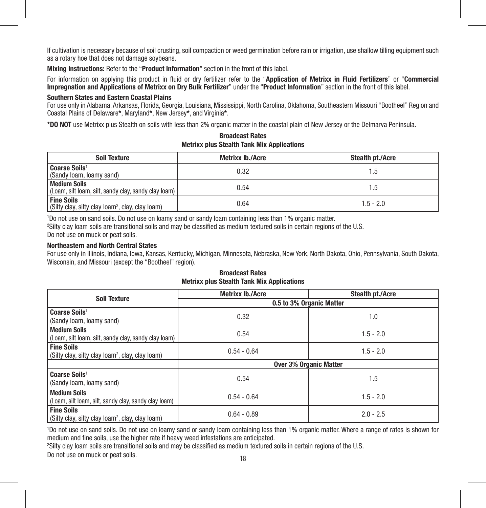If cultivation is necessary because of soil crusting, soil compaction or weed germination before rain or irrigation, use shallow tilling equipment such as a rotary hoe that does not damage soybeans.

### **Mixing Instructions:** Refer to the "**Product Information**" section in the front of this label.

For information on applying this product in fluid or dry fertilizer refer to the "**Application of Metrixx in Fluid Fertilizers**" or "**Commercial Impregnation and Applications of Metrixx on Dry Bulk Fertilizer**" under the "**Product Information**" section in the front of this label.

### **Southern States and Eastern Coastal Plains**

For use only in Alabama, Arkansas, Florida, Georgia, Louisiana, Mississippi, North Carolina, Oklahoma, Southeastern Missouri "Bootheel" Region and Coastal Plains of Delaware**\***, Maryland**\***, New Jersey**\***, and Virginia**\***.

**\*DO NOT** use Metrixx plus Stealth on soils with less than 2% organic matter in the coastal plain of New Jersey or the Delmarva Peninsula.

| <b>Broadcast Rates</b>                            |  |  |  |
|---------------------------------------------------|--|--|--|
| <b>Metrixx plus Stealth Tank Mix Applications</b> |  |  |  |

| <b>Soil Texture</b>                                                               | <b>Metrixx Ib./Acre</b> | <b>Stealth pt./Acre</b> |
|-----------------------------------------------------------------------------------|-------------------------|-------------------------|
| Coarse Soils <sup>1</sup><br>(Sandy Ioam, Ioamy sand)                             | 0.32                    | 1.5                     |
| <b>Medium Soils</b><br>(Loam, silt loam, silt, sandy clay, sandy clay loam)       | 0.54                    | 1.5                     |
| <b>Fine Soils</b><br>(Silty clay, silty clay loam <sup>2</sup> , clay, clay loam) | 0.64                    | $1.5 - 2.0$             |

1 Do not use on sand soils. Do not use on loamy sand or sandy loam containing less than 1% organic matter.

2 Silty clay loam soils are transitional soils and may be classified as medium textured soils in certain regions of the U.S. Do not use on muck or peat soils.

# **Northeastern and North Central States**

For use only in Illinois, Indiana, Iowa, Kansas, Kentucky, Michigan, Minnesota, Nebraska, New York, North Dakota, Ohio, Pennsylvania, South Dakota, Wisconsin, and Missouri (except the "Bootheel" region).

### **Broadcast Rates Metrixx plus Stealth Tank Mix Applications**

| <b>Soil Texture</b>                                                               | <b>Metrixx Ib./Acre</b>       | <b>Stealth pt./Acre</b>  |  |
|-----------------------------------------------------------------------------------|-------------------------------|--------------------------|--|
|                                                                                   |                               | 0.5 to 3% Organic Matter |  |
| Coarse Soils <sup>1</sup><br>(Sandy Joam, Joamy sand)                             | 0.32                          | 1.0                      |  |
| <b>Medium Soils</b><br>(Loam, silt loam, silt, sandy clay, sandy clay loam)       | 0.54                          | $1.5 - 2.0$              |  |
| <b>Fine Soils</b><br>(Silty clay, silty clay loam <sup>2</sup> , clay, clay loam) | $0.54 - 0.64$                 | $1.5 - 2.0$              |  |
|                                                                                   | <b>Over 3% Organic Matter</b> |                          |  |
| Coarse Soils <sup>1</sup><br>(Sandy Ioam, Ioamy sand)                             | 0.54                          | 1.5                      |  |
| <b>Medium Soils</b><br>(Loam, silt loam, silt, sandy clay, sandy clay loam)       | $0.54 - 0.64$                 | $1.5 - 2.0$              |  |
| <b>Fine Soils</b><br>(Silty clay, silty clay loam <sup>2</sup> , clay, clay loam) | $0.64 - 0.89$                 | $2.0 - 2.5$              |  |

1 Do not use on sand soils. Do not use on loamy sand or sandy loam containing less than 1% organic matter. Where a range of rates is shown for medium and fine soils, use the higher rate if heavy weed infestations are anticipated.

18 2 Silty clay loam soils are transitional soils and may be classified as medium textured soils in certain regions of the U.S. Do not use on muck or peat soils.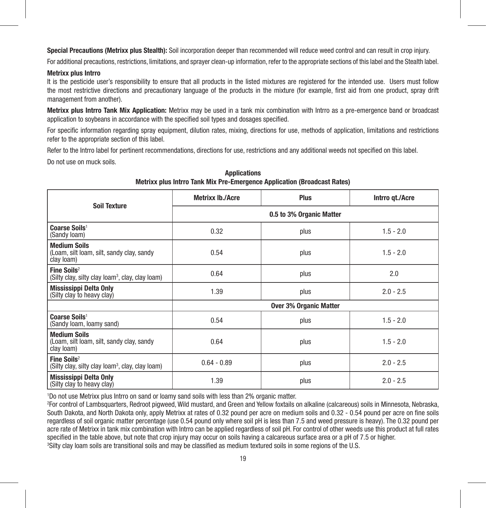Special Precautions (Metrixx plus Stealth): Soil incorporation deeper than recommended will reduce weed control and can result in crop injury.

For additional precautions, restrictions, limitations, and sprayer clean-up information, refer to the appropriate sections of this label and the Stealth label.

### **Metrixx plus Intrro**

It is the pesticide user's responsibility to ensure that all products in the listed mixtures are registered for the intended use. Users must follow the most restrictive directions and precautionary language of the products in the mixture (for example, first aid from one product, spray drift management from another).

**Metrixx plus Intrro Tank Mix Application:** Metrixx may be used in a tank mix combination with Intrro as a pre-emergence band or broadcast application to soybeans in accordance with the specified soil types and dosages specified.

For specific information regarding spray equipment, dilution rates, mixing, directions for use, methods of application, limitations and restrictions refer to the appropriate section of this label.

Refer to the Intrro label for pertinent recommendations, directions for use, restrictions and any additional weeds not specified on this label. Do not use on muck soils.

| <b>Soil Texture</b>                                                                     | <b>Metrixx Ib./Acre</b>       | Plus                     | Intrro gt./Acre |
|-----------------------------------------------------------------------------------------|-------------------------------|--------------------------|-----------------|
|                                                                                         |                               | 0.5 to 3% Organic Matter |                 |
| Coarse Soils <sup>1</sup><br>(Sandy loam)                                               | 0.32                          | plus                     | $1.5 - 2.0$     |
| <b>Medium Soils</b><br>(Loam, silt loam, silt, sandy clay, sandy<br>clay loam)          | 0.54                          | plus                     | $1.5 - 2.0$     |
| Fine Soils $2$<br>(Silty clay, silty clay loam <sup>3</sup> , clay, clay loam)          | 0.64                          | plus                     | 2.0             |
| <b>Mississippi Delta Only</b><br>(Silty clay to heavy clay)                             | 1.39                          | plus                     | $2.0 - 2.5$     |
|                                                                                         | <b>Over 3% Organic Matter</b> |                          |                 |
| Coarse Soils <sup>1</sup><br>(Sandy Ioam, Ioamy sand)                                   | 0.54                          | plus                     | $1.5 - 2.0$     |
| <b>Medium Soils</b><br>(Loam, silt loam, silt, sandy clay, sandy<br>clay loam)          | 0.64                          | plus                     | $1.5 - 2.0$     |
| Fine Soils <sup>2</sup><br>(Silty clay, silty clay loam <sup>3</sup> , clay, clay loam) | $0.64 - 0.89$                 | plus                     | $2.0 - 2.5$     |
| <b>Mississippi Delta Only</b><br>(Silty clay to heavy clay)                             | 1.39                          | plus                     | $2.0 - 2.5$     |

**Applications Metrixx plus Intrro Tank Mix Pre-Emergence Application (Broadcast Rates)**

1 Do not use Metrixx plus Intrro on sand or loamy sand soils with less than 2% organic matter.

2 For control of Lambsquarters, Redroot pigweed, Wild mustard, and Green and Yellow foxtails on alkaline (calcareous) soils in Minnesota, Nebraska, South Dakota, and North Dakota only, apply Metrixx at rates of 0.32 pound per acre on medium soils and 0.32 - 0.54 pound per acre on fine soils regardless of soil organic matter percentage (use 0.54 pound only where soil pH is less than 7.5 and weed pressure is heavy). The 0.32 pound per acre rate of Metrixx in tank mix combination with Intrro can be applied regardless of soil pH. For control of other weeds use this product at full rates specified in the table above, but note that crop injury may occur on soils having a calcareous surface area or a pH of 7.5 or higher. 3 Silty clay loam soils are transitional soils and may be classified as medium textured soils in some regions of the U.S.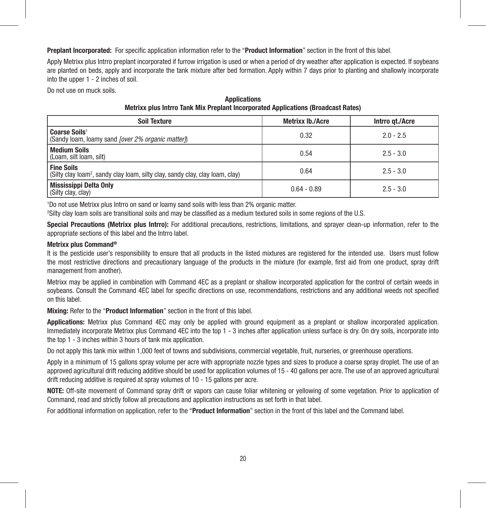**Preplant Incorporated:** For specific application information refer to the "**Product Information**" section in the front of this label.

Apply Metrixx plus Intrro preplant incorporated if furrow irrigation is used or when a period of dry weather after application is expected. If soybeans are planted on beds, apply and incorporate the tank mixture after bed formation. Apply within 7 days prior to planting and shallowly incorporate into the upper 1 - 2 inches of soil.

Do not use on muck soils.

| <b>Applications</b>                                                               |  |  |
|-----------------------------------------------------------------------------------|--|--|
| Metrixx plus Intrro Tank Mix Preplant Incorporated Applications (Broadcast Rates) |  |  |

| <b>Soil Texture</b>                                                                                            | <b>Metrixx Ib./Acre</b> | Intrro at./Acre |
|----------------------------------------------------------------------------------------------------------------|-------------------------|-----------------|
| Coarse Soils <sup>1</sup><br>(Sandy loam, loamy sand <i>fover 2% organic mattert</i> )                         | 0.32                    | $2.0 - 2.5$     |
| Medium Soils<br>(Loam, silt loam, silt)                                                                        | 0.54                    | $2.5 - 3.0$     |
| <b>Fine Soils</b><br>(Silty clay loam <sup>2</sup> , sandy clay loam, silty clay, sandy clay, clay loam, clay) | 0.64                    | $2.5 - 3.0$     |
| Mississippi Delta Only<br>(Silty clay, clay)                                                                   | $0.64 - 0.89$           | $2.5 - 3.0$     |

1 Do not use Metrixx plus Intrro on sand or loamy sand soils with less than 2% organic matter.

2 Silty clay loam soils are transitional soils and may be classified as a medium textured soils in some regions of the U.S.

**Special Precautions (Metrixx plus Intrro):** For additional precautions, restrictions, limitations, and sprayer clean-up information, refer to the appropriate sections of this label and the Intrro label.

### **Metrixx plus Command®**

It is the pesticide user's responsibility to ensure that all products in the listed mixtures are registered for the intended use. Users must follow the most restrictive directions and precautionary language of the products in the mixture (for example, first aid from one product, spray drift management from another).

Metrixx may be applied in combination with Command 4EC as a preplant or shallow incorporated application for the control of certain weeds in soybeans. Consult the Command 4EC label for specific directions on use, recommendations, restrictions and any additional weeds not specified on this label.

**Mixing:** Refer to the "**Product Information**" section in the front of this label.

**Applications:** Metrixx plus Command 4EC may only be applied with ground equipment as a preplant or shallow incorporated application. Immediately incorporate Metrixx plus Command 4EC into the top 1 - 3 inches after application unless surface is dry. On dry soils, incorporate into the top 1 - 3 inches within 3 hours of tank mix application.

Do not apply this tank mix within 1,000 feet of towns and subdivisions, commercial vegetable, fruit, nurseries, or greenhouse operations.

Apply in a minimum of 15 gallons spray volume per acre with appropriate nozzle types and sizes to produce a coarse spray droplet. The use of an approved agricultural drift reducing additive should be used for application volumes of 15 - 40 gallons per acre. The use of an approved agricultural drift reducing additive is required at spray volumes of 10 - 15 gallons per acre.

**NOTE:** Off-site movement of Command spray drift or vapors can cause foliar whitening or yellowing of some vegetation. Prior to application of Command, read and strictly follow all precautions and application instructions as set forth in that label.

For additional information on application, refer to the "**Product Information**" section in the front of this label and the Command label.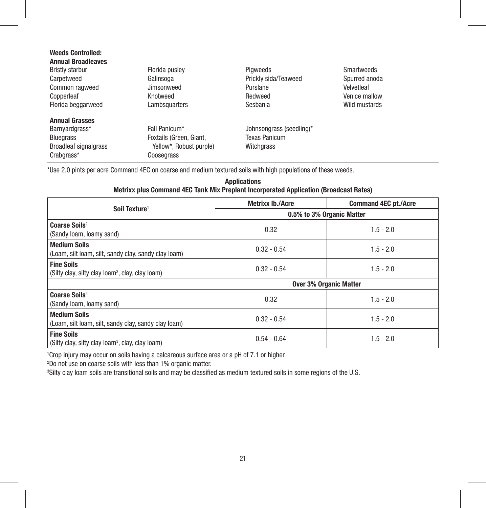| <b>Weeds Controlled:</b>     |                         |                          |               |
|------------------------------|-------------------------|--------------------------|---------------|
| <b>Annual Broadleaves</b>    |                         |                          |               |
| <b>Bristly starbur</b>       | Florida pusley          | Piaweeds                 | Smartweeds    |
| Carpetweed                   | Galinsoga               | Prickly sida/Teaweed     | Spurred anoda |
| Common ragweed               | Jimsonweed              | Purslane                 | Velvetleaf    |
| Copperleaf                   | Knotweed                | Redweed                  | Venice mallow |
| Florida beggarweed           | Lambsquarters           | Sesbania                 | Wild mustards |
| <b>Annual Grasses</b>        |                         |                          |               |
| Barnyardgrass*               | Fall Panicum*           | Johnsongrass (seedling)* |               |
| <b>Bluegrass</b>             | Foxtails (Green, Giant, | <b>Texas Panicum</b>     |               |
| <b>Broadleaf signalgrass</b> | Yellow*, Robust purple) | Witchgrass               |               |
| Crabgrass*                   | Goosegrass              |                          |               |

\*Use 2.0 pints per acre Command 4EC on coarse and medium textured soils with high populations of these weeds.

| <b>Applications</b>                                                                   |  |  |  |
|---------------------------------------------------------------------------------------|--|--|--|
| Metrixx plus Command 4EC Tank Mix Preplant Incorporated Application (Broadcast Rates) |  |  |  |

| Soil Texture <sup>1</sup>                                                         | <b>Metrixx Ib./Acre</b>       | <b>Command 4EC pt./Acre</b> |
|-----------------------------------------------------------------------------------|-------------------------------|-----------------------------|
|                                                                                   | 0.5% to 3% Organic Matter     |                             |
| Coarse Soils <sup>2</sup><br>(Sandy Ioam, Ioamy sand)                             | 0.32                          | $1.5 - 2.0$                 |
| <b>Medium Soils</b><br>(Loam, silt loam, silt, sandy clay, sandy clay loam)       | $0.32 - 0.54$                 | $1.5 - 2.0$                 |
| <b>Fine Soils</b><br>(Silty clay, silty clay loam <sup>3</sup> , clay, clay loam) | $0.32 - 0.54$                 | $1.5 - 2.0$                 |
|                                                                                   | <b>Over 3% Organic Matter</b> |                             |
| Coarse Soils <sup>2</sup><br>(Sandy Ioam, Ioamy sand)                             | 0.32                          | $1.5 - 2.0$                 |
| <b>Medium Soils</b><br>(Loam, silt loam, silt, sandy clay, sandy clay loam)       | $0.32 - 0.54$                 | $1.5 - 2.0$                 |
| <b>Fine Soils</b><br>(Silty clay, silty clay loam <sup>3</sup> , clay, clay loam) | $0.54 - 0.64$                 | $1.5 - 2.0$                 |

1 Crop injury may occur on soils having a calcareous surface area or a pH of 7.1 or higher.

2 Do not use on coarse soils with less than 1% organic matter.

3 Silty clay loam soils are transitional soils and may be classified as medium textured soils in some regions of the U.S.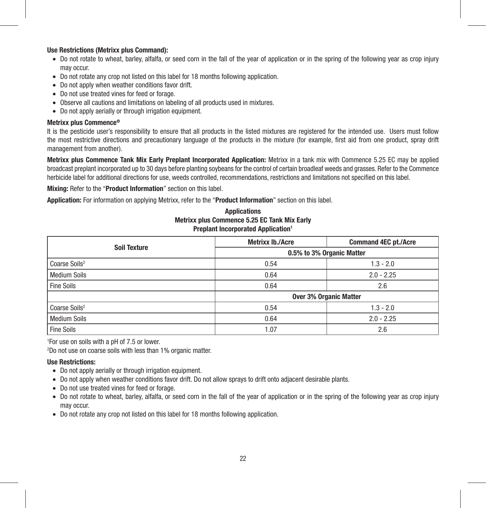### **Use Restrictions (Metrixx plus Command):**

- Do not rotate to wheat, barley, alfalfa, or seed corn in the fall of the year of application or in the spring of the following year as crop injury may occur.
- Do not rotate any crop not listed on this label for 18 months following application.
- Do not apply when weather conditions favor drift.
- Do not use treated vines for feed or forage.
- Observe all cautions and limitations on labeling of all products used in mixtures.
- Do not apply aerially or through irrigation equipment.

### **Metrixx plus Commence®**

It is the pesticide user's responsibility to ensure that all products in the listed mixtures are registered for the intended use. Users must follow the most restrictive directions and precautionary language of the products in the mixture (for example, first aid from one product, spray drift management from another).

**Metrixx plus Commence Tank Mix Early Preplant Incorporated Application:** Metrixx in a tank mix with Commence 5.25 EC may be applied broadcast preplant incorporated up to 30 days before planting soybeans for the control of certain broadleaf weeds and grasses. Refer to the Commence herbicide label for additional directions for use, weeds controlled, recommendations, restrictions and limitations not specified on this label.

### **Mixing:** Refer to the "**Product Information**" section on this label.

**Application:** For information on applying Metrixx, refer to the "**Product Information**" section on this label.

### **Applications Metrixx plus Commence 5.25 EC Tank Mix Early Preplant Incorporated Application1**

| <b>Soil Texture</b>       | <b>Metrixx Ib./Acre</b>       | <b>Command 4EC pt./Acre</b> |  |
|---------------------------|-------------------------------|-----------------------------|--|
|                           | 0.5% to 3% Organic Matter     |                             |  |
| Coarse Soils <sup>2</sup> | 0.54                          | $1.3 - 2.0$                 |  |
| <b>Medium Soils</b>       | 0.64                          | $2.0 - 2.25$                |  |
| <b>Fine Soils</b>         | 0.64                          | 2.6                         |  |
|                           | <b>Over 3% Organic Matter</b> |                             |  |
| Coarse Soils <sup>2</sup> | 0.54                          | $1.3 - 2.0$                 |  |
| <b>Medium Soils</b>       | 0.64                          | $2.0 - 2.25$                |  |
| <b>Fine Soils</b>         | 1.07                          | 2.6                         |  |

1 For use on soils with a pH of 7.5 or lower.

2 Do not use on coarse soils with less than 1% organic matter.

### **Use Restrictions:**

- Do not apply aerially or through irrigation equipment.
- • Do not apply when weather conditions favor drift. Do not allow sprays to drift onto adjacent desirable plants.
- • Do not use treated vines for feed or forage.
- Do not rotate to wheat, barley, alfalfa, or seed corn in the fall of the year of application or in the spring of the following year as crop injury may occur.
- Do not rotate any crop not listed on this label for 18 months following application.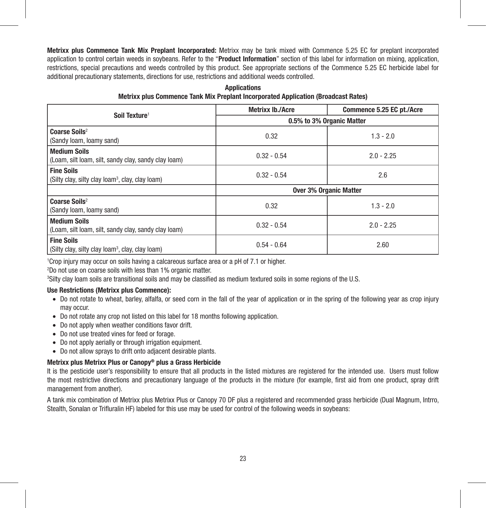**Metrixx plus Commence Tank Mix Preplant Incorporated:** Metrixx may be tank mixed with Commence 5.25 EC for preplant incorporated application to control certain weeds in soybeans. Refer to the "**Product Information**" section of this label for information on mixing, application, restrictions, special precautions and weeds controlled by this product. See appropriate sections of the Commence 5.25 EC herbicide label for additional precautionary statements, directions for use, restrictions and additional weeds controlled.

| Soil Texture <sup>1</sup>                                                         | <b>Metrixx Ib./Acre</b>       | Commence 5.25 EC pt./Acre |
|-----------------------------------------------------------------------------------|-------------------------------|---------------------------|
|                                                                                   |                               | 0.5% to 3% Organic Matter |
| Coarse Soils <sup>2</sup><br>(Sandy Ioam, Ioamy sand)                             | 0.32                          | $1.3 - 2.0$               |
| <b>Medium Soils</b><br>(Loam, silt loam, silt, sandy clay, sandy clay loam)       | $0.32 - 0.54$                 | $2.0 - 2.25$              |
| <b>Fine Soils</b><br>(Silty clay, silty clay loam <sup>3</sup> , clay, clay loam) | $0.32 - 0.54$                 | 2.6                       |
|                                                                                   | <b>Over 3% Organic Matter</b> |                           |
| Coarse Soils <sup>2</sup><br>(Sandy Ioam, Ioamy sand)                             | 0.32                          | $1.3 - 2.0$               |
| <b>Medium Soils</b><br>(Loam, silt loam, silt, sandy clay, sandy clay loam)       | $0.32 - 0.54$                 | $2.0 - 2.25$              |
| <b>Fine Soils</b><br>(Silty clay, silty clay loam <sup>3</sup> , clay, clay loam) | $0.54 - 0.64$                 | 2.60                      |

**Applications Metrixx plus Commence Tank Mix Preplant Incorporated Application (Broadcast Rates)**

1 Crop injury may occur on soils having a calcareous surface area or a pH of 7.1 or higher.

2 Do not use on coarse soils with less than 1% organic matter.

3 Silty clay loam soils are transitional soils and may be classified as medium textured soils in some regions of the U.S.

### **Use Restrictions (Metrixx plus Commence):**

- Do not rotate to wheat, barley, alfalfa, or seed corn in the fall of the year of application or in the spring of the following year as crop injury may occur.
- Do not rotate any crop not listed on this label for 18 months following application.
- Do not apply when weather conditions favor drift.
- • Do not use treated vines for feed or forage.
- Do not apply aerially or through irrigation equipment.
- • Do not allow sprays to drift onto adjacent desirable plants.

### **Metrixx plus Metrixx Plus or Canopy® plus a Grass Herbicide**

It is the pesticide user's responsibility to ensure that all products in the listed mixtures are registered for the intended use. Users must follow the most restrictive directions and precautionary language of the products in the mixture (for example, first aid from one product, spray drift management from another).

A tank mix combination of Metrixx plus Metrixx Plus or Canopy 70 DF plus a registered and recommended grass herbicide (Dual Magnum, Intrro, Stealth, Sonalan or Trifluralin HF) labeled for this use may be used for control of the following weeds in soybeans: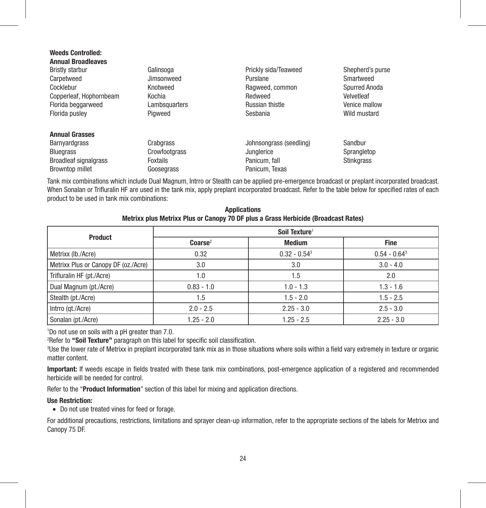| <b>Annual Broadleaves</b>    |                 |                         |                  |
|------------------------------|-----------------|-------------------------|------------------|
| <b>Bristly starbur</b>       | Galinsoga       | Prickly sida/Teaweed    | Shepherd's purse |
| Carpetweed                   | Jimsonweed      | Purslane                | Smartweed        |
| Cocklebur                    | Knotweed        | Ragweed, common         | Spurred Anoda    |
| Copperleaf, Hophornbeam      | Kochia          | Redweed                 | Velvetleaf       |
| Florida beggarweed           | Lambsquarters   | <b>Russian thistle</b>  | Venice mallow    |
| Florida pusley               | Piaweed         | Sesbania                | Wild mustard     |
| <b>Annual Grasses</b>        |                 |                         |                  |
| Barnyardgrass                | Crabgrass       | Johnsongrass (seedling) | Sandbur          |
| <b>Bluegrass</b>             | Crowfootgrass   | Junalerice              | Sprangletop      |
| <b>Broadleaf signalgrass</b> | <b>Foxtails</b> | Panicum, fall           | Stinkgrass       |
| Browntop millet              | Goosegrass      | Panicum. Texas          |                  |

Tank mix combinations which include Dual Magnum, Intrro or Stealth can be applied pre-emergence broadcast or preplant incorporated broadcast. When Sonalan or Trifluralin HF are used in the tank mix, apply preplant incorporated broadcast. Refer to the table below for specified rates of each product to be used in tank mix combinations:

| <b>Product</b>                       | Soil Texture <sup>1</sup> |                            |                            |
|--------------------------------------|---------------------------|----------------------------|----------------------------|
|                                      | $\text{Coarse}^2$         | Medium                     | <b>Fine</b>                |
| Metrixx (lb./Acre)                   | 0.32                      | $0.32 - 0.54$ <sup>3</sup> | $0.54 - 0.64$ <sup>3</sup> |
| Metrixx Plus or Canopy DF (oz./Acre) | 3.0                       | 3.0                        | $3.0 - 4.0$                |
| Trifluralin HF (pt./Acre)            | 1.0                       | 1.5                        | 2.0                        |
| Dual Magnum (pt./Acre)               | $0.83 - 1.0$              | $1.0 - 1.3$                | $1.3 - 1.6$                |
| Stealth (pt./Acre)                   | 1.5                       | $1.5 - 2.0$                | $1.5 - 2.5$                |
| Intrro (gt./Acre)                    | $2.0 - 2.5$               | $2.25 - 3.0$               | $2.5 - 3.0$                |
| Sonalan (pt./Acre)                   | $1.25 - 2.0$              | $1.25 - 2.5$               | $2.25 - 3.0$               |

**Applications Metrixx plus Metrixx Plus or Canopy 70 DF plus a Grass Herbicide (Broadcast Rates)**

1 Do not use on soils with a pH greater than 7.0.

2 Refer to **"Soil Texture"** paragraph on this label for specific soil classification.

3 Use the lower rate of Metrixx in preplant incorporated tank mix as in those situations where soils within a field vary extremely in texture or organic matter content.

**Important:** If weeds escape in fields treated with these tank mix combinations, post-emergence application of a registered and recommended herbicide will be needed for control.

Refer to the "**Product Information**" section of this label for mixing and application directions.

### **Use Restriction:**

**Weeds Controlled:**

• Do not use treated vines for feed or forage.

For additional precautions, restrictions, limitations and sprayer clean-up information, refer to the appropriate sections of the labels for Metrixx and Canopy 75 DF.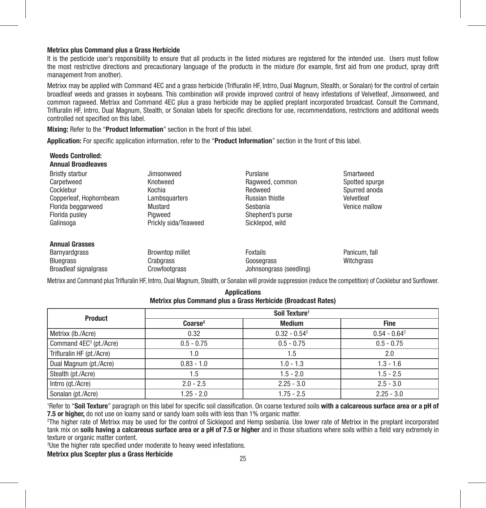### **Metrixx plus Command plus a Grass Herbicide**

It is the pesticide user's responsibility to ensure that all products in the listed mixtures are registered for the intended use. Users must follow the most restrictive directions and precautionary language of the products in the mixture (for example, first aid from one product, spray drift management from another).

Metrixx may be applied with Command 4EC and a grass herbicide (Trifluralin HF, Intrro, Dual Magnum, Stealth, or Sonalan) for the control of certain broadleaf weeds and grasses in soybeans. This combination will provide improved control of heavy infestations of Velvetleaf, Jimsonweed, and common ragweed. Metrixx and Command 4EC plus a grass herbicide may be applied preplant incorporated broadcast. Consult the Command, Trifluralin HF, Intrro, Dual Magnum, Stealth, or Sonalan labels for specific directions for use, recommendations, restrictions and additional weeds controlled not specified on this label.

**Mixing:** Refer to the "**Product Information**" section in the front of this label.

**Application:** For specific application information, refer to the "**Product Information**" section in the front of this label.

| <b>Weeds Controlled:</b><br><b>Annual Broadleaves</b>                                                                             |                                                                                                 |                                                                                                              |                                                                             |
|-----------------------------------------------------------------------------------------------------------------------------------|-------------------------------------------------------------------------------------------------|--------------------------------------------------------------------------------------------------------------|-----------------------------------------------------------------------------|
| <b>Bristly starbur</b><br>Carpetweed<br>Cocklebur<br>Copperleaf, Hophornbeam<br>Florida beggarweed<br>Florida pusley<br>Galinsoga | Jimsonweed<br>Knotweed<br>Kochia<br>Lambsquarters<br>Mustard<br>Piaweed<br>Prickly sida/Teaweed | Purslane<br>Ragweed, common<br>Redweed<br>Russian thistle<br>Sesbania<br>Shepherd's purse<br>Sicklepod, wild | Smartweed<br>Spotted spurge<br>Spurred anoda<br>Velvetleaf<br>Venice mallow |
| <b>Annual Grasses</b><br><b>Barnvardgrass</b><br><b>Bluegrass</b><br><b>Broadleaf signalgrass</b>                                 | <b>Browntop millet</b><br>Crabarass<br>Crowfootgrass                                            | Foxtails<br>Goosegrass<br>Johnsongrass (seedling)                                                            | Panicum, fall<br>Witcharass                                                 |

Metrixx and Command plus Trifluralin HF, Intrro, Dual Magnum, Stealth, or Sonalan will provide suppression (reduce the competition) of Cocklebur and Sunflower.

### **Applications Metrixx plus Command plus a Grass Herbicide (Broadcast Rates)**

| Product                             | Soil Texture <sup>1</sup> |                 |                 |
|-------------------------------------|---------------------------|-----------------|-----------------|
|                                     | Coarse <sup>2</sup>       | <b>Medium</b>   | <b>Fine</b>     |
| Metrixx (lb./Acre)                  | 0.32                      | $0.32 - 0.54^2$ | $0.54 - 0.64^2$ |
| Command 4EC <sup>3</sup> (pt./Acre) | $0.5 - 0.75$              | $0.5 - 0.75$    | $0.5 - 0.75$    |
| Trifluralin HF (pt./Acre)           | 1.0                       | 1.5             | 2.0             |
| Dual Magnum (pt./Acre)              | $0.83 - 1.0$              | $1.0 - 1.3$     | $1.3 - 1.6$     |
| Stealth (pt./Acre)                  | 1.5                       | $1.5 - 2.0$     | $1.5 - 2.5$     |
| Intrro (qt./Acre)                   | $2.0 - 2.5$               | $2.25 - 3.0$    | $2.5 - 3.0$     |
| Sonalan (pt./Acre)                  | $1.25 - 2.0$              | $1.75 - 2.5$    | $2.25 - 3.0$    |

1 Refer to "**Soil Texture**" paragraph on this label for specific soil classification. On coarse textured soils **with a calcareous surface area or a pH of 7.5 or higher,** do not use on loamy sand or sandy loam soils with less than 1% organic matter.

2 The higher rate of Metrixx may be used for the control of Sicklepod and Hemp sesbania. Use lower rate of Metrixx in the preplant incorporated tank mix on **soils having a calcareous surface area or a pH of 7.5 or higher** and in those situations where soils within a field vary extremely in texture or organic matter content.

<sup>3</sup>Use the higher rate specified under moderate to heavy weed infestations.

**Metrixx plus Scepter plus a Grass Herbicide**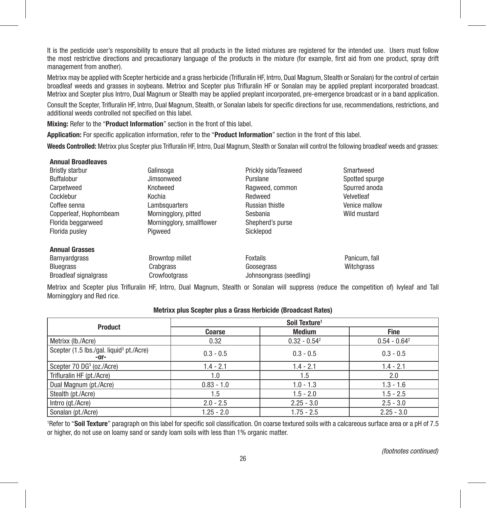It is the pesticide user's responsibility to ensure that all products in the listed mixtures are registered for the intended use. Users must follow the most restrictive directions and precautionary language of the products in the mixture (for example, first aid from one product, spray drift management from another).

Metrixx may be applied with Scepter herbicide and a grass herbicide (Trifluralin HF, Intrro, Dual Magnum, Stealth or Sonalan) for the control of certain broadleaf weeds and grasses in soybeans. Metrixx and Scepter plus Trifluralin HF or Sonalan may be applied preplant incorporated broadcast. Metrixx and Scepter plus Intrro, Dual Magnum or Stealth may be applied preplant incorporated, pre-emergence broadcast or in a band application. Consult the Scepter, Trifluralin HF, Intrro, Dual Magnum, Stealth, or Sonalan labels for specific directions for use, recommendations, restrictions, and additional weeds controlled not specified on this label.

**Mixing:** Refer to the "**Product Information**" section in the front of this label.

**Application:** For specific application information, refer to the "**Product Information**" section in the front of this label.

**Weeds Controlled:** Metrixx plus Scepter plus Trifluralin HF, Intrro, Dual Magnum, Stealth or Sonalan will control the following broadleaf weeds and grasses:

### **Annual Broadleaves**

| <b>Bristly starbur</b>       | Galinsoga                 | Prickly sida/Teaweed    | Smartweed      |
|------------------------------|---------------------------|-------------------------|----------------|
| Buffalobur                   | Jimsonweed                | Purslane                | Spotted spurge |
| Carpetweed                   | Knotweed                  | Ragweed, common         | Spurred anoda  |
| Cocklebur                    | Kochia                    | Redweed                 | Velvetleaf     |
| Coffee senna                 | Lambsquarters             | <b>Russian thistle</b>  | Venice mallow  |
| Copperleaf, Hophornbeam      | Morningglory, pitted      | Sesbania                | Wild mustard   |
| Florida beggarweed           | Morningglory, smallflower | Shepherd's purse        |                |
| Florida puslev               | Piaweed                   | Sicklepod               |                |
| <b>Annual Grasses</b>        |                           |                         |                |
| Barnyardgrass                | Browntop millet           | Foxtails                | Panicum, fall  |
| Bluegrass                    | Crabgrass                 | Goosegrass              | Witchgrass     |
| <b>Broadleaf signalgrass</b> | Crowfootgrass             | Johnsongrass (seedling) |                |

Metrixx and Scepter plus Trifluralin HF, Intrro, Dual Magnum, Stealth or Sonalan will suppress (reduce the competition of) Ivyleaf and Tall Morningglory and Red rice.

| <b>Product</b>                                               | Soil Texture <sup>1</sup> |                 |                 |
|--------------------------------------------------------------|---------------------------|-----------------|-----------------|
|                                                              | Coarse                    | Medium          | <b>Fine</b>     |
| Metrixx (lb./Acre)                                           | 0.32                      | $0.32 - 0.54^2$ | $0.54 - 0.64^2$ |
| Scepter (1.5 lbs./gal. liquid <sup>3</sup> pt./Acre)<br>-or- | $0.3 - 0.5$               | $0.3 - 0.5$     | $0.3 - 0.5$     |
| Scepter 70 DG <sup>3</sup> (oz./Acre)                        | $1.4 - 2.1$               | $1.4 - 2.1$     | $1.4 - 2.1$     |
| Trifluralin HF (pt./Acre)                                    | 1.0                       | 1.5             | 2.0             |
| Dual Magnum (pt./Acre)                                       | $0.83 - 1.0$              | $1.0 - 1.3$     | $1.3 - 1.6$     |
| Stealth (pt./Acre)                                           | 1.5                       | $1.5 - 2.0$     | $1.5 - 2.5$     |
| Intrro (gt./Acre)                                            | $2.0 - 2.5$               | $2.25 - 3.0$    | $2.5 - 3.0$     |
| Sonalan (pt./Acre)                                           | $1.25 - 2.0$              | $1.75 - 2.5$    | $2.25 - 3.0$    |

### **Metrixx plus Scepter plus a Grass Herbicide (Broadcast Rates)**

<sup>1</sup>Refer to "Soil Texture" paragraph on this label for specific soil classification. On coarse textured soils with a calcareous surface area or a pH of 7.5 or higher, do not use on loamy sand or sandy loam soils with less than 1% organic matter.

*(footnotes continued)*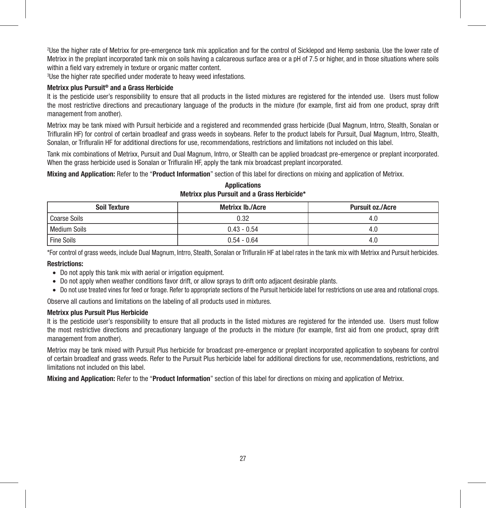2 Use the higher rate of Metrixx for pre-emergence tank mix application and for the control of Sicklepod and Hemp sesbania. Use the lower rate of Metrixx in the preplant incorporated tank mix on soils having a calcareous surface area or a pH of 7.5 or higher, and in those situations where soils within a field vary extremely in texture or organic matter content.

3 Use the higher rate specified under moderate to heavy weed infestations.

### **Metrixx plus Pursuit® and a Grass Herbicide**

It is the pesticide user's responsibility to ensure that all products in the listed mixtures are registered for the intended use. Users must follow the most restrictive directions and precautionary language of the products in the mixture (for example, first aid from one product, spray drift management from another).

Metrixx may be tank mixed with Pursuit herbicide and a registered and recommended grass herbicide (Dual Magnum, Intrro, Stealth, Sonalan or Trifluralin HF) for control of certain broadleaf and grass weeds in soybeans. Refer to the product labels for Pursuit, Dual Magnum, Intrro, Stealth, Sonalan, or Trifluralin HF for additional directions for use, recommendations, restrictions and limitations not included on this label.

Tank mix combinations of Metrixx, Pursuit and Dual Magnum, Intrro, or Stealth can be applied broadcast pre-emergence or preplant incorporated. When the grass herbicide used is Sonalan or Trifluralin HF, apply the tank mix broadcast preplant incorporated.

**Mixing and Application:** Refer to the "**Product Information**" section of this label for directions on mixing and application of Metrixx.

| <b>Soil Texture</b> | <b>Metrixx Ib./Acre</b> | Pursuit oz./Acre |
|---------------------|-------------------------|------------------|
| Coarse Soils        | 0.32                    | 4.0              |
| Medium Soils        | $0.43 - 0.54$           | 4.0              |
| Fine Soils          | $0.54 - 0.64$           | 4.0              |

### **Applications Metrixx plus Pursuit and a Grass Herbicide\***

\*For control of grass weeds, include Dual Magnum, Intrro, Stealth, Sonalan or Trifluralin HF at label rates in the tank mix with Metrixx and Pursuit herbicides.

### **Restrictions:**

- Do not apply this tank mix with aerial or irrigation equipment.
- Do not apply when weather conditions favor drift, or allow sprays to drift onto adjacent desirable plants.
- • Do not use treated vines for feed or forage. Refer to appropriate sections of the Pursuit herbicide label for restrictions on use area and rotational crops.

Observe all cautions and limitations on the labeling of all products used in mixtures.

### **Metrixx plus Pursuit Plus Herbicide**

It is the pesticide user's responsibility to ensure that all products in the listed mixtures are registered for the intended use. Users must follow the most restrictive directions and precautionary language of the products in the mixture (for example, first aid from one product, spray drift management from another).

Metrixx may be tank mixed with Pursuit Plus herbicide for broadcast pre-emergence or preplant incorporated application to soybeans for control of certain broadleaf and grass weeds. Refer to the Pursuit Plus herbicide label for additional directions for use, recommendations, restrictions, and limitations not included on this label.

**Mixing and Application:** Refer to the "**Product Information**" section of this label for directions on mixing and application of Metrixx.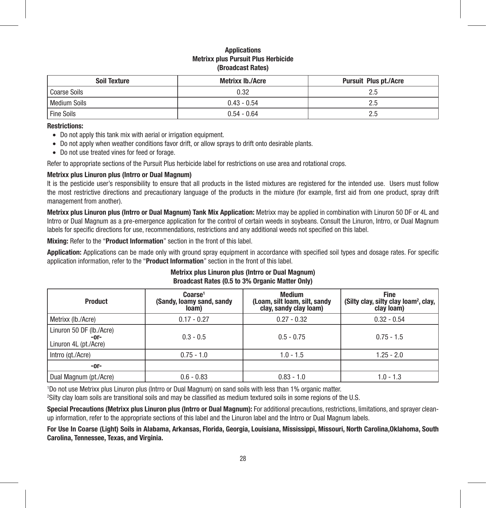### **Applications Metrixx plus Pursuit Plus Herbicide (Broadcast Rates)**

| <b>Soil Texture</b> | <b>Metrixx Ib./Acre</b> | <b>Pursuit Plus pt./Acre</b> |
|---------------------|-------------------------|------------------------------|
| Coarse Soils        | 0.32                    | 2.5                          |
| Medium Soils        | $0.43 - 0.54$           | 2.5                          |
| Fine Soils          | $0.54 - 0.64$           | 2.5                          |

### **Restrictions:**

- Do not apply this tank mix with aerial or irrigation equipment.
- Do not apply when weather conditions favor drift, or allow sprays to drift onto desirable plants.
- Do not use treated vines for feed or forage.

Refer to appropriate sections of the Pursuit Plus herbicide label for restrictions on use area and rotational crops.

### **Metrixx plus Linuron plus (Intrro or Dual Magnum)**

It is the pesticide user's responsibility to ensure that all products in the listed mixtures are registered for the intended use. Users must follow the most restrictive directions and precautionary language of the products in the mixture (for example, first aid from one product, spray drift management from another).

**Metrixx plus Linuron plus (Intrro or Dual Magnum) Tank Mix Application:** Metrixx may be applied in combination with Linuron 50 DF or 4L and Intrro or Dual Magnum as a pre-emergence application for the control of certain weeds in soybeans. Consult the Linuron, Intrro, or Dual Magnum labels for specific directions for use, recommendations, restrictions and any additional weeds not specified on this label.

**Mixing:** Refer to the "**Product Information**" section in the front of this label.

**Application:** Applications can be made only with ground spray equipment in accordance with specified soil types and dosage rates. For specific application information, refer to the "**Product Information**" section in the front of this label.

## **Metrixx plus Linuron plus (Intrro or Dual Magnum) Broadcast Rates (0.5 to 3% Organic Matter Only)**

| <b>Product</b>                                            | Coarse <sup>1</sup><br>(Sandy, Ioamy sand, sandy<br>loam) | <b>Medium</b><br>(Loam, silt loam, silt, sandy<br>clay, sandy clay loam) | <b>Fine</b><br>(Silty clay, silty clay loam <sup>2</sup> , clay,<br>clav loam) |
|-----------------------------------------------------------|-----------------------------------------------------------|--------------------------------------------------------------------------|--------------------------------------------------------------------------------|
| Metrixx (lb./Acre)                                        | $0.17 - 0.27$                                             | $0.27 - 0.32$                                                            | $0.32 - 0.54$                                                                  |
| Linuron 50 DF (lb./Acre)<br>-or-<br>Linuron 4L (pt./Acre) | $0.3 - 0.5$                                               | $0.5 - 0.75$                                                             | $0.75 - 1.5$                                                                   |
| Intrro (gt./Acre)                                         | $0.75 - 1.0$                                              | $1.0 - 1.5$                                                              | $1.25 - 2.0$                                                                   |
| $-0r-$                                                    |                                                           |                                                                          |                                                                                |
| Dual Magnum (pt./Acre)                                    | $0.6 - 0.83$                                              | $0.83 - 1.0$                                                             | $1.0 - 1.3$                                                                    |

1 Do not use Metrixx plus Linuron plus (Intrro or Dual Magnum) on sand soils with less than 1% organic matter.

2 Silty clay loam soils are transitional soils and may be classified as medium textured soils in some regions of the U.S.

**Special Precautions (Metrixx plus Linuron plus (Intrro or Dual Magnum):** For additional precautions, restrictions, limitations, and sprayer cleanup information, refer to the appropriate sections of this label and the Linuron label and the Intrro or Dual Magnum labels.

**For Use In Coarse (Light) Soils in Alabama, Arkansas, Florida, Georgia, Louisiana, Mississippi, Missouri, North Carolina,Oklahoma, South Carolina, Tennessee, Texas, and Virginia.**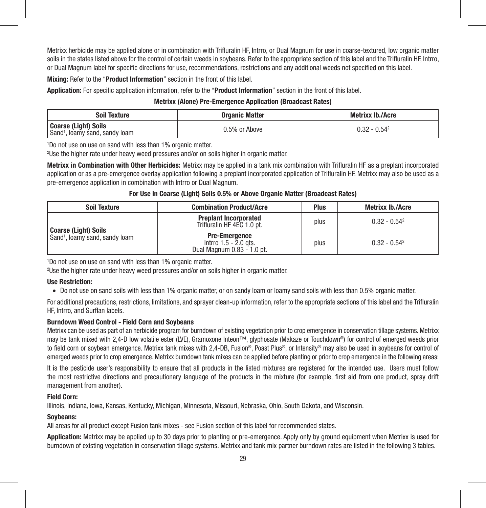Metrixx herbicide may be applied alone or in combination with Trifluralin HF, Intrro, or Dual Magnum for use in coarse-textured, low organic matter soils in the states listed above for the control of certain weeds in sovbeans. Refer to the appropriate section of this label and the Trifluralin HF, Intrro, or Dual Magnum label for specific directions for use, recommendations, restrictions and any additional weeds not specified on this label.

**Mixing:** Refer to the "**Product Information**" section in the front of this label.

**Application:** For specific application information, refer to the "**Product Information**" section in the front of this label.

### **Metrixx (Alone) Pre-Emergence Application (Broadcast Rates)**

| <b>Soil Texture</b>                                                | <b>Organic Matter</b> | Metrixx Ib./Acre |
|--------------------------------------------------------------------|-----------------------|------------------|
| Coarse (Light) Soils<br>Sand <sup>1</sup> , loamy sand, sandy loam | 0.5% or Above         | $0.32 - 0.54^2$  |

1 Do not use on use on sand with less than 1% organic matter.

2 Use the higher rate under heavy weed pressures and/or on soils higher in organic matter.

**Metrixx in Combination with Other Herbicides:** Metrixx may be applied in a tank mix combination with Trifluralin HF as a preplant incorporated application or as a pre-emergence overlay application following a preplant incorporated application of Trifluralin HF. Metrixx may also be used as a pre-emergence application in combination with Intrro or Dual Magnum.

### **For Use in Coarse (Light) Soils 0.5% or Above Organic Matter (Broadcast Rates)**

| <b>Soil Texture</b>                                                       | <b>Combination Product/Acre</b>                                             | <b>Plus</b> | Metrixx Ib./Acre |
|---------------------------------------------------------------------------|-----------------------------------------------------------------------------|-------------|------------------|
|                                                                           | <b>Preplant Incorporated</b><br>Trifluralin HF 4EC 1.0 pt.                  | plus        | $0.32 - 0.54^2$  |
| <b>Coarse (Light) Soils</b><br>Sand <sup>1</sup> , loamy sand, sandy loam | <b>Pre-Emergence</b><br>Intrro 1.5 - 2.0 ats.<br>Dual Magnum 0.83 - 1.0 pt. | plus        | $0.32 - 0.54^2$  |

1 Do not use on use on sand with less than 1% organic matter.

2 Use the higher rate under heavy weed pressures and/or on soils higher in organic matter.

### **Use Restriction:**

• Do not use on sand soils with less than 1% organic matter, or on sandy loam or loamy sand soils with less than 0.5% organic matter.

For additional precautions, restrictions, limitations, and sprayer clean-up information, refer to the appropriate sections of this label and the Trifluralin HF, Intrro, and Surflan labels.

### **Burndown Weed Control - Field Corn and Soybeans**

Metrixx can be used as part of an herbicide program for burndown of existing vegetation prior to crop emergence in conservation tillage systems. Metrixx may be tank mixed with 2,4-D low volatile ester (LVE), Gramoxone Inteon™, glyphosate (Makaze or Touchdown®) for control of emerged weeds prior to field corn or soybean emergence. Metrixx tank mixes with 2,4-DB, Fusion®, Poast Plus®, or Intensity® may also be used in soybeans for control of emerged weeds prior to crop emergence. Metrixx burndown tank mixes can be applied before planting or prior to crop emergence in the following areas:

It is the pesticide user's responsibility to ensure that all products in the listed mixtures are registered for the intended use. Users must follow the most restrictive directions and precautionary language of the products in the mixture (for example, first aid from one product, spray drift management from another).

### **Field Corn:**

Illinois, Indiana, Iowa, Kansas, Kentucky, Michigan, Minnesota, Missouri, Nebraska, Ohio, South Dakota, and Wisconsin.

### **Soybeans:**

All areas for all product except Fusion tank mixes - see Fusion section of this label for recommended states.

**Application:** Metrixx may be applied up to 30 days prior to planting or pre-emergence. Apply only by ground equipment when Metrixx is used for burndown of existing vegetation in conservation tillage systems. Metrixx and tank mix partner burndown rates are listed in the following 3 tables.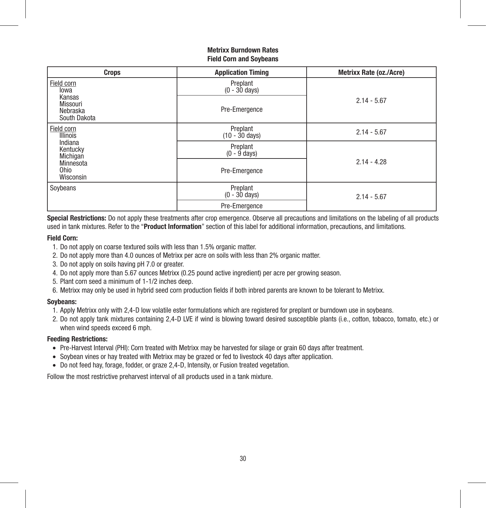### **Metrixx Burndown Rates Field Corn and Soybeans**

| Crops                                                                                                          | <b>Application Timing</b>            | Metrixx Rate (oz./Acre) |
|----------------------------------------------------------------------------------------------------------------|--------------------------------------|-------------------------|
| Field corn<br>lowa                                                                                             | Preplant<br>$(0 - 30 \text{ days})$  |                         |
| Kansas<br>Missouri<br>Nebraska<br>South Dakota                                                                 | Pre-Emergence                        | $2.14 - 5.67$           |
| Field corn<br><b>Illinois</b><br>Indiana<br>Kentucky<br>Michigan<br>Minnesota<br>Ohio<br>Wisconsin<br>Soybeans | Preplant<br>$(10 - 30 \text{ days})$ | $2.14 - 5.67$           |
|                                                                                                                | Preplant<br>$(0 - 9$ days)           |                         |
|                                                                                                                | Pre-Emergence                        | $2.14 - 4.28$           |
|                                                                                                                | Preplant<br>$(0 - 30 \text{ days})$  | $2.14 - 5.67$           |
|                                                                                                                | Pre-Emergence                        |                         |

**Special Restrictions:** Do not apply these treatments after crop emergence. Observe all precautions and limitations on the labeling of all products used in tank mixtures. Refer to the "**Product Information**" section of this label for additional information, precautions, and limitations.

### **Field Corn:**

- 1. Do not apply on coarse textured soils with less than 1.5% organic matter.
- 2. Do not apply more than 4.0 ounces of Metrixx per acre on soils with less than 2% organic matter.
- 3. Do not apply on soils having pH 7.0 or greater.
- 4. Do not apply more than 5.67 ounces Metrixx (0.25 pound active ingredient) per acre per growing season.
- 5. Plant corn seed a minimum of 1-1/2 inches deep.
- 6. Metrixx may only be used in hybrid seed corn production fields if both inbred parents are known to be tolerant to Metrixx.

### **Soybeans:**

- 1. Apply Metrixx only with 2,4-D low volatile ester formulations which are registered for preplant or burndown use in soybeans.
- 2. Do not apply tank mixtures containing 2,4-D LVE if wind is blowing toward desired susceptible plants (i.e., cotton, tobacco, tomato, etc.) or when wind speeds exceed 6 mph.

### **Feeding Restrictions:**

- Pre-Harvest Interval (PHI): Corn treated with Metrixx may be harvested for silage or grain 60 days after treatment.
- Soybean vines or hay treated with Metrixx may be grazed or fed to livestock 40 days after application.
- Do not feed hay, forage, fodder, or graze 2,4-D, Intensity, or Fusion treated vegetation.

Follow the most restrictive preharvest interval of all products used in a tank mixture.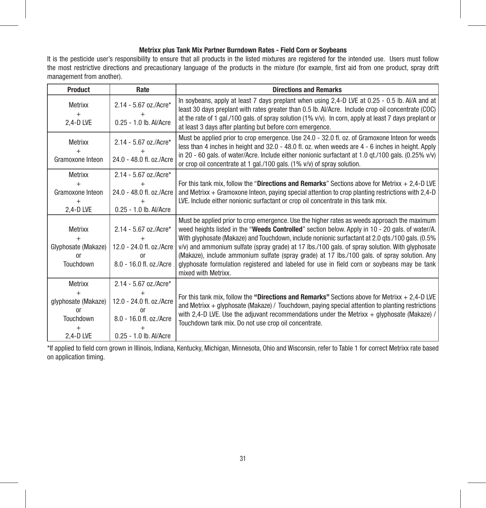### **Metrixx plus Tank Mix Partner Burndown Rates - Field Corn or Soybeans**

It is the pesticide user's responsibility to ensure that all products in the listed mixtures are registered for the intended use. Users must follow the most restrictive directions and precautionary language of the products in the mixture (for example, first aid from one product, spray drift management from another).

| <b>Product</b>      | Rate                     | <b>Directions and Remarks</b>                                                                                                                                                                                                                                                                     |
|---------------------|--------------------------|---------------------------------------------------------------------------------------------------------------------------------------------------------------------------------------------------------------------------------------------------------------------------------------------------|
| Metrixx             | 2.14 - 5.67 oz./Acre*    | In soybeans, apply at least 7 days preplant when using 2,4-D LVE at 0.25 - 0.5 lb. AI/A and at<br>least 30 days preplant with rates greater than 0.5 lb. Al/Acre. Include crop oil concentrate (COC)                                                                                              |
| 2.4-D LVE           | 0.25 - 1.0 lb. Al/Acre   | at the rate of 1 gal./100 gals. of spray solution (1% v/v). In corn, apply at least 7 days preplant or<br>at least 3 days after planting but before corn emergence.                                                                                                                               |
| Metrixx             | 2.14 - 5.67 oz./Acre*    | Must be applied prior to crop emergence. Use 24.0 - 32.0 fl. oz. of Gramoxone Inteon for weeds<br>less than 4 inches in height and $32.0 - 48.0$ fl. oz. when weeds are $4 - 6$ inches in height. Apply                                                                                           |
| Gramoxone Inteon    | 24.0 - 48.0 fl. oz./Acre | in 20 - 60 gals. of water/Acre. Include either nonionic surfactant at 1.0 gt./100 gals. $(0.25\% \text{ v/v})$<br>or crop oil concentrate at 1 gal./100 gals. (1% v/v) of spray solution.                                                                                                         |
| Metrixx             | 2.14 - 5.67 oz./Acre*    |                                                                                                                                                                                                                                                                                                   |
|                     |                          | For this tank mix, follow the "Directions and Remarks" Sections above for Metrixx $+2.4$ -D LVE                                                                                                                                                                                                   |
| Gramoxone Inteon    | 24.0 - 48.0 fl. oz./Acre | and Metrixx + Gramoxone Inteon, paying special attention to crop planting restrictions with 2,4-D                                                                                                                                                                                                 |
|                     |                          | LVE. Include either nonionic surfactant or crop oil concentrate in this tank mix.                                                                                                                                                                                                                 |
| 2.4-D LVE           | 0.25 - 1.0 lb. Al/Acre   |                                                                                                                                                                                                                                                                                                   |
| Metrixx             | 2.14 - 5.67 oz./Acre*    | Must be applied prior to crop emergence. Use the higher rates as weeds approach the maximum<br>weed heights listed in the "Weeds Controlled" section below. Apply in 10 - 20 gals. of water/A.<br>With glyphosate (Makaze) and Touchdown, include nonionic surfactant at 2.0 gts./100 gals. (0.5% |
| Glyphosate (Makaze) | 12.0 - 24.0 fl. oz./Acre | v/v) and ammonium sulfate (spray grade) at 17 lbs./100 gals. of spray solution. With glyphosate                                                                                                                                                                                                   |
| or                  | nr                       | (Makaze), include ammonium sulfate (spray grade) at 17 lbs./100 gals. of spray solution. Any                                                                                                                                                                                                      |
| Touchdown           | 8.0 - 16.0 fl. oz./Acre  | glyphosate formulation registered and labeled for use in field corn or soybeans may be tank<br>mixed with Metrixx.                                                                                                                                                                                |
| Metrixx             | 2.14 - 5.67 oz./Acre*    |                                                                                                                                                                                                                                                                                                   |
|                     |                          | For this tank mix, follow the "Directions and Remarks" Sections above for Metrix $x + 2.4 - D$ LVE                                                                                                                                                                                                |
| glyphosate (Makaze) | 12.0 - 24.0 fl. oz./Acre | and Metrixx + glyphosate (Makaze) / Touchdown, paying special attention to planting restrictions                                                                                                                                                                                                  |
| <sub>0r</sub>       | nr                       | with 2,4-D LVE. Use the adjuvant recommendations under the Metrix $x + q$ lyphosate (Makaze) /                                                                                                                                                                                                    |
| Touchdown           | 8.0 - 16.0 fl. oz./Acre  | Touchdown tank mix. Do not use crop oil concentrate.                                                                                                                                                                                                                                              |
|                     |                          |                                                                                                                                                                                                                                                                                                   |
| 2.4-D LVE           | 0.25 - 1.0 lb. Al/Acre   |                                                                                                                                                                                                                                                                                                   |

\*If applied to field corn grown in Illinois, Indiana, Kentucky, Michigan, Minnesota, Ohio and Wisconsin, refer to Table 1 for correct Metrixx rate based on application timing.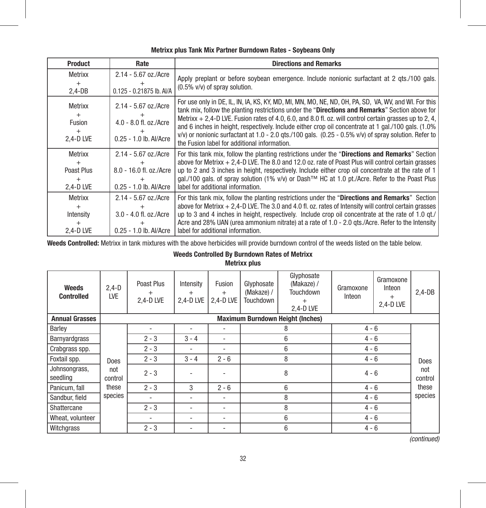|  |  | Metrixx plus Tank Mix Partner Burndown Rates - Soybeans Only |  |  |  |
|--|--|--------------------------------------------------------------|--|--|--|
|--|--|--------------------------------------------------------------|--|--|--|

| <b>Product</b>                           | Rate                                                                      | <b>Directions and Remarks</b>                                                                                                                                                                                                                                                                                                                                                                                                                                                                                                                                                                |
|------------------------------------------|---------------------------------------------------------------------------|----------------------------------------------------------------------------------------------------------------------------------------------------------------------------------------------------------------------------------------------------------------------------------------------------------------------------------------------------------------------------------------------------------------------------------------------------------------------------------------------------------------------------------------------------------------------------------------------|
| Metrixx<br>$+$<br>$2.4 - DB$             | 2.14 - 5.67 oz./Acre<br>0.125 - 0.21875 lb. AI/A                          | Apply preplant or before soybean emergence. Include nonionic surfactant at 2 gts./100 gals.<br>$(0.5\%$ v/v) of spray solution.                                                                                                                                                                                                                                                                                                                                                                                                                                                              |
| Metrixx<br>$\div$<br>Fusion<br>2.4-D LVE | 2.14 - 5.67 oz./Acre<br>4.0 - 8.0 fl. oz./Acre<br>0.25 - 1.0 lb. Al/Acre  | For use only in DE, IL, IN, IA, KS, KY, MD, MI, MN, MO, NE, ND, OH, PA, SD, VA, WV, and WI. For this<br>tank mix, follow the planting restrictions under the "Directions and Remarks" Section above for<br>Metrixx $+ 2,4$ -D LVE. Fusion rates of 4.0, 6.0, and 8.0 fl. oz. will control certain grasses up to 2, 4,<br>and 6 inches in height, respectively. Include either crop oil concentrate at 1 gal./100 gals. (1.0%)<br>$v/v$ ) or nonionic surfactant at 1.0 - 2.0 qts./100 qals. (0.25 - 0.5% $v/v$ ) of spray solution. Refer to<br>the Fusion label for additional information. |
| Metrixx<br>÷<br>Poast Plus<br>2.4-D LVE  | 2.14 - 5.67 oz./Acre<br>8.0 - 16.0 fl. oz./Acre<br>0.25 - 1.0 lb. Al/Acre | For this tank mix, follow the planting restrictions under the "Directions and Remarks" Section<br>above for Metrix $x + 2.4$ -D LVE. The 8.0 and 12.0 oz. rate of Poast Plus will control certain grasses<br>up to 2 and 3 inches in height, respectively. Include either crop oil concentrate at the rate of 1<br>gal./100 gals. of spray solution (1% v/v) or Dash <sup>™</sup> HC at 1.0 pt./Acre. Refer to the Poast Plus<br>label for additional information.                                                                                                                           |
| Metrixx<br>÷<br>Intensity<br>2.4-D LVE   | 2.14 - 5.67 oz./Acre<br>3.0 - 4.0 fl. oz./Acre<br>0.25 - 1.0 lb. Al/Acre  | For this tank mix, follow the planting restrictions under the "Directions and Remarks" Section<br>above for Metrixx $+ 2,4$ -D LVE. The 3.0 and 4.0 fl. oz. rates of Intensity will control certain grasses<br>up to 3 and 4 inches in height, respectively. Include crop oil concentrate at the rate of 1.0 gt./<br>Acre and 28% UAN (urea ammonium nitrate) at a rate of 1.0 - 2.0 gts./Acre. Refer to the Intensity<br>label for additional information.                                                                                                                                  |

**Weeds Controlled:** Metrixx in tank mixtures with the above herbicides will provide burndown control of the weeds listed on the table below.

# **Weeds Controlled By Burndown Rates of Metrixx**

### **Metrixx plus**

| Weeds<br><b>Controlled</b> | $2.4-D$<br>LVE | Poast Plus<br>÷<br>2.4-D LVE | Intensity<br>$\ddot{}$<br>2.4-D LVE | Fusion<br>$\div$<br>2.4-D LVE | Glyphosate<br>(Makaze) /<br>Touchdown | Glyphosate<br>(Makaze) /<br>Touchdown<br>÷<br>2.4-D LVE | Gramoxone<br>Inteon | Gramoxone<br>Inteon<br>$\div$<br>2.4-D LVE | $2.4-DB$       |
|----------------------------|----------------|------------------------------|-------------------------------------|-------------------------------|---------------------------------------|---------------------------------------------------------|---------------------|--------------------------------------------|----------------|
| <b>Annual Grasses</b>      |                |                              |                                     |                               |                                       | <b>Maximum Burndown Height (Inches)</b>                 |                     |                                            |                |
| Barley                     |                |                              | $\overline{\phantom{0}}$            | ۰                             |                                       | 8                                                       | $4 - 6$             |                                            |                |
| Barnyardgrass              |                | $2 - 3$                      | $3 - 4$                             |                               |                                       | 6                                                       | $4 - 6$             |                                            |                |
| Crabgrass spp.             |                | $2 - 3$                      | ٠                                   | $\overline{\phantom{0}}$      |                                       | 6                                                       | $4 - 6$             |                                            |                |
| Foxtail spp.               | Does           | $2 - 3$                      | $3 - 4$                             | $2 - 6$                       |                                       | 8                                                       | $4 - 6$             |                                            | Does           |
| Johnsongrass,<br>seedling  | not<br>control | $2 - 3$                      |                                     |                               |                                       | 8                                                       | $4 - 6$             |                                            | not<br>control |
| Panicum, fall              | these          | $2 - 3$                      | 3                                   | $2 - 6$                       |                                       | 6                                                       | $4 - 6$             |                                            | these          |
| Sandbur, field             | species        |                              | ٠                                   |                               |                                       | 8                                                       | $4 - 6$             |                                            | species        |
| Shattercane                |                | $2 - 3$                      | ٠                                   | ٠                             |                                       | 8                                                       | $4 - 6$             |                                            |                |
| Wheat, volunteer           |                |                              | ٠                                   | ٠                             |                                       | 6                                                       | $4 - 6$             |                                            |                |
| Witchgrass                 |                | $2 - 3$                      | ٠                                   |                               |                                       | 6                                                       | $4 - 6$             |                                            |                |

*(continued)*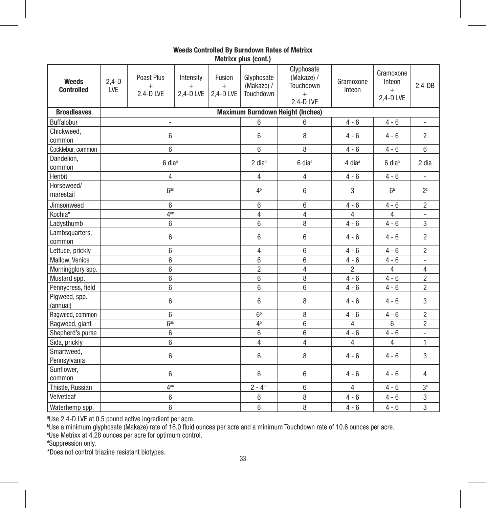### **Weeds Controlled By Burndown Rates of Metrixx Metrixx plus (cont.)**

|                            |                 |                                |                                     |                            | $\cdot$                               |                                                           |                          |                                         |                          |
|----------------------------|-----------------|--------------------------------|-------------------------------------|----------------------------|---------------------------------------|-----------------------------------------------------------|--------------------------|-----------------------------------------|--------------------------|
| Weeds<br><b>Controlled</b> | $2,4-D$<br>LVE  | Poast Plus<br>$+$<br>2.4-D LVE | Intensity<br>$\ddot{}$<br>2,4-D LVE | Fusion<br>$+$<br>2.4-D LVE | Glyphosate<br>(Makaze) /<br>Touchdown | Glyphosate<br>(Makaze) /<br>Touchdown<br>$+$<br>2,4-D LVE | Gramoxone<br>Inteon      | Gramoxone<br>Inteon<br>$+$<br>2,4-D LVE | $2,4-DB$                 |
| <b>Broadleaves</b>         |                 |                                |                                     |                            |                                       | <b>Maximum Burndown Height (Inches)</b>                   |                          |                                         |                          |
| <b>Buffalobur</b>          |                 | $\overline{\phantom{a}}$       |                                     |                            | 6                                     | 6                                                         | $4 - 6$                  | $4 - 6$                                 | ÷.                       |
| Chickweed.<br>common       |                 | 6                              |                                     |                            | 6                                     | 8                                                         | $4 - 6$                  | $4 - 6$                                 | $\overline{c}$           |
| Cocklebur, common          |                 | 6                              |                                     |                            | 6                                     | 8                                                         | $4 - 6$                  | $4 - 6$                                 | 6                        |
| Dandelion,<br>common       |                 | $6$ dia <sup>a</sup>           |                                     |                            | $2$ dia <sup>b</sup>                  | $6$ dia $a$                                               | 4 dia <sup>a</sup>       | $6$ dia $a$                             | 2 dia                    |
| Henbit                     |                 | 4                              |                                     |                            | 4                                     | $\overline{4}$                                            | $4 - 6$                  | $4 - 6$                                 | $\overline{\phantom{a}}$ |
| Horseweed/<br>marestail    |                 | $6a$ c                         |                                     |                            | 4 <sup>b</sup>                        | 6                                                         | 3                        | 6 <sup>a</sup>                          | 2 <sup>c</sup>           |
| <b>Jimsonweed</b>          |                 | 6                              |                                     |                            | 6                                     | 6                                                         | $4 - 6$                  | $4 - 6$                                 | $\overline{c}$           |
| Kochia*                    |                 | 4 <sup>ac</sup>                |                                     |                            | 4                                     | 4                                                         | $\overline{4}$           | 4                                       | $\overline{\phantom{a}}$ |
| Ladysthumb                 | 6               |                                |                                     | 6                          | 8                                     | $4 - 6$                                                   | $4 - 6$                  | 3                                       |                          |
| Lambsquarters,<br>common   | 6               |                                | 6                                   | 6                          | $4 - 6$                               | $4 - 6$                                                   | $\overline{c}$           |                                         |                          |
| Lettuce, prickly           | 6               |                                |                                     | 4                          | 6                                     | $4 - 6$                                                   | $4 - 6$                  | $\overline{c}$                          |                          |
| Mallow. Venice             | 6               |                                | 6                                   | 6                          | $4 - 6$                               | $4 - 6$                                                   | $\overline{\phantom{a}}$ |                                         |                          |
| Morningglory spp.          |                 | 6                              |                                     |                            | $\overline{2}$                        | $\overline{4}$                                            | $\overline{2}$           | 4                                       | $\overline{4}$           |
| Mustard spp.               |                 | 6                              |                                     |                            | $\overline{6}$                        | $\overline{8}$                                            | $4 - 6$                  | $4 - 6$                                 | $\overline{2}$           |
| Pennycress, field          |                 | 6                              |                                     |                            | 6                                     | 6                                                         | $4 - 6$                  | $4 - 6$                                 | $\overline{c}$           |
| Pigweed, spp.<br>(annual)  | 6               |                                | 6                                   | 8                          | $4 - 6$                               | $4 - 6$                                                   | 3                        |                                         |                          |
| Ragweed, common            |                 | 6                              |                                     |                            | 6 <sup>b</sup>                        | 8                                                         | $4 - 6$                  | $4 - 6$                                 | $\overline{2}$           |
| Ragweed, giant             |                 | 6 <sup>ac</sup>                |                                     |                            | 4 <sup>b</sup>                        | 6                                                         | 4                        | 6                                       | $\overline{c}$           |
| Shepherd's purse           | 6               |                                | 6                                   | 6                          | $4 - 6$                               | $4 - 6$                                                   |                          |                                         |                          |
| Sida, prickly              | 6               |                                | 4                                   | 4                          | 4                                     | 4                                                         | $\mathbf{1}$             |                                         |                          |
| Smartweed.<br>Pennsylvania | 6               |                                | 6                                   | 8                          | $4 - 6$                               | $4 - 6$                                                   | 3                        |                                         |                          |
| Sunflower.<br>common       | 6               |                                | 6                                   | 6                          | $4 - 6$                               | $4 - 6$                                                   | 4                        |                                         |                          |
| Thistle, Russian           | 4 <sup>ac</sup> |                                | $2 - 4$ <sub>bc</sub>               | 6                          | 4                                     | $4 - 6$                                                   | 3 <sup>c</sup>           |                                         |                          |
| Velvetleaf                 |                 | 6                              |                                     |                            | 6                                     | 8                                                         | $4 - 6$                  | $4 - 6$                                 | 3                        |
| Waterhemp spp.             |                 | 6                              |                                     |                            | 6                                     | 8                                                         | $4 - 6$                  | $4 - 6$                                 | 3                        |

a Use 2,4-D LVE at 0.5 pound active ingredient per acre.

b Use a minimum glyphosate (Makaze) rate of 16.0 fluid ounces per acre and a minimum Touchdown rate of 10.6 ounces per acre.

c Use Metrixx at 4.28 ounces per acre for optimum control.

<sup>d</sup>Suppression only.<br>\*Does not control triazine resistant biotypes.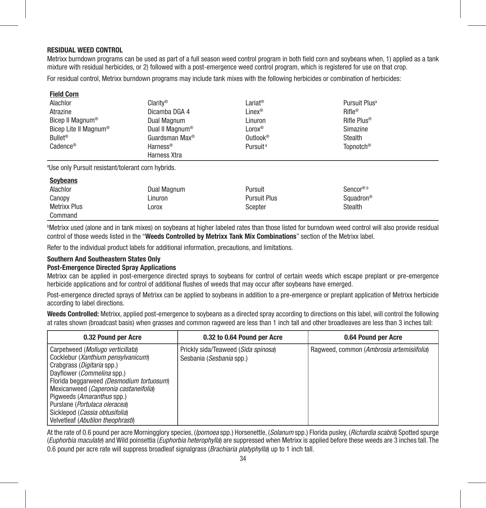### **RESIDUAL WEED CONTROL**

Metrixx burndown programs can be used as part of a full season weed control program in both field corn and soybeans when, 1) applied as a tank mixture with residual herbicides, or 2) followed with a post-emergence weed control program, which is registered for use on that crop.

For residual control, Metrixx burndown programs may include tank mixes with the following herbicides or combination of herbicides:

| <b>Field Corn</b>                 |                             |                      |                           |  |
|-----------------------------------|-----------------------------|----------------------|---------------------------|--|
| Alachlor                          | Claritv <sup>®</sup>        | Lariat®              | Pursuit Plus <sup>a</sup> |  |
| Atrazine                          | Dicamba DGA 4               | Linex <sup>®</sup>   | Rifle <sup>®</sup>        |  |
| Bicep II Magnum <sup>®</sup>      | Dual Magnum                 | Linuron              | Rifle Plus <sup>®</sup>   |  |
| Bicep Lite II Magnum <sup>®</sup> | Dual II Magnum <sup>®</sup> | Lorox®               | Simazine                  |  |
| Bullet <sup>®</sup>               | Guardsman Max <sup>®</sup>  | Outlook®             | Stealth                   |  |
| Cadence <sup>®</sup>              | Harness <sup>®</sup>        | Pursuit <sup>a</sup> | Topnotch <sup>®</sup>     |  |
|                                   | Harness Xtra                |                      |                           |  |
|                                   |                             |                      |                           |  |

a Use only Pursuit resistant/tolerant corn hybrids.

### **Soybeans**

| Alachlor            | Dual Magnum | Pursuit             | Sencor® <sup>b</sup>  |
|---------------------|-------------|---------------------|-----------------------|
| Canopy              | Linuron     | <b>Pursuit Plus</b> | Squadron <sup>®</sup> |
| <b>Metrixx Plus</b> | Lorox       | Scepter             | Stealth               |
| Command             |             |                     |                       |

b Metrixx used (alone and in tank mixes) on soybeans at higher labeled rates than those listed for burndown weed control will also provide residual control of those weeds listed in the "**Weeds Controlled by Metrixx Tank Mix Combinations**" section of the Metrixx label.

Refer to the individual product labels for additional information, precautions, and limitations.

### **Southern And Southeastern States Only**

### **Post-Emergence Directed Spray Applications**

Metrixx can be applied in post-emergence directed sprays to soybeans for control of certain weeds which escape preplant or pre-emergence herbicide applications and for control of additional flushes of weeds that may occur after soybeans have emerged.

Post-emergence directed sprays of Metrixx can be applied to soybeans in addition to a pre-emergence or preplant application of Metrixx herbicide according to label directions.

**Weeds Controlled:** Metrixx, applied post-emergence to soybeans as a directed spray according to directions on this label, will control the following at rates shown (broadcast basis) when grasses and common ragweed are less than 1 inch tall and other broadleaves are less than 3 inches tall:

| 0.32 Pound per Acre                                                               | 0.32 to 0.64 Pound per Acre                                     | 0.64 Pound per Acre                       |
|-----------------------------------------------------------------------------------|-----------------------------------------------------------------|-------------------------------------------|
| Carpetweed (Mollugo verticillata)<br>Cocklebur (Xanthium pensylvanicum)           | Prickly sida/Teaweed (Sida spinosa)<br>Sesbania (Sesbania spp.) | Ragweed, common (Ambrosia artemisiifolia) |
| Crabgrass ( <i>Digitaria</i> spp.)<br>Dayflower ( <i>Commelina</i> spp.)          |                                                                 |                                           |
| Florida beggarweed (Desmodium tortuosum)<br>Mexicanweed (Caperonia castaneifolia) |                                                                 |                                           |
| Pigweeds (Amaranthus spp.)<br>Purslane (Portulaca oleracea)                       |                                                                 |                                           |
| Sicklepod (Cassia obtusifolia)<br>Velvetleaf (Abutilon theophrasti)               |                                                                 |                                           |

At the rate of 0.6 pound per acre Morningglory species, (*Ipomoea* spp.) Horsenettle, (*Solanum* spp.) Florida pusley, (*Richardia scabra*) Spotted spurge (*Euphorbia maculate*) and Wild poinsettia (*Euphorbia heterophylla*) are suppressed when Metrixx is applied before these weeds are 3 inches tall. The 0.6 pound per acre rate will suppress broadleaf signalgrass (*Brachiaria platyphylla*) up to 1 inch tall.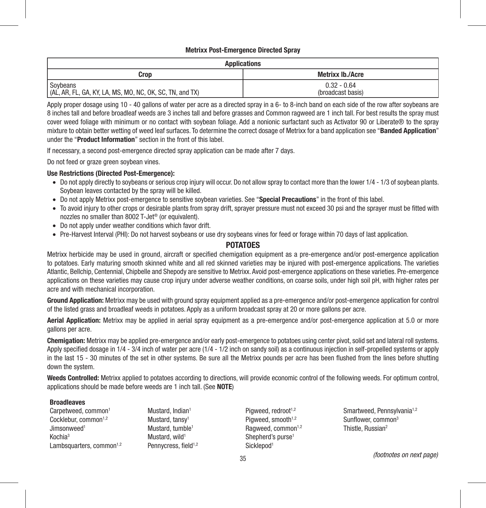### **Metrixx Post-Emergence Directed Spray**

| <b>Applications</b>                                                  |                                    |  |
|----------------------------------------------------------------------|------------------------------------|--|
| Crop                                                                 | <b>Metrixx Ib./Acre</b>            |  |
| Soybeans<br>(AL, AR, FL, GA, KY, LA, MS, MO, NC, OK, SC, TN, and TX) | $0.32 - 0.64$<br>(broadcast basis) |  |

Apply proper dosage using 10 - 40 gallons of water per acre as a directed spray in a 6- to 8-inch band on each side of the row after soybeans are 8 inches tall and before broadleaf weeds are 3 inches tall and before grasses and Common ragweed are 1 inch tall. For best results the spray must cover weed foliage with minimum or no contact with soybean foliage. Add a nonionic surfactant such as Activator 90 or Liberate® to the spray mixture to obtain better wetting of weed leaf surfaces. To determine the correct dosage of Metrixx for a band application see "**Banded Application**" under the "**Product Information**" section in the front of this label.

If necessary, a second post-emergence directed spray application can be made after 7 days.

Do not feed or graze green soybean vines.

### **Use Restrictions (Directed Post-Emergence):**

- Do not apply directly to soybeans or serious crop injury will occur. Do not allow spray to contact more than the lower 1/4 1/3 of soybean plants. Soybean leaves contacted by the spray will be killed.
- • Do not apply Metrixx post-emergence to sensitive soybean varieties. See "**Special Precautions**" in the front of this label.
- To avoid injury to other crops or desirable plants from spray drift, sprayer pressure must not exceed 30 psi and the sprayer must be fitted with nozzles no smaller than 8002 T-Jet® (or equivalent).
- Do not apply under weather conditions which favor drift.
- Pre-Harvest Interval (PHI): Do not harvest soybeans or use dry soybeans vines for feed or forage within 70 days of last application.

### **POTATOES**

Metrixx herbicide may be used in ground, aircraft or specified chemigation equipment as a pre-emergence and/or post-emergence application to potatoes. Early maturing smooth skinned white and all red skinned varieties may be injured with post-emergence applications. The varieties Atlantic, Bellchip, Centennial, Chipbelle and Shepody are sensitive to Metrixx. Avoid post-emergence applications on these varieties. Pre-emergence applications on these varieties may cause crop injury under adverse weather conditions, on coarse soils, under high soil pH, with higher rates per acre and with mechanical incorporation.

**Ground Application:** Metrixx may be used with ground spray equipment applied as a pre-emergence and/or post-emergence application for control of the listed grass and broadleaf weeds in potatoes. Apply as a uniform broadcast spray at 20 or more gallons per acre.

**Aerial Application:** Metrixx may be applied in aerial spray equipment as a pre-emergence and/or post-emergence application at 5.0 or more gallons per acre.

**Chemigation:** Metrixx may be applied pre-emergence and/or early post-emergence to potatoes using center pivot, solid set and lateral roll systems. Apply specified dosage in 1/4 - 3/4 inch of water per acre (1/4 - 1/2 inch on sandy soil) as a continuous injection in self-propelled systems or apply in the last 15 - 30 minutes of the set in other systems. Be sure all the Metrixx pounds per acre has been flushed from the lines before shutting down the system.

**Weeds Controlled:** Metrixx applied to potatoes according to directions, will provide economic control of the following weeds. For optimum control, applications should be made before weeds are 1 inch tall. (See **NOTE**)

### **Broadleaves**

| Carpetweed, common <sup>1</sup>      |
|--------------------------------------|
| Cocklebur, common <sup>1,2</sup>     |
| Jimsonweed <sup>1</sup>              |
| Kochia <sup>3</sup>                  |
| Lambsquarters, common <sup>1,2</sup> |

Mustard, Indian<sup>1</sup> Mustard, tansy<sup>1</sup> Mustard, tumble<sup>1</sup> Mustard, wild<sup>1</sup> Pennycress, field<sup>1,2</sup>

Pigweed, redroot<sup>1,2</sup> Pigweed, smooth<sup>1,2</sup> Ragweed, common $1,2$ Shepherd's purse<sup>1</sup> Sicklepod<sup>1</sup>

Smartweed, Pennsylvania<sup>1,2</sup> Sunflower, common<sup>3</sup> Thistle, Russian<sup>2</sup>

*(footnotes on next page)*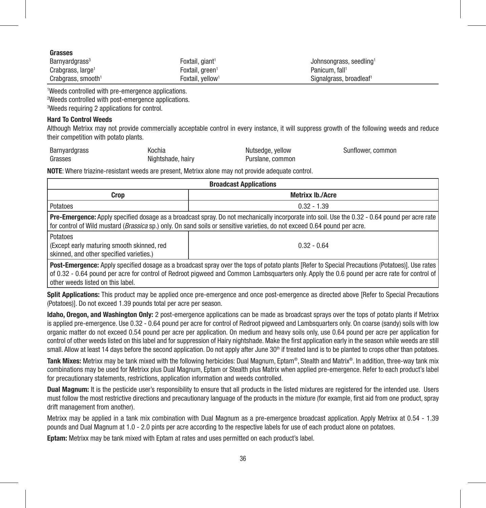| инаээсэ                        |                              |                                     |
|--------------------------------|------------------------------|-------------------------------------|
| Barnvardgrass <sup>3</sup>     | Foxtail, giant <sup>1</sup>  | Johnsongrass, seedling              |
| Crabgrass, large <sup>1</sup>  | Foxtail, green <sup>1</sup>  | Panicum, fall <sup>1</sup>          |
| Crabgrass, smooth <sup>1</sup> | Foxtail, vellow <sup>1</sup> | Signalgrass, broadleaf <sup>1</sup> |

1 Weeds controlled with pre-emergence applications.

2 Weeds controlled with post-emergence applications.

3 Weeds requiring 2 applications for control.

### **Hard To Control Weeds**

**Grasses**

Although Metrixx may not provide commercially acceptable control in every instance, it will suppress growth of the following weeds and reduce their competition with potato plants.

| Barnyardgrass | Kochia            | Nutsedge, yellow | Sunflower, common |
|---------------|-------------------|------------------|-------------------|
| Grasses       | Nightshade, hairy | Purslane, common |                   |

**NOTE**: Where triazine-resistant weeds are present, Metrixx alone may not provide adequate control.

| <b>Broadcast Applications</b>                                                                                                                                                                                                                                                                     |                         |  |  |  |
|---------------------------------------------------------------------------------------------------------------------------------------------------------------------------------------------------------------------------------------------------------------------------------------------------|-------------------------|--|--|--|
| Crop                                                                                                                                                                                                                                                                                              | <b>Metrixx Ib./Acre</b> |  |  |  |
| Potatoes                                                                                                                                                                                                                                                                                          | $0.32 - 1.39$           |  |  |  |
| Pre-Emergence: Apply specified dosage as a broadcast spray. Do not mechanically incorporate into soil. Use the 0.32 - 0.64 pound per acre rate<br>for control of Wild mustard ( <i>Brassica</i> sp.) only. On sand soils or sensitive varieties, do not exceed 0.64 pound per acre.               |                         |  |  |  |
| Potatoes<br>(Except early maturing smooth skinned, red<br>$0.32 - 0.64$<br>skinned, and other specified varieties.)                                                                                                                                                                               |                         |  |  |  |
| Post-Emergence: Apply specified dosage as a broadcast spray over the tops of potato plants [Refer to Special Precautions (Potatoes)]. Use rates  <br>of 0.32 - 0.64 pound per acre for control of Redroot pigweed and Common Lambsquarters only. Apply the 0.6 pound per acre rate for control of |                         |  |  |  |

other weeds listed on this label.

**Split Applications:** This product may be applied once pre-emergence and once post-emergence as directed above [Refer to Special Precautions (Potatoes)]. Do not exceed 1.39 pounds total per acre per season.

**Idaho, Oregon, and Washington Only:** 2 post-emergence applications can be made as broadcast sprays over the tops of potato plants if Metrixx is applied pre-emergence. Use 0.32 - 0.64 pound per acre for control of Redroot pigweed and Lambsquarters only. On coarse (sandy) soils with low organic matter do not exceed 0.54 pound per acre per application. On medium and heavy soils only, use 0.64 pound per acre per application for control of other weeds listed on this label and for suppression of Hairy nightshade. Make the first application early in the season while weeds are still small. Allow at least 14 days before the second application. Do not apply after June 30<sup>th</sup> if treated land is to be planted to crops other than potatoes.

**Tank Mixes:** Metrixx may be tank mixed with the following herbicides: Dual Magnum, Eptam®, Stealth and Matrix®. In addition, three-way tank mix combinations may be used for Metrixx plus Dual Magnum, Eptam or Stealth plus Matrix when applied pre-emergence. Refer to each product's label for precautionary statements, restrictions, application information and weeds controlled.

**Dual Magnum:** It is the pesticide user's responsibility to ensure that all products in the listed mixtures are registered for the intended use. Users must follow the most restrictive directions and precautionary language of the products in the mixture (for example, first aid from one product, spray drift management from another).

Metrixx may be applied in a tank mix combination with Dual Magnum as a pre-emergence broadcast application. Apply Metrixx at 0.54 - 1.39 pounds and Dual Magnum at 1.0 - 2.0 pints per acre according to the respective labels for use of each product alone on potatoes.

**Eptam:** Metrixx may be tank mixed with Eptam at rates and uses permitted on each product's label.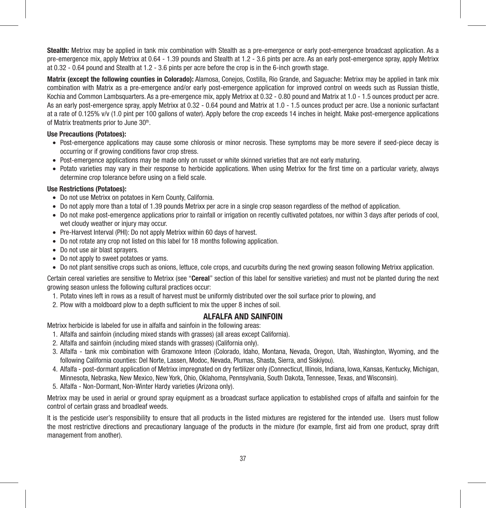Stealth: Metrixx may be applied in tank mix combination with Stealth as a pre-emergence or early post-emergence broadcast application. As a pre-emergence mix, apply Metrixx at 0.64 - 1.39 pounds and Stealth at 1.2 - 3.6 pints per acre. As an early post-emergence spray, apply Metrixx at 0.32 - 0.64 pound and Stealth at 1.2 - 3.6 pints per acre before the crop is in the 6-inch growth stage.

**Matrix (except the following counties in Colorado):** Alamosa, Conejos, Costilla, Rio Grande, and Saguache: Metrixx may be applied in tank mix combination with Matrix as a pre-emergence and/or early post-emergence application for improved control on weeds such as Russian thistle, Kochia and Common Lambsquarters. As a pre-emergence mix, apply Metrixx at 0.32 - 0.80 pound and Matrix at 1.0 - 1.5 ounces product per acre. As an early post-emergence spray, apply Metrixx at 0.32 - 0.64 pound and Matrix at 1.0 - 1.5 ounces product per acre. Use a nonionic surfactant at a rate of 0.125% v/v (1.0 pint per 100 gallons of water). Apply before the crop exceeds 14 inches in height. Make post-emergence applications of Matrix treatments prior to June  $30<sup>th</sup>$ .

### **Use Precautions (Potatoes):**

- Post-emergence applications may cause some chlorosis or minor necrosis. These symptoms may be more severe if seed-piece decay is occurring or if growing conditions favor crop stress.
- Post-emergence applications may be made only on russet or white skinned varieties that are not early maturing.
- • Potato varieties may vary in their response to herbicide applications. When using Metrixx for the first time on a particular variety, always determine crop tolerance before using on a field scale.

### **Use Restrictions (Potatoes):**

- Do not use Metrixx on potatoes in Kern County, California.
- • Do not apply more than a total of 1.39 pounds Metrixx per acre in a single crop season regardless of the method of application.
- • Do not make post-emergence applications prior to rainfall or irrigation on recently cultivated potatoes, nor within 3 days after periods of cool, wet cloudy weather or injury may occur.
- Pre-Harvest Interval (PHI): Do not apply Metrixx within 60 days of harvest.
- Do not rotate any crop not listed on this label for 18 months following application.
- Do not use air blast sprayers.
- Do not apply to sweet potatoes or yams.
- Do not plant sensitive crops such as onions, lettuce, cole crops, and cucurbits during the next growing season following Metrixx application.

Certain cereal varieties are sensitive to Metrixx (see "**Cereal**" section of this label for sensitive varieties) and must not be planted during the next growing season unless the following cultural practices occur:

- 1. Potato vines left in rows as a result of harvest must be uniformly distributed over the soil surface prior to plowing, and
- 2. Plow with a moldboard plow to a depth sufficient to mix the upper 8 inches of soil.

### **ALFALFA AND SAINFOIN**

Metrixx herbicide is labeled for use in alfalfa and sainfoin in the following areas:

- 1. Alfalfa and sainfoin (including mixed stands with grasses) (all areas except California).
- 2. Alfalfa and sainfoin (including mixed stands with grasses) (California only).
- 3. Alfalfa tank mix combination with Gramoxone Inteon (Colorado, Idaho, Montana, Nevada, Oregon, Utah, Washington, Wyoming, and the following California counties: Del Norte, Lassen, Modoc, Nevada, Plumas, Shasta, Sierra, and Siskiyou).
- 4. Alfalfa post-dormant application of Metrixx impregnated on dry fertilizer only (Connecticut, Illinois, Indiana, Iowa, Kansas, Kentucky, Michigan, Minnesota, Nebraska, New Mexico, New York, Ohio, Oklahoma, Pennsylvania, South Dakota, Tennessee, Texas, and Wisconsin).
- 5. Alfalfa Non-Dormant, Non-Winter Hardy varieties (Arizona only).

Metrixx may be used in aerial or ground spray equipment as a broadcast surface application to established crops of alfalfa and sainfoin for the control of certain grass and broadleaf weeds.

It is the pesticide user's responsibility to ensure that all products in the listed mixtures are registered for the intended use. Users must follow the most restrictive directions and precautionary language of the products in the mixture (for example, first aid from one product, spray drift management from another).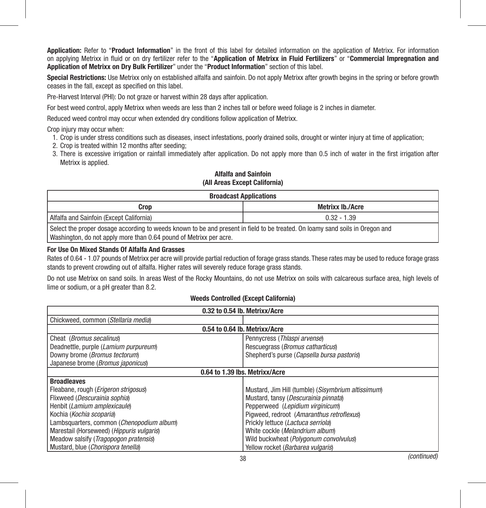**Application:** Refer to "**Product Information**" in the front of this label for detailed information on the application of Metrixx. For information on applying Metrixx in fluid or on dry fertilizer refer to the "**Application of Metrixx in Fluid Fertilizers**" or "**Commercial Impregnation and Application of Metrixx on Dry Bulk Fertilizer**" under the "**Product Information**" section of this label.

**Special Restrictions:** Use Metrixx only on established alfalfa and sainfoin. Do not apply Metrixx after growth begins in the spring or before growth ceases in the fall, except as specified on this label.

Pre-Harvest Interval (PHI): Do not graze or harvest within 28 days after application.

For best weed control, apply Metrixx when weeds are less than 2 inches tall or before weed foliage is 2 inches in diameter.

Reduced weed control may occur when extended dry conditions follow application of Metrixx.

Crop injury may occur when:

- 1. Crop is under stress conditions such as diseases, insect infestations, poorly drained soils, drought or winter injury at time of application;
- 2. Crop is treated within 12 months after seeding;
- 3. There is excessive irrigation or rainfall immediately after application. Do not apply more than 0.5 inch of water in the first irrigation after Metrixx is applied.

### **Alfalfa and Sainfoin (All Areas Except California)**

| <b>Broadcast Applications</b>                                                                                                                                                                       |               |  |  |  |
|-----------------------------------------------------------------------------------------------------------------------------------------------------------------------------------------------------|---------------|--|--|--|
| <b>Metrixx Ib./Acre</b><br>Crop                                                                                                                                                                     |               |  |  |  |
| Alfalfa and Sainfoin (Except California)                                                                                                                                                            | $0.32 - 1.39$ |  |  |  |
| Select the proper dosage according to weeds known to be and present in field to be treated. On loamy sand soils in Oregon and<br>Washington, do not apply more than 0.64 pound of Metrixx per acre. |               |  |  |  |

### **For Use On Mixed Stands Of Alfalfa And Grasses**

Rates of 0.64 - 1.07 pounds of Metrixx per acre will provide partial reduction of forage grass stands. These rates may be used to reduce forage grass stands to prevent crowding out of alfalfa. Higher rates will severely reduce forage grass stands.

Do not use Metrixx on sand soils. In areas West of the Rocky Mountains, do not use Metrixx on soils with calcareous surface area, high levels of lime or sodium, or a pH greater than 8.2.

### **Weeds Controlled (Except California)**

| 0.32 to 0.54 lb. Metrixx/Acre                                                   |                                                    |  |
|---------------------------------------------------------------------------------|----------------------------------------------------|--|
| Chickweed, common (Stellaria media)                                             |                                                    |  |
| 0.54 to 0.64 lb. Metrixx/Acre                                                   |                                                    |  |
| Cheat (Bromus secalinus)                                                        | Pennycress (Thlaspi arvense)                       |  |
| Deadnettle, purple (Lamium purpureum)                                           | Rescuegrass (Bromus catharticus)                   |  |
| Downy brome (Bromus tectorum)                                                   | Shepherd's purse (Capsella bursa pastoris)         |  |
| Japanese brome (Bromus japonicus)                                               |                                                    |  |
| 0.64 to 1.39 lbs. Metrixx/Acre                                                  |                                                    |  |
| <b>Broadleaves</b>                                                              |                                                    |  |
| Fleabane, rough ( <i>Erigeron strigosus</i> )                                   | Mustard, Jim Hill (tumble) (Sisymbrium altissimum) |  |
| Flixweed (Descurainia sophia)                                                   | Mustard, tansy (Descurainia pinnata)               |  |
| Henbit (Lamium amplexicaule)                                                    | Pepperweed (Lepidium virainicum)                   |  |
| Kochia (Kochia scoparia)                                                        | Pigweed, redroot (Amaranthus retroflexus)          |  |
| Prickly lettuce (Lactuca serriola)<br>Lambsquarters, common (Chenopodium album) |                                                    |  |
| Marestail (Horseweed) (Hippuris vulgaris)                                       | White cockle (Melandrium album)                    |  |
| Meadow salsify ( <i>Tragopogon pratensis</i> )                                  | Wild buckwheat (Polygonum convolvulus)             |  |
| Mustard, blue (Chorispora tenella)                                              | Yellow rocket (Barbarea vulgaris)                  |  |

*(continued)*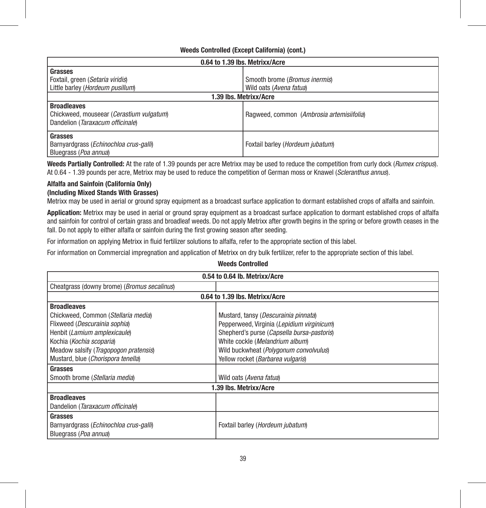| 0.64 to 1.39 lbs. Metrixx/Acre           |                                           |  |  |
|------------------------------------------|-------------------------------------------|--|--|
| Grasses                                  |                                           |  |  |
| Foxtail, green (Setaria viridis)         | Smooth brome (Bromus inermis)             |  |  |
| Little barley (Hordeum pusillum)         | Wild oats (Avena fatua)                   |  |  |
| 1.39 lbs. Metrixx/Acre                   |                                           |  |  |
| <b>Broadleaves</b>                       |                                           |  |  |
| Chickweed, mouseear (Cerastium vulgatum) | Ragweed, common (Ambrosia artemisiifolia) |  |  |
| Dandelion (Taraxacum officinale)         |                                           |  |  |
| Grasses                                  |                                           |  |  |
| Barnyardgrass (Echinochloa crus-galli)   | Foxtail barley (Hordeum jubatum)          |  |  |
| Bluegrass (Poa annua)                    |                                           |  |  |

### **Weeds Controlled (Except California) (cont.)**

**Weeds Partially Controlled:** At the rate of 1.39 pounds per acre Metrixx may be used to reduce the competition from curly dock (*Rumex crispus*). At 0.64 - 1.39 pounds per acre, Metrixx may be used to reduce the competition of German moss or Knawel (*Scleranthus annus*).

### **Alfalfa and Sainfoin (California Only)**

### **(Including Mixed Stands With Grasses)**

Metrixx may be used in aerial or ground spray equipment as a broadcast surface application to dormant established crops of alfalfa and sainfoin.

**Application:** Metrixx may be used in aerial or ground spray equipment as a broadcast surface application to dormant established crops of alfalfa and sainfoin for control of certain grass and broadleaf weeds. Do not apply Metrixx after growth begins in the spring or before growth ceases in the fall. Do not apply to either alfalfa or sainfoin during the first growing season after seeding.

For information on applying Metrixx in fluid fertilizer solutions to alfalfa, refer to the appropriate section of this label.

For information on Commercial impregnation and application of Metrixx on dry bulk fertilizer, refer to the appropriate section of this label.

### **Weeds Controlled**

| 0.54 to 0.64 lb. Metrixx/Acre                  |                                            |  |
|------------------------------------------------|--------------------------------------------|--|
| Cheatgrass (downy brome) (Bromus secalinus)    |                                            |  |
| 0.64 to 1.39 lbs. Metrixx/Acre                 |                                            |  |
| <b>Broadleaves</b>                             |                                            |  |
| Chickweed, Common (Stellaria media)            | Mustard, tansy (Descurainia pinnata)       |  |
| Flixweed (Descurainia sophia)                  | Pepperweed, Virginia (Lepidium virginicum) |  |
| Henbit (Lamium amplexicaule)                   | Shepherd's purse (Capsella bursa-pastoris) |  |
| Kochia (Kochia scoparia)                       | White cockle (Melandrium album)            |  |
| Meadow salsify ( <i>Tragopogon pratensis</i> ) | Wild buckwheat (Polygonum convolvulus)     |  |
| Mustard, blue (Chorispora tenella)             | Yellow rocket (Barbarea vulgaris)          |  |
| Grasses                                        |                                            |  |
| Smooth brome (Stellaria media)                 | Wild oats (Avena fatua)                    |  |
| 1.39 lbs. Metrixx/Acre                         |                                            |  |
| <b>Broadleaves</b>                             |                                            |  |
| Dandelion (Taraxacum officinale)               |                                            |  |
| Grasses                                        |                                            |  |
| Barnyardgrass (Echinochloa crus-galli)         | Foxtail barley (Hordeum jubatum)           |  |
| Bluegrass (Poa annua)                          |                                            |  |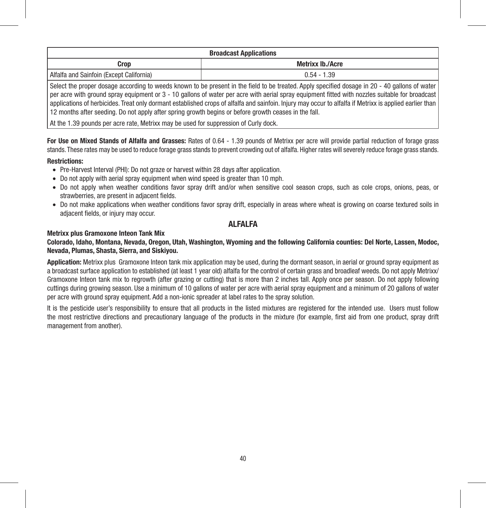| <b>Broadcast Applications</b>            |                         |  |
|------------------------------------------|-------------------------|--|
| Crop                                     | <b>Metrixx Ib./Acre</b> |  |
| Alfalfa and Sainfoin (Except California) | $0.54 - 1.39$           |  |
| .<br>                                    | .<br>$-1$               |  |

Select the proper dosage according to weeds known to be present in the field to be treated. Apply specified dosage in 20 - 40 gallons of water per acre with ground spray equipment or 3 - 10 gallons of water per acre with aerial spray equipment fitted with nozzles suitable for broadcast applications of herbicides. Treat only dormant established crops of alfalfa and sainfoin. Injury may occur to alfalfa if Metrixx is applied earlier than 12 months after seeding. Do not apply after spring growth begins or before growth ceases in the fall.

At the 1.39 pounds per acre rate, Metrixx may be used for suppression of Curly dock.

**For Use on Mixed Stands of Alfalfa and Grasses:** Rates of 0.64 - 1.39 pounds of Metrixx per acre will provide partial reduction of forage grass stands. These rates may be used to reduce forage grass stands to prevent crowding out of alfalfa. Higher rates will severely reduce forage grass stands.

### **Restrictions:**

- Pre-Harvest Interval (PHI): Do not graze or harvest within 28 days after application.
- Do not apply with aerial spray equipment when wind speed is greater than 10 mph.
- • Do not apply when weather conditions favor spray drift and/or when sensitive cool season crops, such as cole crops, onions, peas, or strawberries, are present in adjacent fields.
- Do not make applications when weather conditions favor spray drift, especially in areas where wheat is growing on coarse textured soils in adjacent fields, or injury may occur.

### **ALFALFA**

### **Metrixx plus Gramoxone Inteon Tank Mix**

### **Colorado, Idaho, Montana, Nevada, Oregon, Utah, Washington, Wyoming and the following California counties: Del Norte, Lassen, Modoc, Nevada, Plumas, Shasta, Sierra, and Siskiyou.**

**Application:** Metrixx plus Gramoxone Inteon tank mix application may be used, during the dormant season, in aerial or ground spray equipment as a broadcast surface application to established (at least 1 year old) alfalfa for the control of certain grass and broadleaf weeds. Do not apply Metrixx/ Gramoxone Inteon tank mix to regrowth (after grazing or cutting) that is more than 2 inches tall. Apply once per season. Do not apply following cuttings during growing season. Use a minimum of 10 gallons of water per acre with aerial spray equipment and a minimum of 20 gallons of water per acre with ground spray equipment. Add a non-ionic spreader at label rates to the spray solution.

It is the pesticide user's responsibility to ensure that all products in the listed mixtures are registered for the intended use. Users must follow the most restrictive directions and precautionary language of the products in the mixture (for example, first aid from one product, spray drift management from another).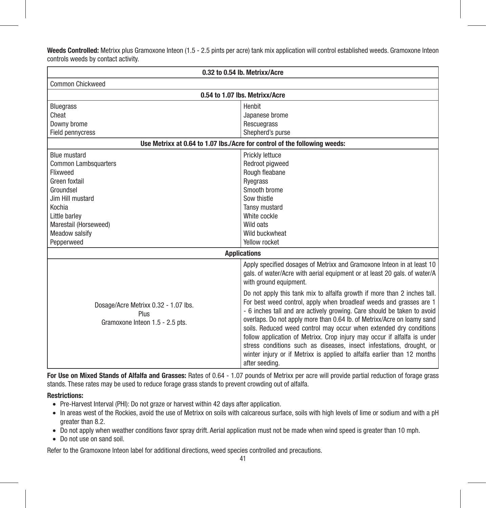**Weeds Controlled:** Metrixx plus Gramoxone Inteon (1.5 - 2.5 pints per acre) tank mix application will control established weeds. Gramoxone Inteon controls weeds by contact activity.

| 0.32 to 0.54 lb. Metrixx/Acre                                                   |                                                                                                                                                                                                                                                                                                                                                                                                                                                                                                                                                                                                                               |  |  |
|---------------------------------------------------------------------------------|-------------------------------------------------------------------------------------------------------------------------------------------------------------------------------------------------------------------------------------------------------------------------------------------------------------------------------------------------------------------------------------------------------------------------------------------------------------------------------------------------------------------------------------------------------------------------------------------------------------------------------|--|--|
| Common Chickweed                                                                |                                                                                                                                                                                                                                                                                                                                                                                                                                                                                                                                                                                                                               |  |  |
|                                                                                 | 0.54 to 1.07 lbs. Metrixx/Acre                                                                                                                                                                                                                                                                                                                                                                                                                                                                                                                                                                                                |  |  |
| <b>Bluegrass</b>                                                                | Henbit                                                                                                                                                                                                                                                                                                                                                                                                                                                                                                                                                                                                                        |  |  |
| Cheat                                                                           | Japanese brome                                                                                                                                                                                                                                                                                                                                                                                                                                                                                                                                                                                                                |  |  |
| Downy brome                                                                     | Rescuegrass                                                                                                                                                                                                                                                                                                                                                                                                                                                                                                                                                                                                                   |  |  |
| <b>Field pennycress</b>                                                         | Shepherd's purse                                                                                                                                                                                                                                                                                                                                                                                                                                                                                                                                                                                                              |  |  |
|                                                                                 | Use Metrixx at 0.64 to 1.07 lbs./Acre for control of the following weeds:                                                                                                                                                                                                                                                                                                                                                                                                                                                                                                                                                     |  |  |
| <b>Blue mustard</b><br>Prickly lettuce                                          |                                                                                                                                                                                                                                                                                                                                                                                                                                                                                                                                                                                                                               |  |  |
| <b>Common Lambsquarters</b>                                                     | Redroot pigweed                                                                                                                                                                                                                                                                                                                                                                                                                                                                                                                                                                                                               |  |  |
| Flixweed                                                                        | Rough fleabane                                                                                                                                                                                                                                                                                                                                                                                                                                                                                                                                                                                                                |  |  |
| Green foxtail                                                                   | Rvegrass                                                                                                                                                                                                                                                                                                                                                                                                                                                                                                                                                                                                                      |  |  |
| Groundsel                                                                       | Smooth brome                                                                                                                                                                                                                                                                                                                                                                                                                                                                                                                                                                                                                  |  |  |
| Jim Hill mustard                                                                | Sow thistle                                                                                                                                                                                                                                                                                                                                                                                                                                                                                                                                                                                                                   |  |  |
| Kochia                                                                          | <b>Tansy mustard</b>                                                                                                                                                                                                                                                                                                                                                                                                                                                                                                                                                                                                          |  |  |
| Little barlev                                                                   | White cockle                                                                                                                                                                                                                                                                                                                                                                                                                                                                                                                                                                                                                  |  |  |
| Marestail (Horseweed)                                                           | Wild oats                                                                                                                                                                                                                                                                                                                                                                                                                                                                                                                                                                                                                     |  |  |
| Meadow salsify                                                                  | Wild buckwheat                                                                                                                                                                                                                                                                                                                                                                                                                                                                                                                                                                                                                |  |  |
| Pepperweed                                                                      | Yellow rocket                                                                                                                                                                                                                                                                                                                                                                                                                                                                                                                                                                                                                 |  |  |
|                                                                                 | <b>Applications</b>                                                                                                                                                                                                                                                                                                                                                                                                                                                                                                                                                                                                           |  |  |
|                                                                                 | Apply specified dosages of Metrixx and Gramoxone Inteon in at least 10<br>gals. of water/Acre with aerial equipment or at least 20 gals. of water/A<br>with around equipment.                                                                                                                                                                                                                                                                                                                                                                                                                                                 |  |  |
| Dosage/Acre Metrixx 0.32 - 1.07 lbs.<br>Plus<br>Gramoxone Inteon 1.5 - 2.5 pts. | Do not apply this tank mix to alfalfa growth if more than 2 inches tall.<br>For best weed control, apply when broadleaf weeds and grasses are 1<br>- 6 inches tall and are actively growing. Care should be taken to avoid<br>overlaps. Do not apply more than 0.64 lb. of Metrixx/Acre on loamy sand<br>soils. Reduced weed control may occur when extended dry conditions<br>follow application of Metrixx. Crop injury may occur if alfalfa is under<br>stress conditions such as diseases, insect infestations, drought, or<br>winter injury or if Metrixx is applied to alfalfa earlier than 12 months<br>after seeding. |  |  |

**For Use on Mixed Stands of Alfalfa and Grasses:** Rates of 0.64 - 1.07 pounds of Metrixx per acre will provide partial reduction of forage grass stands. These rates may be used to reduce forage grass stands to prevent crowding out of alfalfa.

### **Restrictions:**

- Pre-Harvest Interval (PHI): Do not graze or harvest within 42 days after application.
- • In areas west of the Rockies, avoid the use of Metrixx on soils with calcareous surface, soils with high levels of lime or sodium and with a pH greater than 8.2.
- • Do not apply when weather conditions favor spray drift. Aerial application must not be made when wind speed is greater than 10 mph.
- • Do not use on sand soil.

Refer to the Gramoxone Inteon label for additional directions, weed species controlled and precautions.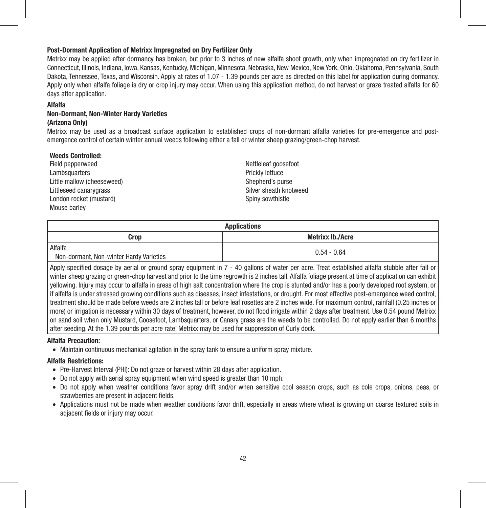### **Post-Dormant Application of Metrixx Impregnated on Dry Fertilizer Only**

Metrixx may be applied after dormancy has broken, but prior to 3 inches of new alfalfa shoot growth, only when impregnated on dry fertilizer in Connecticut, Illinois, Indiana, Iowa, Kansas, Kentucky, Michigan, Minnesota, Nebraska, New Mexico, New York, Ohio, Oklahoma, Pennsylvania, South Dakota, Tennessee, Texas, and Wisconsin, Apply at rates of 1.07 - 1.39 pounds per acre as directed on this label for application during dormancy. Apply only when alfalfa foliage is dry or crop injury may occur. When using this application method, do not harvest or graze treated alfalfa for 60 days after application.

### **Alfalfa**

### **Non-Dormant, Non-Winter Hardy Varieties**

### **(Arizona Only)**

Metrixx may be used as a broadcast surface application to established crops of non-dormant alfalfa varieties for pre-emergence and postemergence control of certain winter annual weeds following either a fall or winter sheep grazing/green-chop harvest.

### **Weeds Controlled:**

Field pepperweed **Lambsquarters** Little mallow (cheeseweed) Littleseed canarygrass London rocket (mustard) Mouse barley

Nettleleaf goosefoot Prickly lettuce Shepherd's purse Silver sheath knotweed Spiny sowthistle

| <b>Applications</b>                                       |                         |  |
|-----------------------------------------------------------|-------------------------|--|
| Crop                                                      | <b>Metrixx Ib./Acre</b> |  |
| <b>Alfalfa</b><br>Non-dormant, Non-winter Hardy Varieties | $0.54 - 0.64$           |  |

Apply specified dosage by aerial or ground spray equipment in 7 - 40 gallons of water per acre. Treat established alfalfa stubble after fall or winter sheep grazing or green-chop harvest and prior to the time regrowth is 2 inches tall. Alfalfa foliage present at time of application can exhibit yellowing. Injury may occur to alfalfa in areas of high salt concentration where the crop is stunted and/or has a poorly developed root system, or if alfalfa is under stressed growing conditions such as diseases, insect infestations, or drought. For most effective post-emergence weed control, treatment should be made before weeds are 2 inches tall or before leaf rosettes are 2 inches wide. For maximum control, rainfall (0.25 inches or more) or irrigation is necessary within 30 days of treatment, however, do not flood irrigate within 2 days after treatment. Use 0.54 pound Metrixx on sand soil when only Mustard, Goosefoot, Lambsquarters, or Canary grass are the weeds to be controlled. Do not apply earlier than 6 months after seeding. At the 1.39 pounds per acre rate, Metrixx may be used for suppression of Curly dock.

### **Alfalfa Precaution:**

• Maintain continuous mechanical agitation in the spray tank to ensure a uniform spray mixture.

### **Alfalfa Restrictions:**

- Pre-Harvest Interval (PHI): Do not graze or harvest within 28 days after application.
- Do not apply with aerial spray equipment when wind speed is greater than 10 mph.
- Do not apply when weather conditions favor spray drift and/or when sensitive cool season crops, such as cole crops, onions, peas, or strawberries are present in adjacent fields.
- • Applications must not be made when weather conditions favor drift, especially in areas where wheat is growing on coarse textured soils in adjacent fields or injury may occur.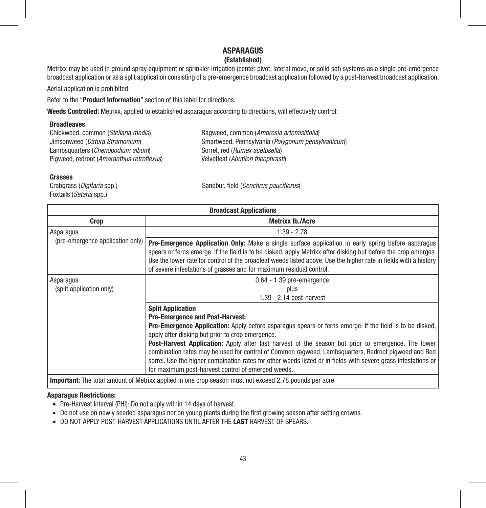# **ASPARAGUS**

### **(Established)**

Metrixx may be used in ground spray equipment or sprinkler irrigation (center pivot, lateral move, or solid set) systems as a single pre-emergence broadcast application or as a split application consisting of a pre-emergence broadcast application followed by a post-harvest broadcast application.

Aerial application is prohibited.

Refer to the "**Product Information**" section of this label for directions.

**Weeds Controlled:** Metrixx, applied to established asparagus according to directions, will effectively control:

### **Broadleaves**

| Chickweed, common (Stellaria media)       | Ragweed, common (Ambrosia artemisiifolia)         |
|-------------------------------------------|---------------------------------------------------|
| Jimsonweed (Datura Stramonium)            | Smartweed, Pennsylvania (Polygonum pensylvanicum) |
| Lambsquarters (Chenopodium album)         | Sorrel, red (Rumex acetosella)                    |
| Pigweed, redroot (Amaranthus retroflexus) | Velvetleaf (Abutilon theophrasti)                 |

### **Grasses**

Crabgrass (*Digitaria* spp.) Foxtails (*Setaria* spp.)

Sandbur, field (*Cenchrus pauciflorus*)

| <b>Broadcast Applications</b>    |                                                                                                                                                                                                                                                                                                                                                                                                                                                                                                                                                                                                                                      |  |  |
|----------------------------------|--------------------------------------------------------------------------------------------------------------------------------------------------------------------------------------------------------------------------------------------------------------------------------------------------------------------------------------------------------------------------------------------------------------------------------------------------------------------------------------------------------------------------------------------------------------------------------------------------------------------------------------|--|--|
| Crop                             | <b>Metrixx Ib./Acre</b>                                                                                                                                                                                                                                                                                                                                                                                                                                                                                                                                                                                                              |  |  |
| Asparagus                        | $1.39 - 2.78$                                                                                                                                                                                                                                                                                                                                                                                                                                                                                                                                                                                                                        |  |  |
| (pre-emergence application only) | <b>Pre-Emergence Application Only:</b> Make a single surface application in early spring before asparagus<br>spears or ferns emerge. If the field is to be disked, apply Metrixx after disking but before the crop emerges.<br>Use the lower rate for control of the broadleaf weeds listed above. Use the higher rate in fields with a history<br>of severe infestations of grasses and for maximum residual control.                                                                                                                                                                                                               |  |  |
| Asparagus                        | $0.64 - 1.39$ pre-emergence                                                                                                                                                                                                                                                                                                                                                                                                                                                                                                                                                                                                          |  |  |
| (split application only)         | plus                                                                                                                                                                                                                                                                                                                                                                                                                                                                                                                                                                                                                                 |  |  |
|                                  | $1.39 - 2.14$ post-harvest                                                                                                                                                                                                                                                                                                                                                                                                                                                                                                                                                                                                           |  |  |
|                                  | <b>Split Application</b><br><b>Pre-Emergence and Post-Harvest:</b><br><b>Pre-Emergence Application:</b> Apply before asparagus spears or ferns emerge. If the field is to be disked,<br>apply after disking but prior to crop emergence.<br><b>Post-Harvest Application:</b> Apply after last harvest of the season but prior to emergence. The lower<br>combination rates may be used for control of Common ragweed, Lambsquarters, Redroot pigweed and Red<br>sorrel. Use the higher combination rates for other weeds listed or in fields with severe grass infestations or<br>for maximum post-harvest control of emerged weeds. |  |  |
|                                  | <b>Important:</b> The total amount of Metrixx applied in one crop season must not exceed 2.78 pounds per acre.                                                                                                                                                                                                                                                                                                                                                                                                                                                                                                                       |  |  |

### **Asparagus Restrictions:**

- Pre-Harvest Interval (PHI): Do not apply within 14 days of harvest.
- • Do not use on newly seeded asparagus nor on young plants during the first growing season after setting crowns.
- • DO NOT APPLY POST-HARVEST APPLICATIONS UNTIL AFTER THE **LAST** HARVEST OF SPEARS.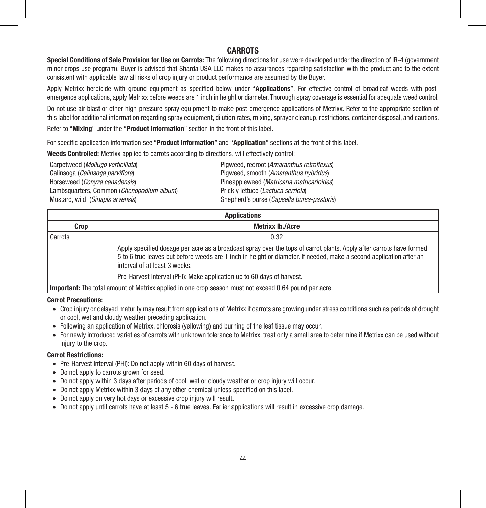### **CARROTS**

**Special Conditions of Sale Provision for Use on Carrots:** The following directions for use were developed under the direction of IR-4 (government minor crops use program). Buyer is advised that Sharda USA LLC makes no assurances regarding satisfaction with the product and to the extent consistent with applicable law all risks of crop injury or product performance are assumed by the Buyer.

Apply Metrixx herbicide with ground equipment as specified below under "**Applications**". For effective control of broadleaf weeds with postemergence applications, apply Metrixx before weeds are 1 inch in height or diameter. Thorough spray coverage is essential for adequate weed control.

Do not use air blast or other high-pressure spray equipment to make post-emergence applications of Metrixx. Refer to the appropriate section of this label for additional information regarding spray equipment, dilution rates, mixing, sprayer cleanup, restrictions, container disposal, and cautions.

Refer to "**Mixing**" under the "**Product Information**" section in the front of this label.

For specific application information see "**Product Information**" and "**Application**" sections at the front of this label.

**Weeds Controlled:** Metrixx applied to carrots according to directions, will effectively control:

| Carpetweed (Mollugo verticillata)         | Piaweed, redroot (Amaranthus retroflexus)  |
|-------------------------------------------|--------------------------------------------|
| Galinsoga (Galinsoga parviflora)          | Pigweed, smooth (Amaranthus hybridus)      |
| Horseweed (Convza canadensis)             | Pineappleweed (Matricaria matricarioides)  |
| Lambsquarters, Common (Chenopodium album) | Prickly lettuce (Lactuca serriola)         |
| Mustard, wild (Sinapis arvensis)          | Shepherd's purse (Capsella bursa-pastoris) |

| <b>Applications</b>                                                                                    |                                                                                                                                                                                                                                                                              |  |
|--------------------------------------------------------------------------------------------------------|------------------------------------------------------------------------------------------------------------------------------------------------------------------------------------------------------------------------------------------------------------------------------|--|
| Crop                                                                                                   | <b>Metrixx Ib./Acre</b>                                                                                                                                                                                                                                                      |  |
| Carrots                                                                                                | 0.32                                                                                                                                                                                                                                                                         |  |
|                                                                                                        | Apply specified dosage per acre as a broadcast spray over the tops of carrot plants. Apply after carrots have formed<br>5 to 6 true leaves but before weeds are 1 inch in height or diameter. If needed, make a second application after an<br>interval of at least 3 weeks. |  |
|                                                                                                        | Pre-Harvest Interval (PHI): Make application up to 60 days of harvest.                                                                                                                                                                                                       |  |
| Important: The total amount of Metrixx applied in one crop season must not exceed 0.64 pound per acre. |                                                                                                                                                                                                                                                                              |  |

### **Carrot Precautions:**

- • Crop injury or delayed maturity may result from applications of Metrixx if carrots are growing under stress conditions such as periods of drought or cool, wet and cloudy weather preceding application.
- Following an application of Metrixx, chlorosis (yellowing) and burning of the leaf tissue may occur.
- For newly introduced varieties of carrots with unknown tolerance to Metrixx, treat only a small area to determine if Metrixx can be used without injury to the crop.

### **Carrot Restrictions:**

- Pre-Harvest Interval (PHI): Do not apply within 60 days of harvest.
- Do not apply to carrots grown for seed.
- Do not apply within 3 days after periods of cool, wet or cloudy weather or crop injury will occur.
- Do not apply Metrixx within 3 days of any other chemical unless specified on this label.
- Do not apply on very hot days or excessive crop injury will result.
- • Do not apply until carrots have at least 5 6 true leaves. Earlier applications will result in excessive crop damage.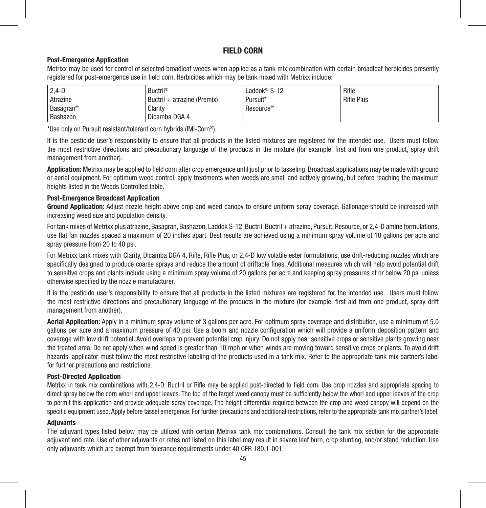## **FIELD CORN**

### **Post-Emergence Application**

Metrixx may be used for control of selected broadleaf weeds when applied as a tank mix combination with certain broadleaf herbicides presently registered for post-emergence use in field corn. Herbicides which may be tank mixed with Metrixx include:

| $2.4-D$               | Buctril®                    | Laddok® S-12 | Rifle             |
|-----------------------|-----------------------------|--------------|-------------------|
| Atrazine              | Buctril + atrazine (Premix) | Pursuit*     | <b>Rifle Plus</b> |
| Basagran <sup>®</sup> | Clarity                     | Resource®    |                   |
| Bashazon              | Dicamba DGA 4               |              |                   |

\*Use only on Pursuit resistant/tolerant corn hybrids (IMI-Corn®).

It is the pesticide user's responsibility to ensure that all products in the listed mixtures are registered for the intended use. Users must follow the most restrictive directions and precautionary language of the products in the mixture (for example, first aid from one product, spray drift management from another).

**Application:** Metrixx may be applied to field corn after crop emergence until just prior to tasseling. Broadcast applications may be made with ground or aerial equipment. For optimum weed control, apply treatments when weeds are small and actively growing, but before reaching the maximum heights listed in the Weeds Controlled table.

### **Post-Emergence Broadcast Application**

**Ground Application:** Adjust nozzle height above crop and weed canopy to ensure uniform spray coverage. Gallonage should be increased with increasing weed size and population density.

For tank mixes of Metrixx plus atrazine, Basagran, Bashazon, Laddok S-12, Buctril, Buctril + atrazine, Pursuit, Resource, or 2,4-D amine formulations, use flat fan nozzles spaced a maximum of 20 inches apart. Best results are achieved using a minimum spray volume of 10 gallons per acre and spray pressure from 20 to 40 psi.

For Metrixx tank mixes with Clarity, Dicamba DGA 4, Rifle, Rifle Plus, or 2,4-D low volatile ester formulations, use drift-reducing nozzles which are specifically designed to produce coarse sprays and reduce the amount of driftable fines. Additional measures which will help avoid potential drift to sensitive crops and plants include using a minimum spray volume of 20 gallons per acre and keeping spray pressures at or below 20 psi unless otherwise specified by the nozzle manufacturer.

It is the pesticide user's responsibility to ensure that all products in the listed mixtures are registered for the intended use. Users must follow the most restrictive directions and precautionary language of the products in the mixture (for example, first aid from one product, spray drift management from another).

Aerial Application: Apply in a minimum spray volume of 3 gallons per acre. For optimum spray coverage and distribution, use a minimum of 5.0 gallons per acre and a maximum pressure of 40 psi. Use a boom and nozzle configuration which will provide a uniform deposition pattern and coverage with low drift potential. Avoid overlaps to prevent potential crop injury. Do not apply near sensitive crops or sensitive plants growing near the treated area. Do not apply when wind speed is greater than 10 mph or when winds are moving toward sensitive crops or plants. To avoid drift hazards, applicator must follow the most restrictive labeling of the products used in a tank mix. Refer to the appropriate tank mix partner's label for further precautions and restrictions.

### **Post-Directed Application**

Metrixx in tank mix combinations with 2,4-D, Buctril or Rifle may be applied post-directed to field corn. Use drop nozzles and appropriate spacing to direct spray below the corn whorl and upper leaves. The top of the target weed canopy must be sufficiently below the whorl and upper leaves of the crop to permit this application and provide adequate spray coverage. The height differential required between the crop and weed canopy will depend on the specific equipment used. Apply before tassel emergence. For further precautions and additional restrictions, refer to the appropriate tank mix partner's label.

### **Adjuvants**

The adjuvant types listed below may be utilized with certain Metrixx tank mix combinations. Consult the tank mix section for the appropriate adjuvant and rate. Use of other adjuvants or rates not listed on this label may result in severe leaf burn, crop stunting, and/or stand reduction. Use only adjuvants which are exempt from tolerance requirements under 40 CFR 180.1-001.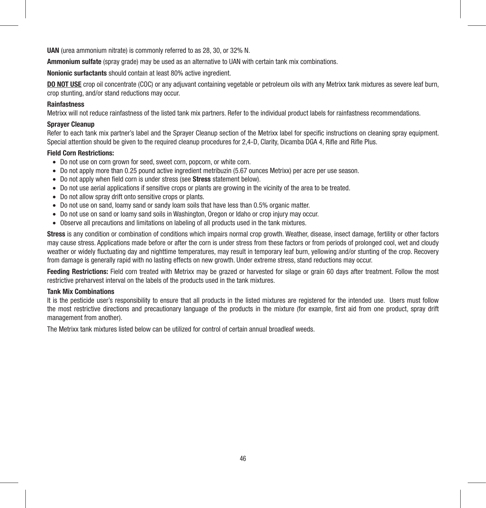### **UAN** (urea ammonium nitrate) is commonly referred to as 28, 30, or 32% N.

**Ammonium sulfate** (spray grade) may be used as an alternative to UAN with certain tank mix combinations.

**Nonionic surfactants** should contain at least 80% active ingredient.

**DO NOT USE** crop oil concentrate (COC) or any adjuvant containing vegetable or petroleum oils with any Metrixx tank mixtures as severe leaf burn, crop stunting, and/or stand reductions may occur.

### **Rainfastness**

Metrixx will not reduce rainfastness of the listed tank mix partners. Refer to the individual product labels for rainfastness recommendations.

### **Sprayer Cleanup**

Refer to each tank mix partner's label and the Sprayer Cleanup section of the Metrixx label for specific instructions on cleaning spray equipment. Special attention should be given to the required cleanup procedures for 2,4-D, Clarity, Dicamba DGA 4, Rifle and Rifle Plus.

### **Field Corn Restrictions:**

- Do not use on corn grown for seed, sweet corn, popcorn, or white corn.
- • Do not apply more than 0.25 pound active ingredient metribuzin (5.67 ounces Metrixx) per acre per use season.
- • Do not apply when field corn is under stress (see **Stress** statement below).
- • Do not use aerial applications if sensitive crops or plants are growing in the vicinity of the area to be treated.
- Do not allow spray drift onto sensitive crops or plants.
- Do not use on sand, loamy sand or sandy loam soils that have less than 0.5% organic matter.
- Do not use on sand or loamy sand soils in Washington, Oregon or Idaho or crop injury may occur.
- Observe all precautions and limitations on labeling of all products used in the tank mixtures.

**Stress** is any condition or combination of conditions which impairs normal crop growth. Weather, disease, insect damage, fertility or other factors may cause stress. Applications made before or after the corn is under stress from these factors or from periods of prolonged cool, wet and cloudy weather or widely fluctuating day and nighttime temperatures, may result in temporary leaf burn, yellowing and/or stunting of the crop. Recovery from damage is generally rapid with no lasting effects on new growth. Under extreme stress, stand reductions may occur.

**Feeding Restrictions:** Field corn treated with Metrixx may be grazed or harvested for silage or grain 60 days after treatment. Follow the most restrictive preharvest interval on the labels of the products used in the tank mixtures.

### **Tank Mix Combinations**

It is the pesticide user's responsibility to ensure that all products in the listed mixtures are registered for the intended use. Users must follow the most restrictive directions and precautionary language of the products in the mixture (for example, first aid from one product, spray drift management from another).

The Metrixx tank mixtures listed below can be utilized for control of certain annual broadleaf weeds.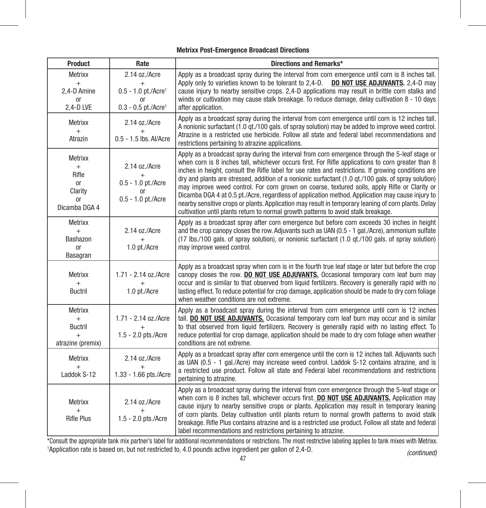### **Metrixx Post-Emergence Broadcast Directions**

| Product                                                                              | Rate                                                                                                 | Directions and Remarks*                                                                                                                                                                                                                                                                                                                                                                                                                                                                                                                                                                                                                                                                                                                                                                                              |
|--------------------------------------------------------------------------------------|------------------------------------------------------------------------------------------------------|----------------------------------------------------------------------------------------------------------------------------------------------------------------------------------------------------------------------------------------------------------------------------------------------------------------------------------------------------------------------------------------------------------------------------------------------------------------------------------------------------------------------------------------------------------------------------------------------------------------------------------------------------------------------------------------------------------------------------------------------------------------------------------------------------------------------|
| Metrixx<br>$+$<br>2,4-D Amine<br>0r<br>2.4-D LVE                                     | 2.14 oz./Acre<br>$+$<br>$0.5 - 1.0$ pt./Acre <sup>1</sup><br>or<br>$0.3 - 0.5$ pt./Acre <sup>1</sup> | Apply as a broadcast spray during the interval from corn emergence until corn is 8 inches tall.<br>Apply only to varieties known to be tolerant to 2,4-D. DO NOT USE ADJUVANTS. 2,4-D may<br>cause injury to nearby sensitive crops. 2,4-D applications may result in brittle corn stalks and<br>winds or cultivation may cause stalk breakage. To reduce damage, delay cultivation 8 - 10 days<br>after application.                                                                                                                                                                                                                                                                                                                                                                                                |
| Metrixx<br>$\ddot{}$<br>Atrazin                                                      | 2.14 oz./Acre<br>$^{+}$<br>0.5 - 1.5 lbs. Al/Acre                                                    | Apply as a broadcast spray during the interval from corn emergence until corn is 12 inches tall.<br>A nonionic surfactant (1.0 gt./100 gals, of spray solution) may be added to improve weed control.<br>Atrazine is a restricted use herbicide. Follow all state and federal label recommendations and<br>restrictions pertaining to atrazine applications.                                                                                                                                                                                                                                                                                                                                                                                                                                                         |
| Metrixx<br>$^{+}$<br>Rifle<br><b>or</b><br>Clarity<br><sub>0r</sub><br>Dicamba DGA 4 | 2.14 oz./Acre<br>0.5 - 1.0 pt./Acre<br>or<br>0.5 - 1.0 pt./Acre                                      | Apply as a broadcast spray during the interval from corn emergence through the 5-leaf stage or<br>when corn is 8 inches tall, whichever occurs first. For Rifle applications to corn greater than 8<br>inches in height, consult the Rifle label for use rates and restrictions. If growing conditions are<br>dry and plants are stressed, addition of a nonionic surfactant (1.0 gt./100 gals. of spray solution)<br>may improve weed control. For corn grown on coarse, textured soils, apply Rifle or Clarity or<br>Dicamba DGA 4 at 0.5 pt./Acre, regardless of application method. Application may cause injury to<br>nearby sensitive crops or plants. Application may result in temporary leaning of corn plants. Delay<br>cultivation until plants return to normal growth patterns to avoid stalk breakage. |
| Metrixx<br>$\ddot{}$<br>Bashazon<br><b>or</b><br>Basagran                            | 2.14 oz./Acre<br>$\ddot{}$<br>1.0 pt./Acre                                                           | Apply as a broadcast spray after corn emergence but before corn exceeds 30 inches in height<br>and the crop canopy closes the row. Adjuvants such as UAN (0.5 - 1 gal./Acre), ammonium sulfate<br>(17 lbs./100 gals. of spray solution), or nonionic surfactant (1.0 gt./100 gals. of spray solution)<br>may improve weed control.                                                                                                                                                                                                                                                                                                                                                                                                                                                                                   |
| Metrixx<br>$\ddot{}$<br>Buctril                                                      | 1.71 - 2.14 oz./Acre<br>$+$<br>1.0 pt./Acre                                                          | Apply as a broadcast spray when corn is in the fourth true leaf stage or later but before the crop<br>canopy closes the row. DO NOT USE ADJUVANTS. Occasional temporary corn leaf burn may<br>occur and is similar to that observed from liquid fertilizers. Recovery is generally rapid with no<br>lasting effect. To reduce potential for crop damage, application should be made to dry corn foliage<br>when weather conditions are not extreme.                                                                                                                                                                                                                                                                                                                                                                  |
| Metrixx<br>$+$<br><b>Buctril</b><br>$+$<br>atrazine (premix)                         | 1.71 - 2.14 oz./Acre<br>1.5 - 2.0 pts./Acre                                                          | Apply as a broadcast spray during the interval from corn emergence until corn is 12 inches<br>tall. DO NOT USE ADJUVANTS. Occasional temporary corn leaf burn may occur and is similar<br>to that observed from liquid fertilizers. Recovery is generally rapid with no lasting effect. To<br>reduce potential for crop damage, application should be made to dry corn foliage when weather<br>conditions are not extreme.                                                                                                                                                                                                                                                                                                                                                                                           |
| Metrixx<br>$\ddot{}$<br>Laddok S-12                                                  | 2.14 oz./Acre<br>1.33 - 1.66 pts./Acre                                                               | Apply as a broadcast spray after corn emergence until the corn is 12 inches tall. Adjuvants such<br>as UAN (0.5 - 1 gal./Acre) may increase weed control. Laddok S-12 contains atrazine, and is<br>a restricted use product. Follow all state and Federal label recommendations and restrictions<br>pertaining to atrazine.                                                                                                                                                                                                                                                                                                                                                                                                                                                                                          |
| Metrixx<br>$\ddot{}$<br><b>Rifle Plus</b>                                            | 2.14 oz./Acre<br>$+$<br>1.5 - 2.0 pts./Acre                                                          | Apply as a broadcast spray during the interval from corn emergence through the 5-leaf stage or<br>when corn is 8 inches tall, whichever occurs first. DO NOT USE ADJUVANTS. Application may<br>cause injury to nearby sensitive crops or plants. Application may result in temporary leaning<br>of corn plants. Delay cultivation until plants return to normal growth patterns to avoid stalk<br>breakage. Rifle Plus contains atrazine and is a restricted use product. Follow all state and federal<br>label recommendations and restrictions pertaining to atrazine.                                                                                                                                                                                                                                             |

Consult the appropriate tank mix partner's label for additional recommendations or restrictions. The most restrictive labeling applies to tank mixes with Metrixx.<br>^^ Application rate is based on, but not restricted to, 4.0

*(continued)*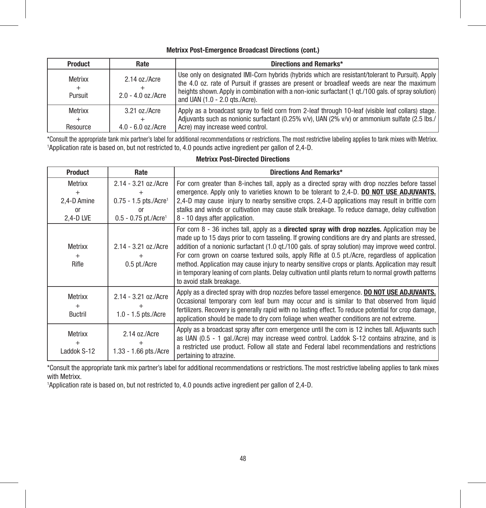### **Metrixx Post-Emergence Broadcast Directions (cont.)**

| Product                 | Rate                                  | Directions and Remarks*                                                                                                                                                                                                                                                                                                                 |
|-------------------------|---------------------------------------|-----------------------------------------------------------------------------------------------------------------------------------------------------------------------------------------------------------------------------------------------------------------------------------------------------------------------------------------|
| Metrixx<br>÷<br>Pursuit | 2.14 oz./Acre<br>$2.0 - 4.0$ oz./Acre | Use only on designated IMI-Corn hybrids (hybrids which are resistant/tolerant to Pursuit). Apply<br>the 4.0 oz. rate of Pursuit if grasses are present or broadleaf weeds are near the maximum<br>heights shown. Apply in combination with a non-ionic surfactant (1 gt./100 gals. of spray solution)<br>and UAN (1.0 - 2.0 gts./Acre). |
| Metrixx<br>Resource     | 3.21 oz./Acre<br>$4.0 - 6.0$ oz./Acre | Apply as a broadcast spray to field corn from 2-leaf through 10-leaf (visible leaf collars) stage.<br>Adjuvants such as nonionic surfactant (0.25% v/v). UAN (2% v/v) or ammonium sulfate (2.5 lbs./<br>Acre) may increase weed control.                                                                                                |

\*Consult the appropriate tank mix partner's label for additional recommendations or restrictions. The most restrictive labeling applies to tank mixes with Metrixx. 1 Application rate is based on, but not restricted to, 4.0 pounds active ingredient per gallon of 2,4-D.

| <b>Product</b>                                       | Rate                                                                                                    | Directions And Remarks*                                                                                                                                                                                                                                                                                                                                                                                                                                                                                                                                                                                                                                   |
|------------------------------------------------------|---------------------------------------------------------------------------------------------------------|-----------------------------------------------------------------------------------------------------------------------------------------------------------------------------------------------------------------------------------------------------------------------------------------------------------------------------------------------------------------------------------------------------------------------------------------------------------------------------------------------------------------------------------------------------------------------------------------------------------------------------------------------------------|
| Metrixx<br>2.4-D Amine<br><sub>0r</sub><br>2.4-D LVE | 2.14 - 3.21 oz./Acre<br>$0.75 - 1.5$ pts./Acre <sup>1</sup><br>or<br>$0.5 - 0.75$ pt./Acre <sup>1</sup> | For corn greater than 8-inches tall, apply as a directed spray with drop nozzles before tassel<br>emergence. Apply only to varieties known to be tolerant to 2,4-D. DO NOT USE ADJUVANTS.<br>2.4-D may cause injury to nearby sensitive crops. 2.4-D applications may result in brittle corn<br>stalks and winds or cultivation may cause stalk breakage. To reduce damage, delay cultivation<br>8 - 10 days after application.                                                                                                                                                                                                                           |
| Metrixx<br>$+$<br>Rifle                              | 2.14 - 3.21 oz./Acre<br>0.5 pt./Acre                                                                    | For corn 8 - 36 inches tall, apply as a <b>directed spray with drop nozzles.</b> Application may be<br>made up to 15 days prior to corn tasseling. If growing conditions are dry and plants are stressed,<br>addition of a nonionic surfactant (1.0 gt./100 gals, of spray solution) may improve weed control.<br>For corn grown on coarse textured soils, apply Rifle at 0.5 pt./Acre, regardless of application<br>method. Application may cause injury to nearby sensitive crops or plants. Application may result<br>in temporary leaning of corn plants. Delay cultivation until plants return to normal growth patterns<br>to avoid stalk breakage. |
| Metrixx<br>$+$<br>Buctril                            | 2.14 - 3.21 oz./Acre<br>$1.0 - 1.5$ pts./Acre                                                           | Apply as a directed spray with drop nozzles before tassel emergence. DO NOT USE ADJUVANTS.<br>Occasional temporary corn leaf burn may occur and is similar to that observed from liquid<br>fertilizers. Recovery is generally rapid with no lasting effect. To reduce potential for crop damage,<br>application should be made to dry corn foliage when weather conditions are not extreme.                                                                                                                                                                                                                                                               |
| Metrixx<br>Laddok S-12                               | 2.14 oz./Acre<br>1.33 - 1.66 pts./Acre                                                                  | Apply as a broadcast spray after corn emergence until the corn is 12 inches tall. Adjuvants such<br>as UAN (0.5 - 1 gal./Acre) may increase weed control. Laddok S-12 contains atrazine, and is<br>a restricted use product. Follow all state and Federal label recommendations and restrictions<br>pertaining to atrazine.                                                                                                                                                                                                                                                                                                                               |

### **Metrixx Post-Directed Directions**

\*Consult the appropriate tank mix partner's label for additional recommendations or restrictions. The most restrictive labeling applies to tank mixes with Metrixx.

1 Application rate is based on, but not restricted to, 4.0 pounds active ingredient per gallon of 2,4-D.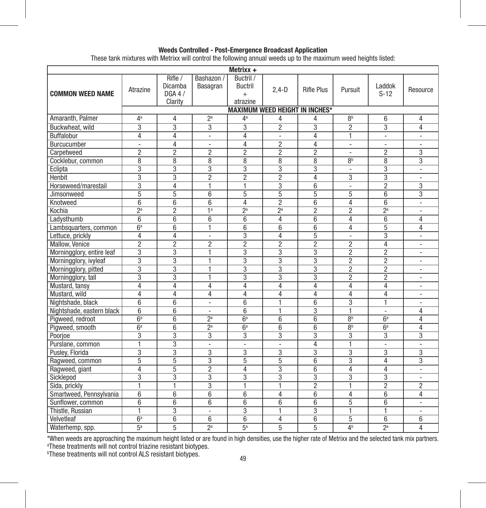|                           | $Metrixx +$               |                                          |                             |                                         |                                       |                   |                           |                           |                          |
|---------------------------|---------------------------|------------------------------------------|-----------------------------|-----------------------------------------|---------------------------------------|-------------------|---------------------------|---------------------------|--------------------------|
| <b>COMMON WEED NAME</b>   | Atrazine                  | Rifle /<br>Dicamba<br>DGA 4 /<br>Clarity | Bashazon /<br>Basagran      | Buctril /<br>Buctril<br>$+$<br>atrazine | $2.4-D$                               | <b>Rifle Plus</b> | Pursuit                   | Laddok<br>$S-12$          | Resource                 |
|                           |                           |                                          |                             |                                         | <b>MAXIMUM WEED HEIGHT IN INCHES*</b> |                   |                           |                           |                          |
| Amaranth, Palmer          | 4 <sup>a</sup>            | $\overline{4}$                           | 2 <sup>a</sup>              | 4ª                                      | 4                                     | 4                 | 8 <sup>b</sup>            | 6                         | 4                        |
| Buckwheat, wild           | $\overline{3}$            | 3                                        | $\overline{3}$              | $\overline{3}$                          | $\overline{2}$                        | $\overline{3}$    | $\overline{2}$            | $\overline{3}$            | 4                        |
| Buffalobur                | 4                         | 4                                        | $\overline{\phantom{a}}$    | 4                                       | ÷                                     | $\overline{4}$    | $\mathbf{1}$              | $\overline{\phantom{a}}$  | $\overline{a}$           |
| Burcucumber               | $\overline{a}$            | 4                                        | $\sim$                      | 4                                       | $\overline{2}$                        | $\overline{4}$    | $\overline{\phantom{a}}$  | $\overline{\phantom{a}}$  | ٠                        |
| Carpetweed                | $\overline{c}$            | $\overline{2}$                           | $\overline{2}$              | $\overline{2}$                          | $\overline{2}$                        | $\overline{2}$    |                           | $\overline{c}$            | 3                        |
| Cocklebur, common         | $\overline{8}$            | $\overline{8}$                           | $\overline{8}$              | $\overline{8}$                          | $\overline{8}$                        | $\overline{8}$    | 8 <sup>b</sup>            | $\overline{8}$            | $\overline{3}$           |
| Eclipta                   | 3                         | $\overline{\overline{3}}$                | 3                           | 3                                       | 3                                     | 3                 | ٠                         | 3                         | ÷,                       |
| Henbit                    | $\overline{3}$            | 3                                        | $\overline{2}$              | $\overline{2}$                          | $\overline{2}$                        | $\overline{4}$    | 3                         | $\overline{\overline{3}}$ | ÷,                       |
| Horseweed/marestail       | $\overline{3}$            | $\overline{4}$                           | $\overline{1}$              | $\overline{1}$                          | $\overline{3}$                        | $\overline{6}$    | ÷.                        | $\overline{2}$            | 3                        |
| Jimsonweed                | 5                         | $\overline{5}$                           | 6                           | 5                                       | 5                                     | 5                 | 5                         | 6                         | 3                        |
| Knotweed                  | 6                         | 6                                        | $\overline{6}$              | 4                                       | $\overline{2}$                        | 6                 | 4                         | 6                         | ÷.                       |
| Kochia                    | 2 <sup>a</sup>            | $\overline{2}$                           | 1 <sup>a</sup>              | 2 <sup>a</sup>                          | 2 <sup>a</sup>                        | $\overline{2}$    | $\overline{2}$            | $\overline{2^a}$          |                          |
| Ladvsthumb                | 6                         | 6                                        | 6                           | 6                                       | 4                                     | 6                 | 4                         | 6                         | 4                        |
| Lambsquarters, common     | 6 <sup>a</sup>            | $6\overline{6}$                          | 1                           | 6                                       | 6                                     | 6                 | 4                         | 5                         | 4                        |
| Lettuce, prickly          | $\overline{4}$            | $\overline{4}$                           | $\overline{a}$              | $\overline{\overline{3}}$               | $\overline{4}$                        | $\overline{5}$    | ÷,                        | $\overline{\overline{3}}$ | ÷.                       |
| Mallow, Venice            | $\overline{2}$            | $\overline{2}$                           | $\overline{2}$              | $\overline{2}$                          | $\overline{2}$                        | $\overline{2}$    | $\overline{2}$            | 4                         | $\overline{a}$           |
| Morningglory, entire leaf | 3                         | 3                                        | 1                           | 3                                       | 3                                     | 3                 | $\overline{2}$            | $\overline{2}$            | ٠                        |
| Morningglory, ivyleaf     | $\overline{3}$            | $\overline{3}$                           | 1                           | $\overline{3}$                          | $\overline{3}$                        | $\overline{3}$    | $\overline{2}$            | $\overline{2}$            | ÷,                       |
| Morningglory, pitted      | $\overline{\mathbf{3}}$   | 3                                        | 1                           | 3                                       | 3                                     | 3                 | $\overline{c}$            | $\overline{2}$            | ÷.                       |
| Morningglory, tall        | $\overline{\overline{3}}$ | $\overline{3}$                           | 1                           | $\overline{\overline{3}}$               | $\overline{3}$                        | $\overline{3}$    | $\overline{2}$            | $\overline{2}$            | $\overline{a}$           |
| Mustard, tansy            | 4                         | $\overline{4}$                           | 4                           | 4                                       | $\overline{4}$                        | $\overline{4}$    | $\overline{4}$            | $\overline{4}$            | $\overline{\phantom{a}}$ |
| Mustard, wild             | $\overline{4}$            | 4                                        | $\overline{4}$              | 4                                       | $\overline{4}$                        | $\overline{4}$    | $\overline{4}$            | 4                         | $\overline{a}$           |
| Nightshade, black         | $\overline{6}$            | $\overline{6}$                           | $\overline{\phantom{a}}$    | $\overline{6}$                          | 1                                     | 6                 | $\overline{\overline{3}}$ | 1                         | $\overline{a}$           |
| Nightshade, eastern black | $\overline{6}$            | $\overline{6}$                           | ÷,                          | $\overline{6}$                          | 1                                     | 3                 | 1                         | $\overline{a}$            | 4                        |
| Pigweed, redroot          | 6 <sup>a</sup>            | $\overline{6}$                           | 2 <sup>a</sup>              | 6 <sup>a</sup>                          | $\overline{6}$                        | $\overline{6}$    | 8 <sup>b</sup>            | 6 <sup>a</sup>            | 4                        |
| Pigweed, smooth           | 6a                        | $\overline{6}$                           | $\overline{2}$ <sup>a</sup> | 6a                                      | $\overline{6}$                        | $\overline{6}$    | 8 <sup>b</sup>            | 6a                        | 4                        |
| Poorjoe                   | 3                         | 3                                        | 3                           | 3                                       | 3                                     | 3                 | 3                         | 3                         | 3                        |
| Purslane, common          | 1                         | $\overline{3}$                           | $\overline{\phantom{a}}$    | ÷.                                      | ÷,                                    | $\overline{4}$    | $\overline{1}$            | $\overline{\phantom{a}}$  | ÷.                       |
| Puslev. Florida           | $\overline{3}$            | $\overline{3}$                           | $\overline{3}$              | $\overline{3}$                          | $\overline{3}$                        | $\overline{3}$    | $\overline{3}$            | $\overline{3}$            | $\overline{3}$           |
| Ragweed, common           | 5                         | 5                                        | 3                           | 5                                       | 5                                     | 6                 | 3                         | $\overline{4}$            | 3                        |
| Ragweed, giant            | 4                         | $\overline{5}$                           | $\overline{2}$              | 4                                       | $\overline{\overline{3}}$             | $\overline{6}$    | 4                         | $\overline{4}$            | ÷.                       |
| Sicklepod                 | $\overline{3}$            | $\overline{3}$                           | $\overline{3}$              | $\overline{3}$                          | $\overline{3}$                        | $\overline{3}$    | 3                         | $\overline{3}$            | $\overline{a}$           |
| Sida, prickly             | 1                         | 1                                        | $\overline{3}$              | 1                                       | 1                                     | $\overline{2}$    | $\overline{1}$            | $\overline{2}$            | $\overline{2}$           |
| Smartweed, Pennsylvania   | $\overline{6}$            | $\overline{6}$                           | $\overline{6}$              | $\overline{6}$                          | $\overline{4}$                        | 6                 | 4                         | $\overline{6}$            | 4                        |
| Sunflower, common         | 6                         | $\overline{6}$                           | $\overline{6}$              | $\overline{6}$                          | 6                                     | $\overline{6}$    | 5                         | $\overline{6}$            | $\overline{a}$           |
| Thistle, Russian          | 1                         | $\overline{3}$                           | $\sim$                      | $\overline{3}$                          | 1                                     | $\overline{3}$    | $\overline{1}$            | 1                         | $\overline{a}$           |
| Velvetleaf                | 6a                        | $\overline{6}$                           | $\overline{6}$              | $\overline{6}$                          | $\overline{4}$                        | $\overline{6}$    | 5                         | $\overline{6}$            | $\overline{6}$           |
| Waterhemp, spp.           | 5 <sup>a</sup>            | 5                                        | 2 <sup>a</sup>              | 5 <sup>a</sup>                          | 5                                     | 5                 | 4 <sup>b</sup>            | 2 <sup>a</sup>            | 4                        |

**Weeds Controlled - Post-Emergence Broadcast Application** These tank mixtures with Metrixx will control the following annual weeds up to the maximum weed heights listed:

49 \*When weeds are approaching the maximum height listed or are found in high densities, use the higher rate of Metrixx and the selected tank mix partners.<br>\*These treatments will not control triazine resistant biotypes.<br>\*Thes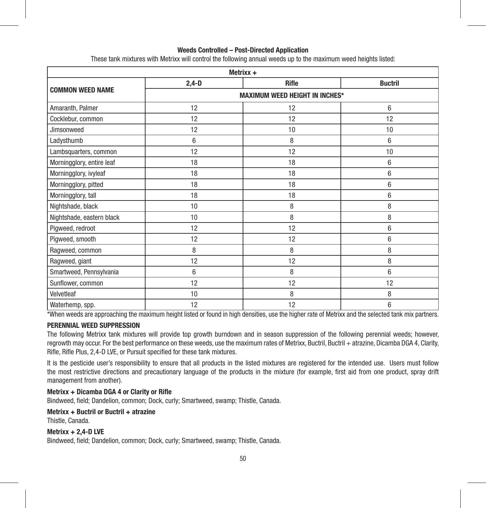### **Weeds Controlled – Post-Directed Application**

| $Metrixx +$               |         |                                       |                |
|---------------------------|---------|---------------------------------------|----------------|
|                           | $2,4-D$ | Rifle                                 | <b>Buctril</b> |
| <b>COMMON WEED NAME</b>   |         | <b>MAXIMUM WEED HEIGHT IN INCHES*</b> |                |
| Amaranth, Palmer          | 12      | 12                                    | 6              |
| Cocklebur, common         | 12      | 12                                    | 12             |
| Jimsonweed                | 12      | 10                                    | 10             |
| Ladysthumb                | 6       | 8                                     | 6              |
| Lambsquarters, common     | 12      | 12                                    | 10             |
| Morningglory, entire leaf | 18      | 18                                    | 6              |
| Morningglory, ivyleaf     | 18      | 18                                    | 6              |
| Morningglory, pitted      | 18      | 18                                    | 6              |
| Morningglory, tall        | 18      | 18                                    | 6              |
| Nightshade, black         | 10      | 8                                     | 8              |
| Nightshade, eastern black | 10      | 8                                     | 8              |
| Pigweed, redroot          | 12      | 12                                    | 6              |
| Pigweed, smooth           | 12      | 12                                    | 6              |
| Ragweed, common           | 8       | 8                                     | 8              |
| Ragweed, giant            | 12      | 12                                    | 8              |
| Smartweed, Pennsylvania   | 6       | 8                                     | 6              |
| Sunflower, common         | 12      | 12                                    | 12             |
| Velvetleaf                | 10      | 8                                     | 8              |
| Waterhemp, spp.           | 12      | 12                                    | 6              |

These tank mixtures with Metrixx will control the following annual weeds up to the maximum weed heights listed:

\*When weeds are approaching the maximum height listed or found in high densities, use the higher rate of Metrixx and the selected tank mix partners.

### **PERENNIAL WEED SUPPRESSION**

The following Metrixx tank mixtures will provide top growth burndown and in season suppression of the following perennial weeds; however, regrowth may occur. For the best performance on these weeds, use the maximum rates of Metrixx, Buctril, Buctril + atrazine, Dicamba DGA 4, Clarity, Rifle, Rifle Plus, 2,4-D LVE, or Pursuit specified for these tank mixtures.

It is the pesticide user's responsibility to ensure that all products in the listed mixtures are registered for the intended use. Users must follow the most restrictive directions and precautionary language of the products in the mixture (for example, first aid from one product, spray drift management from another).

### **Metrixx + Dicamba DGA 4 or Clarity or Rifle**

Bindweed, field; Dandelion, common; Dock, curly; Smartweed, swamp; Thistle, Canada.

### **Metrixx + Buctril or Buctril + atrazine**

Thistle, Canada.

### **Metrixx + 2,4-D LVE**

Bindweed, field; Dandelion, common; Dock, curly; Smartweed, swamp; Thistle, Canada.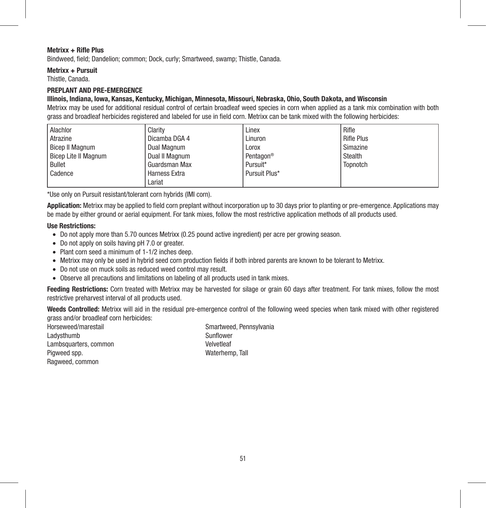### **Metrixx + Rifle Plus**

Bindweed, field; Dandelion; common; Dock, curly; Smartweed, swamp; Thistle, Canada.

### **Metrixx + Pursuit**

Thistle, Canada.

### **PREPLANT AND PRE-EMERGENCE**

### **Illinois, Indiana, Iowa, Kansas, Kentucky, Michigan, Minnesota, Missouri, Nebraska, Ohio, South Dakota, and Wisconsin**

Metrixx may be used for additional residual control of certain broadleaf weed species in corn when applied as a tank mix combination with both grass and broadleaf herbicides registered and labeled for use in field corn. Metrixx can be tank mixed with the following herbicides:

| Alachlor             | Clarity        | Linex         | Rifle             |
|----------------------|----------------|---------------|-------------------|
| Atrazine             | Dicamba DGA 4  | Linuron       | <b>Rifle Plus</b> |
| Bicep II Magnum      | Dual Magnum    | Lorox         | Simazine          |
| Bicep Lite II Magnum | Dual II Magnum | Pentagon®     | Stealth           |
| Bullet               | Guardsman Max  | Pursuit*      | Topnotch          |
| Cadence              | Harness Extra  | Pursuit Plus* |                   |
|                      | Lariat         |               |                   |

\*Use only on Pursuit resistant/tolerant corn hybrids (IMI corn).

**Application:** Metrixx may be applied to field corn preplant without incorporation up to 30 days prior to planting or pre-emergence. Applications may be made by either ground or aerial equipment. For tank mixes, follow the most restrictive application methods of all products used.

### **Use Restrictions:**

- Do not apply more than 5.70 ounces Metrixx (0.25 pound active ingredient) per acre per growing season.
- Do not apply on soils having pH 7.0 or greater.
- Plant corn seed a minimum of 1-1/2 inches deep.
- Metrixx may only be used in hybrid seed corn production fields if both inbred parents are known to be tolerant to Metrixx.
- Do not use on muck soils as reduced weed control may result.
- • Observe all precautions and limitations on labeling of all products used in tank mixes.

Feeding Restrictions: Corn treated with Metrixx may be harvested for silage or grain 60 days after treatment. For tank mixes, follow the most restrictive preharvest interval of all products used.

**Weeds Controlled:** Metrixx will aid in the residual pre-emergence control of the following weed species when tank mixed with other registered grass and/or broadleaf corn herbicides:

| Horseweed/marestail   | Smartweed, Pennsylvania |
|-----------------------|-------------------------|
| Ladysthumb            | Sunflower               |
| Lambsquarters, common | Velvetleaf              |
| Piaweed spp.          | Waterhemp, Tall         |
| Ragweed common        |                         |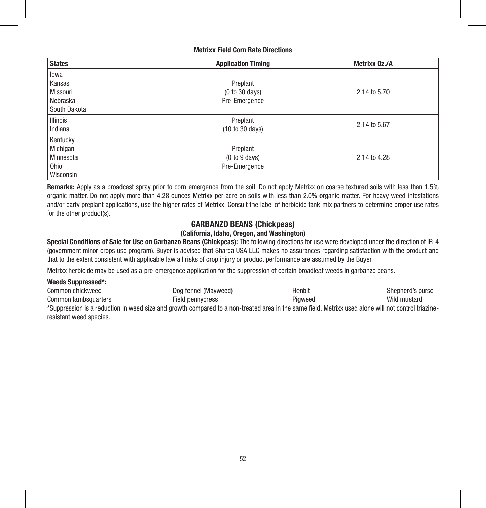### **Metrixx Field Corn Rate Directions**

| <b>States</b>   | <b>Application Timing</b> | Metrixx 0z./A |
|-----------------|---------------------------|---------------|
| lowa            |                           |               |
| Kansas          | Preplant                  |               |
| Missouri        | (0 to 30 days)            | 2.14 to 5.70  |
| Nebraska        | Pre-Emergence             |               |
| South Dakota    |                           |               |
| <b>Illinois</b> | Preplant                  |               |
| Indiana         | (10 to 30 days)           | 2.14 to 5.67  |
| Kentucky        |                           |               |
| Michigan        | Preplant                  |               |
| Minnesota       | (0 to 9 days)             | 2.14 to 4.28  |
| Ohio            | Pre-Emergence             |               |
| Wisconsin       |                           |               |

**Remarks:** Apply as a broadcast spray prior to corn emergence from the soil. Do not apply Metrixx on coarse textured soils with less than 1.5% organic matter. Do not apply more than 4.28 ounces Metrixx per acre on soils with less than 2.0% organic matter. For heavy weed infestations and/or early preplant applications, use the higher rates of Metrixx. Consult the label of herbicide tank mix partners to determine proper use rates for the other product(s).

### **GARBANZO BEANS (Chickpeas)**

### **(California, Idaho, Oregon, and Washington)**

**Special Conditions of Sale for Use on Garbanzo Beans (Chickpeas):** The following directions for use were developed under the direction of IR-4 (government minor crops use program). Buyer is advised that Sharda USA LLC makes no assurances regarding satisfaction with the product and that to the extent consistent with applicable law all risks of crop injury or product performance are assumed by the Buyer.

Metrixx herbicide may be used as a pre-emergence application for the suppression of certain broadleaf weeds in garbanzo beans.

| <b>Weeds Suppressed*:</b>                                                                                                                           |                      |         |                  |
|-----------------------------------------------------------------------------------------------------------------------------------------------------|----------------------|---------|------------------|
| Common chickweed                                                                                                                                    | Dog fennel (Mayweed) | Henbit  | Shepherd's purse |
| Common lambsquarters                                                                                                                                | Field pennycress     | Piaweed | Wild mustard     |
| *Suppression is a reduction in weed size and growth compared to a non-treated area in the same field. Metrixx used alone will not control triazine- |                      |         |                  |
| resistant weed species.                                                                                                                             |                      |         |                  |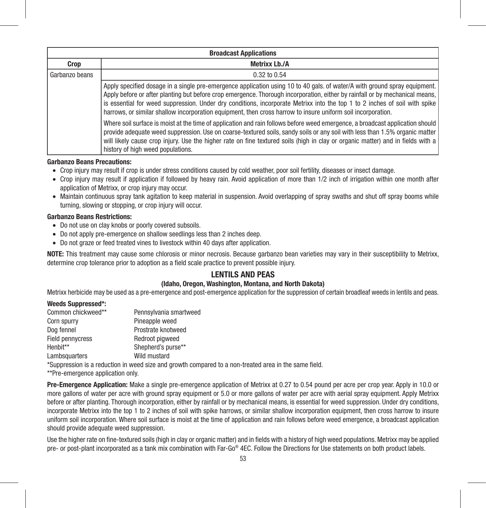| <b>Broadcast Applications</b> |                                                                                                                                                                                                                                                                                                                                                                                                                                                                                                         |  |  |
|-------------------------------|---------------------------------------------------------------------------------------------------------------------------------------------------------------------------------------------------------------------------------------------------------------------------------------------------------------------------------------------------------------------------------------------------------------------------------------------------------------------------------------------------------|--|--|
| Crop                          | <b>Metrixx Lb./A</b>                                                                                                                                                                                                                                                                                                                                                                                                                                                                                    |  |  |
| Garbanzo beans                | 0.32 to 0.54                                                                                                                                                                                                                                                                                                                                                                                                                                                                                            |  |  |
|                               | Apply specified dosage in a single pre-emergence application using 10 to 40 gals, of water/A with ground spray equipment.<br>Apply before or after planting but before crop emergence. Thorough incorporation, either by rainfall or by mechanical means,<br>is essential for weed suppression. Under dry conditions, incorporate Metrixx into the top 1 to 2 inches of soil with spike<br>harrows, or similar shallow incorporation equipment, then cross harrow to insure uniform soil incorporation. |  |  |
|                               | Where soil surface is moist at the time of application and rain follows before weed emergence, a broadcast application should<br>provide adequate weed suppression. Use on coarse-textured soils, sandy soils or any soil with less than 1.5% organic matter<br>will likely cause crop injury. Use the higher rate on fine textured soils (high in clay or organic matter) and in fields with a<br>history of high weed populations.                                                                    |  |  |

### **Garbanzo Beans Precautions:**

- • Crop injury may result if crop is under stress conditions caused by cold weather, poor soil fertility, diseases or insect damage.
- Crop injury may result if application if followed by heavy rain. Avoid application of more than 1/2 inch of irrigation within one month after application of Metrixx, or crop injury may occur.
- Maintain continuous spray tank agitation to keep material in suspension. Avoid overlapping of spray swaths and shut off spray booms while turning, slowing or stopping, or crop injury will occur.

### **Garbanzo Beans Restrictions:**

- Do not use on clay knobs or poorly covered subsoils.
- Do not apply pre-emergence on shallow seedlings less than 2 inches deep.
- Do not graze or feed treated vines to livestock within 40 days after application.

**NOTE:** This treatment may cause some chlorosis or minor necrosis. Because garbanzo bean varieties may vary in their susceptibility to Metrixx, determine crop tolerance prior to adoption as a field scale practice to prevent possible injury.

### **LENTILS AND PEAS**

### **(Idaho, Oregon, Washington, Montana, and North Dakota)**

Metrixx herbicide may be used as a pre-emergence and post-emergence application for the suppression of certain broadleaf weeds in lentils and peas.

### **Weeds Suppressed\*:**

| Common chickweed**      | Pennsylvania smartweed |
|-------------------------|------------------------|
| Corn spurry             | Pineapple weed         |
| Dog fennel              | Prostrate knotweed     |
| <b>Field pennycress</b> | Redroot piaweed        |
| Henbit**                | Shepherd's purse**     |
| Lambsquarters           | Wild mustard           |

\*Suppression is a reduction in weed size and growth compared to a non-treated area in the same field. \*\*Pre-emergence application only.

**Pre-Emergence Application:** Make a single pre-emergence application of Metrixx at 0.27 to 0.54 pound per acre per crop year. Apply in 10.0 or more gallons of water per acre with ground spray equipment or 5.0 or more gallons of water per acre with aerial spray equipment. Apply Metrixx before or after planting. Thorough incorporation, either by rainfall or by mechanical means, is essential for weed suppression. Under dry conditions, incorporate Metrixx into the top 1 to 2 inches of soil with spike harrows, or similar shallow incorporation equipment, then cross harrow to insure uniform soil incorporation. Where soil surface is moist at the time of application and rain follows before weed emergence, a broadcast application should provide adequate weed suppression.

Use the higher rate on fine-textured soils (high in clay or organic matter) and in fields with a history of high weed populations. Metrixx may be applied pre- or post-plant incorporated as a tank mix combination with Far-Go® 4EC. Follow the Directions for Use statements on both product labels.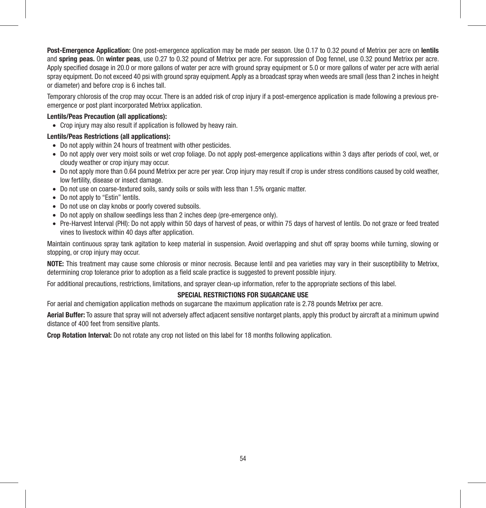**Post-Emergence Application:** One post-emergence application may be made per season. Use 0.17 to 0.32 pound of Metrixx per acre on **lentils**  and **spring peas.** On **winter peas**, use 0.27 to 0.32 pound of Metrixx per acre. For suppression of Dog fennel, use 0.32 pound Metrixx per acre. Apply specified dosage in 20.0 or more gallons of water per acre with ground spray equipment or 5.0 or more gallons of water per acre with aerial spray equipment. Do not exceed 40 psi with ground spray equipment. Apply as a broadcast spray when weeds are small (less than 2 inches in height or diameter) and before crop is 6 inches tall.

Temporary chlorosis of the crop may occur. There is an added risk of crop injury if a post-emergence application is made following a previous preemergence or post plant incorporated Metrixx application.

### **Lentils/Peas Precaution (all applications):**

• Crop injury may also result if application is followed by heavy rain.

### **Lentils/Peas Restrictions (all applications):**

- Do not apply within 24 hours of treatment with other pesticides.
- • Do not apply over very moist soils or wet crop foliage. Do not apply post-emergence applications within 3 days after periods of cool, wet, or cloudy weather or crop injury may occur.
- Do not apply more than 0.64 pound Metrixx per acre per year. Crop injury may result if crop is under stress conditions caused by cold weather, low fertility, disease or insect damage.
- Do not use on coarse-textured soils, sandy soils or soils with less than 1.5% organic matter.
- Do not apply to "Estin" lentils.
- Do not use on clay knobs or poorly covered subsoils.
- Do not apply on shallow seedlings less than 2 inches deep (pre-emergence only).
- Pre-Harvest Interval (PHI): Do not apply within 50 days of harvest of peas, or within 75 days of harvest of lentils. Do not graze or feed treated vines to livestock within 40 days after application.

Maintain continuous spray tank agitation to keep material in suspension. Avoid overlapping and shut off spray booms while turning, slowing or stopping, or crop injury may occur.

**NOTE:** This treatment may cause some chlorosis or minor necrosis. Because lentil and pea varieties may vary in their susceptibility to Metrixx, determining crop tolerance prior to adoption as a field scale practice is suggested to prevent possible injury.

For additional precautions, restrictions, limitations, and sprayer clean-up information, refer to the appropriate sections of this label.

### **SPECIAL RESTRICTIONS FOR SUGARCANE USE**

For aerial and chemigation application methods on sugarcane the maximum application rate is 2.78 pounds Metrixx per acre.

**Aerial Buffer:** To assure that spray will not adversely affect adjacent sensitive nontarget plants, apply this product by aircraft at a minimum upwind distance of 400 feet from sensitive plants.

**Crop Rotation Interval:** Do not rotate any crop not listed on this label for 18 months following application.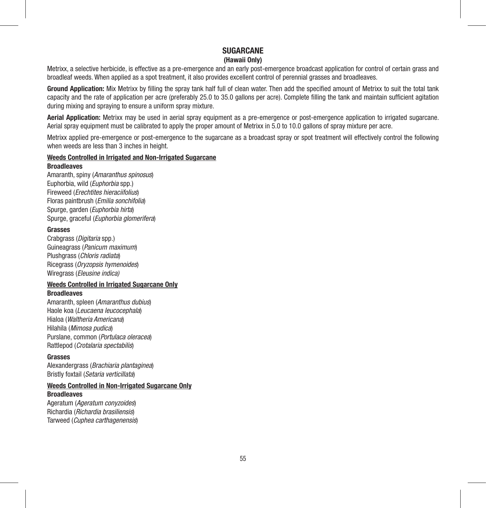## **SUGARCANE**

### **(Hawaii Only)**

Metrixx, a selective herbicide, is effective as a pre-emergence and an early post-emergence broadcast application for control of certain grass and broadleaf weeds. When applied as a spot treatment, it also provides excellent control of perennial grasses and broadleaves.

**Ground Application:** Mix Metrixx by filling the spray tank half full of clean water. Then add the specified amount of Metrixx to suit the total tank capacity and the rate of application per acre (preferably 25.0 to 35.0 gallons per acre). Complete filling the tank and maintain sufficient agitation during mixing and spraying to ensure a uniform spray mixture.

Aerial Application: Metrixx may be used in aerial spray equipment as a pre-emergence or post-emergence application to irrigated sugarcane. Aerial spray equipment must be calibrated to apply the proper amount of Metrixx in 5.0 to 10.0 gallons of spray mixture per acre.

Metrixx applied pre-emergence or post-emergence to the sugarcane as a broadcast spray or spot treatment will effectively control the following when weeds are less than 3 inches in height.

### **Weeds Controlled in Irrigated and Non-Irrigated Sugarcane**

### **Broadleaves**

Amaranth, spiny (*Amaranthus spinosus*) Euphorbia, wild (*Euphorbia* spp.) Fireweed (*Erechtites hieraciifolius*) Floras paintbrush (*Emilia sonchifolia*) Spurge, garden (*Euphorbia hirta*) Spurge, graceful (*Euphorbia glomerifera*)

### **Grasses**

Crabgrass (*Digitaria* spp.) Guineagrass (*Panicum maximum*) Plushgrass (*Chloris radiata*) Ricegrass (*Oryzopsis hymenoides*) Wiregrass (*Eleusine indica)*

### **Weeds Controlled in Irrigated Sugarcane Only Broadleaves**

Amaranth, spleen (*Amaranthus dubius*) Haole koa (*Leucaena leucocephala*) Hialoa (*Waltheria Americana*) Hilahila (*Mimosa pudica*) Purslane, common (*Portulaca oleracea*) Rattlepod (*Crotalaria spectabilis*)

### **Grasses**

Alexandergrass (*Brachiaria plantaginea*) Bristly foxtail (*Setaria verticillata*)

### **Weeds Controlled in Non-Irrigated Sugarcane Only Broadleaves**

Ageratum (*Ageratum conyzoides*) Richardia (*Richardia brasiliensis*) Tarweed (*Cuphea carthagenensis*)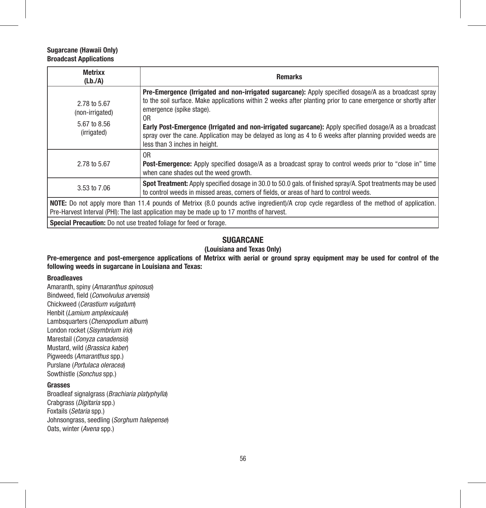### **Sugarcane (Hawaii Only) Broadcast Applications**

| <b>Metrixx</b><br>(Lb./A)                                                                                                                                                                                                            | <b>Remarks</b>                                                                                                                                                                                                                                                                                                                                                                                                                                                                                                             |
|--------------------------------------------------------------------------------------------------------------------------------------------------------------------------------------------------------------------------------------|----------------------------------------------------------------------------------------------------------------------------------------------------------------------------------------------------------------------------------------------------------------------------------------------------------------------------------------------------------------------------------------------------------------------------------------------------------------------------------------------------------------------------|
| 2.78 to 5.67<br>(non-irrigated)<br>5.67 to 8.56<br>(irrigated)                                                                                                                                                                       | Pre-Emergence (Irrigated and non-irrigated sugarcane): Apply specified dosage/A as a broadcast spray<br>to the soil surface. Make applications within 2 weeks after planting prior to cane emergence or shortly after<br>emergence (spike stage).<br>0 <sub>R</sub><br>Early Post-Emergence (Irrigated and non-irrigated sugarcane): Apply specified dosage/A as a broadcast<br>spray over the cane. Application may be delayed as long as 4 to 6 weeks after planning provided weeds are<br>less than 3 inches in height. |
| 2.78 to 5.67                                                                                                                                                                                                                         | 0 <sub>R</sub><br><b>Post-Emergence:</b> Apply specified dosage/A as a broadcast spray to control weeds prior to "close in" time<br>when cane shades out the weed growth.                                                                                                                                                                                                                                                                                                                                                  |
| 3.53 to 7.06                                                                                                                                                                                                                         | Spot Treatment: Apply specified dosage in 30.0 to 50.0 gals. of finished spray/A. Spot treatments may be used<br>to control weeds in missed areas, corners of fields, or areas of hard to control weeds.                                                                                                                                                                                                                                                                                                                   |
| NOTE: Do not apply more than 11.4 pounds of Metrixx (8.0 pounds active ingredient)/A crop cycle regardless of the method of application.<br>Pre-Harvest Interval (PHI): The last application may be made up to 17 months of harvest. |                                                                                                                                                                                                                                                                                                                                                                                                                                                                                                                            |
| Special Precaution: Do not use treated foliage for feed or forage.                                                                                                                                                                   |                                                                                                                                                                                                                                                                                                                                                                                                                                                                                                                            |

## **SUGARCANE**

### **(Louisiana and Texas Only)**

**Pre-emergence and post-emergence applications of Metrixx with aerial or ground spray equipment may be used for control of the following weeds in sugarcane in Louisiana and Texas:**

### **Broadleaves**

Amaranth, spiny (*Amaranthus spinosus*) Bindweed, field (*Convolvulus arvensis*) Chickweed (*Cerastium vulgatum*) Henbit (*Lamium amplexicaule*) Lambsquarters (*Chenopodium album*) London rocket (*Sisymbrium irio*) Marestail (*Conyza canadensis*) Mustard, wild (*Brassica kaber*) Pigweeds (*Amaranthus* spp.) Purslane (*Portulaca oleracea*) Sowthistle (*Sonchus* spp.)

### **Grasses**

Broadleaf signalgrass (*Brachiaria platyphylla*) Crabgrass (*Digitaria* spp.) Foxtails (*Setaria* spp.) Johnsongrass, seedling (*Sorghum halepense*) Oats, winter (*Avena* spp.)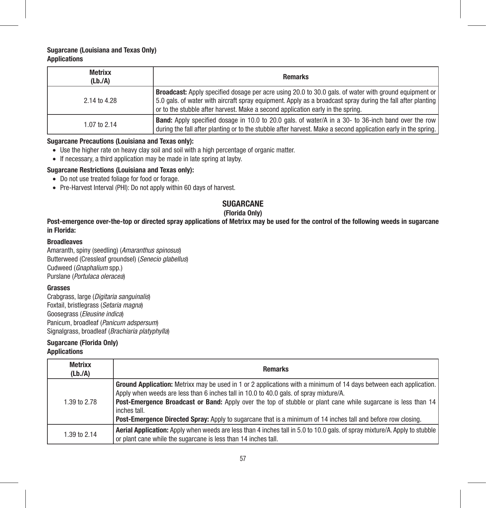### **Sugarcane (Louisiana and Texas Only) Applications**

| <b>Metrixx</b><br>(Lb./A) | <b>Remarks</b>                                                                                                                                                                                                                                                                                                 |
|---------------------------|----------------------------------------------------------------------------------------------------------------------------------------------------------------------------------------------------------------------------------------------------------------------------------------------------------------|
| 2.14 to 4.28              | <b>Broadcast:</b> Apply specified dosage per acre using 20.0 to 30.0 gals, of water with ground equipment or<br>5.0 gals, of water with aircraft spray equipment. Apply as a broadcast spray during the fall after planting<br>or to the stubble after harvest. Make a second application early in the spring. |
| 1.07 to 2.14              | <b>Band:</b> Apply specified dosage in 10.0 to 20.0 gals. of water/A in a 30- to 36-inch band over the row<br>during the fall after planting or to the stubble after harvest. Make a second application early in the spring.                                                                                   |

### **Sugarcane Precautions (Louisiana and Texas only):**

- Use the higher rate on heavy clay soil and soil with a high percentage of organic matter.
- If necessary, a third application may be made in late spring at layby.

### **Sugarcane Restrictions (Louisiana and Texas only):**

- Do not use treated foliage for food or forage.
- Pre-Harvest Interval (PHI): Do not apply within 60 days of harvest.

### **SUGARCANE**

### **(Florida Only)**

**Post-emergence over-the-top or directed spray applications of Metrixx may be used for the control of the following weeds in sugarcane in Florida:**

### **Broadleaves**

Amaranth, spiny (seedling) (*Amaranthus spinosus*) Butterweed (Cressleaf groundsel) (*Senecio glabellus*) Cudweed (*Gnaphalium* spp.) Purslane (*Portulaca oleracea*)

### **Grasses**

Crabgrass, large (*Digitaria sanguinalis*) Foxtail, bristlegrass (*Setaria magna*) Goosegrass (*Eleusine indica*) Panicum, broadleaf (*Panicum adspersum*) Signalgrass, broadleaf (*Brachiaria platyphylla*)

### **Sugarcane (Florida Only) Applications**

| <b>Metrixx</b><br>(Lb./A) | <b>Remarks</b>                                                                                                                                                                                                                                                                                                                                                                                                                                                        |
|---------------------------|-----------------------------------------------------------------------------------------------------------------------------------------------------------------------------------------------------------------------------------------------------------------------------------------------------------------------------------------------------------------------------------------------------------------------------------------------------------------------|
| 1.39 to 2.78              | Ground Application: Metrixx may be used in 1 or 2 applications with a minimum of 14 days between each application.<br>Apply when weeds are less than 6 inches tall in 10.0 to 40.0 gals. of spray mixture/A.<br><b>Post-Emergence Broadcast or Band:</b> Apply over the top of stubble or plant cane while sugarcane is less than 14<br>inches tall.<br>Post-Emergence Directed Spray: Apply to sugarcane that is a minimum of 14 inches tall and before row closing. |
| 1.39 to 2.14              | Aerial Application: Apply when weeds are less than 4 inches tall in 5.0 to 10.0 gals, of spray mixture/A. Apply to stubble<br>or plant cane while the sugarcane is less than 14 inches tall.                                                                                                                                                                                                                                                                          |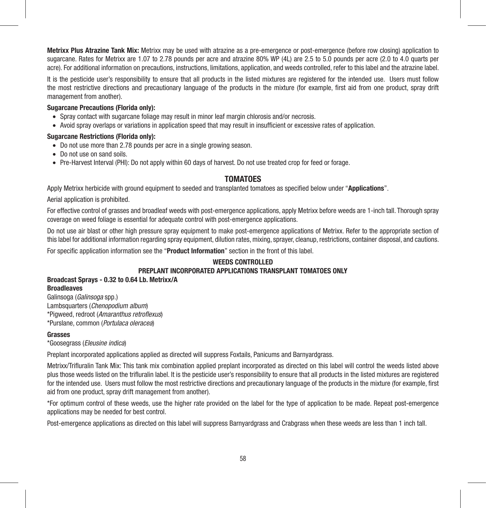**Metrixx Plus Atrazine Tank Mix:** Metrixx may be used with atrazine as a pre-emergence or post-emergence (before row closing) application to sugarcane. Rates for Metrixx are 1.07 to 2.78 pounds per acre and atrazine 80% WP (4L) are 2.5 to 5.0 pounds per acre (2.0 to 4.0 quarts per acre). For additional information on precautions, instructions, limitations, application, and weeds controlled, refer to this label and the atrazine label.

It is the pesticide user's responsibility to ensure that all products in the listed mixtures are registered for the intended use. Users must follow the most restrictive directions and precautionary language of the products in the mixture (for example, first aid from one product, spray drift management from another).

### **Sugarcane Precautions (Florida only):**

- Spray contact with sugarcane foliage may result in minor leaf margin chlorosis and/or necrosis.
- Avoid spray overlaps or variations in application speed that may result in insufficient or excessive rates of application.

### **Sugarcane Restrictions (Florida only):**

- Do not use more than 2.78 pounds per acre in a single growing season.
- Do not use on sand soils.
- Pre-Harvest Interval (PHI): Do not apply within 60 days of harvest. Do not use treated crop for feed or forage.

### **TOMATOES**

Apply Metrixx herbicide with ground equipment to seeded and transplanted tomatoes as specified below under "**Applications**".

### Aerial application is prohibited.

For effective control of grasses and broadleaf weeds with post-emergence applications, apply Metrixx before weeds are 1-inch tall. Thorough spray coverage on weed foliage is essential for adequate control with post-emergence applications.

Do not use air blast or other high pressure spray equipment to make post-emergence applications of Metrixx. Refer to the appropriate section of this label for additional information regarding spray equipment, dilution rates, mixing, sprayer, cleanup, restrictions, container disposal, and cautions. For specific application information see the "**Product Information**" section in the front of this label.

# **WEEDS CONTROLLED**

## **PREPLANT INCORPORATED APPLICATIONS TRANSPLANT TOMATOES ONLY**

### **Broadcast Sprays - 0.32 to 0.64 Lb. Metrixx/A**

### **Broadleaves**

Galinsoga (*Galinsoga* spp.) Lambsquarters (*Chenopodium album*) \*Pigweed, redroot (*Amaranthus retroflexus*) \*Purslane, common (*Portulaca oleracea*)

### **Grasses**

\*Goosegrass (*Eleusine indica*)

Preplant incorporated applications applied as directed will suppress Foxtails, Panicums and Barnyardgrass.

Metrixx/Trifluralin Tank Mix: This tank mix combination applied preplant incorporated as directed on this label will control the weeds listed above plus those weeds listed on the trifluralin label. It is the pesticide user's responsibility to ensure that all products in the listed mixtures are registered for the intended use. Users must follow the most restrictive directions and precautionary language of the products in the mixture (for example, first aid from one product, spray drift management from another).

\*For optimum control of these weeds, use the higher rate provided on the label for the type of application to be made. Repeat post-emergence applications may be needed for best control.

Post-emergence applications as directed on this label will suppress Barnyardgrass and Crabgrass when these weeds are less than 1 inch tall.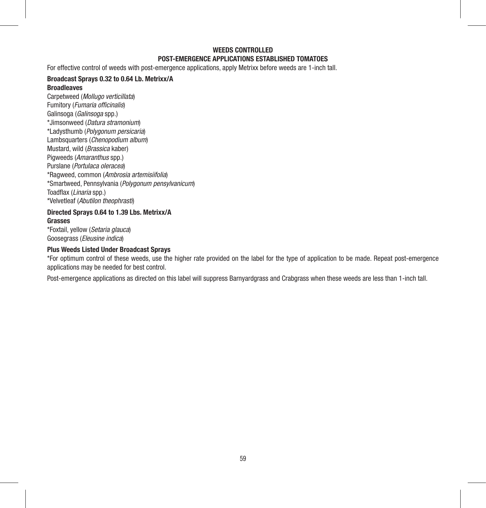### **WEEDS CONTROLLED POST-EMERGENCE APPLICATIONS ESTABLISHED TOMATOES**

For effective control of weeds with post-emergence applications, apply Metrixx before weeds are 1-inch tall.

### **Broadcast Sprays 0.32 to 0.64 Lb. Metrixx/A Broadleaves**

Carpetweed (*Mollugo verticillata*) Fumitory (*Fumaria officinalis*) Galinsoga (*Galinsoga* spp.) \*Jimsonweed (*Datura stramonium*) \*Ladysthumb (*Polygonum persicaria*) Lambsquarters (*Chenopodium album*) Mustard, wild (*Brassica* kaber) Pigweeds (*Amaranthus* spp.) Purslane (*Portulaca oleracea*) \*Ragweed, common (*Ambrosia artemisiifolia*) \*Smartweed, Pennsylvania (*Polygonum pensylvanicum*) Toadflax (*Linaria* spp.) \*Velvetleaf (*Abutilon theophrasti*)

### **Directed Sprays 0.64 to 1.39 Lbs. Metrixx/A Grasses**

\*Foxtail, yellow (*Setaria glauca*) Goosegrass (*Eleusine indica*)

### **Plus Weeds Listed Under Broadcast Sprays**

\*For optimum control of these weeds, use the higher rate provided on the label for the type of application to be made. Repeat post-emergence applications may be needed for best control.

Post-emergence applications as directed on this label will suppress Barnyardgrass and Crabgrass when these weeds are less than 1-inch tall.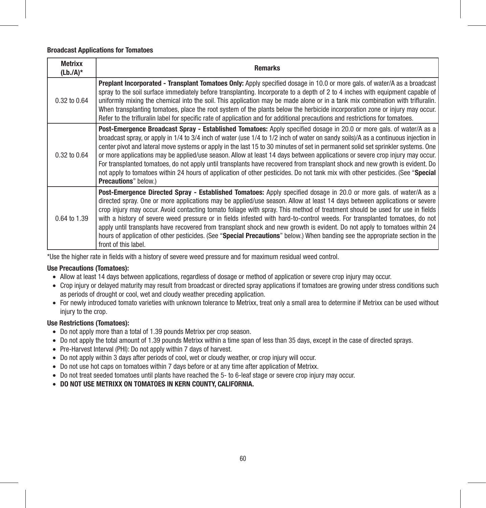### **Broadcast Applications for Tomatoes**

| <b>Metrixx</b><br>$(Lb./A)^*$ | <b>Remarks</b>                                                                                                                                                                                                                                                                                                                                                                                                                                                                                                                                                                                                                                                                                                                                                                                                          |
|-------------------------------|-------------------------------------------------------------------------------------------------------------------------------------------------------------------------------------------------------------------------------------------------------------------------------------------------------------------------------------------------------------------------------------------------------------------------------------------------------------------------------------------------------------------------------------------------------------------------------------------------------------------------------------------------------------------------------------------------------------------------------------------------------------------------------------------------------------------------|
| $0.32$ to $0.64$              | <b>Preplant Incorporated - Transplant Tomatoes Only:</b> Apply specified dosage in 10.0 or more gals. of water/A as a broadcast<br>spray to the soil surface immediately before transplanting. Incorporate to a depth of 2 to 4 inches with equipment capable of<br>uniformly mixing the chemical into the soil. This application may be made alone or in a tank mix combination with trifluralin.<br>When transplanting tomatoes, place the root system of the plants below the herbicide incorporation zone or injury may occur.<br>Refer to the trifluralin label for specific rate of application and for additional precautions and restrictions for tomatoes.                                                                                                                                                     |
| $0.32$ to $0.64$              | Post-Emergence Broadcast Spray - Established Tomatoes: Apply specified dosage in 20.0 or more gals. of water/A as a<br>broadcast spray, or apply in 1/4 to 3/4 inch of water (use 1/4 to 1/2 inch of water on sandy soils)/A as a continuous injection in<br>center pivot and lateral move systems or apply in the last 15 to 30 minutes of set in permanent solid set sprinkler systems. One<br>or more applications may be applied/use season. Allow at least 14 days between applications or severe crop injury may occur.<br>For transplanted tomatoes, do not apply until transplants have recovered from transplant shock and new growth is evident. Do<br>not apply to tomatoes within 24 hours of application of other pesticides. Do not tank mix with other pesticides. (See "Special<br>Precautions" below.) |
| 0.64 to 1.39                  | Post-Emergence Directed Spray - Established Tomatoes: Apply specified dosage in 20.0 or more gals. of water/A as a<br>directed spray. One or more applications may be applied/use season. Allow at least 14 days between applications or severe<br>crop injury may occur. Avoid contacting tomato foliage with spray. This method of treatment should be used for use in fields<br>with a history of severe weed pressure or in fields infested with hard-to-control weeds. For transplanted tomatoes, do not<br>apply until transplants have recovered from transplant shock and new growth is evident. Do not apply to tomatoes within 24<br>hours of application of other pesticides. (See "Special Precautions" below.) When banding see the appropriate section in the<br>front of this label.                     |

\*Use the higher rate in fields with a history of severe weed pressure and for maximum residual weed control.

### **Use Precautions (Tomatoes):**

- Allow at least 14 days between applications, regardless of dosage or method of application or severe crop injury may occur.
- • Crop injury or delayed maturity may result from broadcast or directed spray applications if tomatoes are growing under stress conditions such as periods of drought or cool, wet and cloudy weather preceding application.
- For newly introduced tomato varieties with unknown tolerance to Metrixx, treat only a small area to determine if Metrixx can be used without injury to the crop.

### **Use Restrictions (Tomatoes):**

- • Do not apply more than a total of 1.39 pounds Metrixx per crop season.
- Do not apply the total amount of 1.39 pounds Metrixx within a time span of less than 35 days, except in the case of directed sprays.
- Pre-Harvest Interval (PHI): Do not apply within 7 days of harvest.
- Do not apply within 3 days after periods of cool, wet or cloudy weather, or crop injury will occur.
- Do not use hot caps on tomatoes within 7 days before or at any time after application of Metrixx.
- • Do not treat seeded tomatoes until plants have reached the 5- to 6-leaf stage or severe crop injury may occur.
- • **DO NOT USE METRIXX ON TOMATOES IN KERN COUNTY, CALIFORNIA.**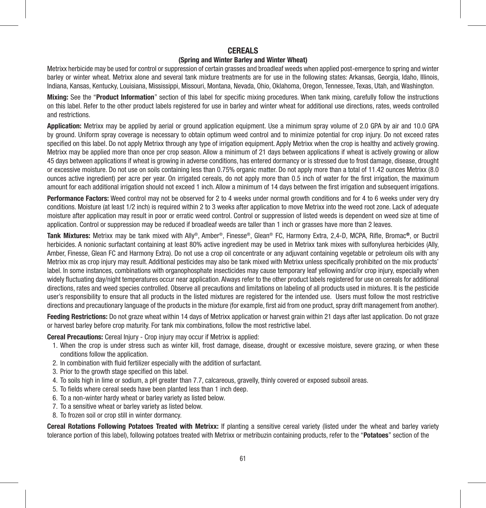### **CEREALS**

### **(Spring and Winter Barley and Winter Wheat)**

Metrixx herbicide may be used for control or suppression of certain grasses and broadleaf weeds when applied post-emergence to spring and winter barley or winter wheat. Metrixx alone and several tank mixture treatments are for use in the following states: Arkansas, Georgia, Idaho, Illinois, Indiana, Kansas, Kentucky, Louisiana, Mississippi, Missouri, Montana, Nevada, Ohio, Oklahoma, Oregon, Tennessee, Texas, Utah, and Washington.

**Mixing:** See the "**Product Information**" section of this label for specific mixing procedures. When tank mixing, carefully follow the instructions on this label. Refer to the other product labels registered for use in barley and winter wheat for additional use directions, rates, weeds controlled and restrictions.

**Application:** Metrixx may be applied by aerial or ground application equipment. Use a minimum spray volume of 2.0 GPA by air and 10.0 GPA by ground. Uniform spray coverage is necessary to obtain optimum weed control and to minimize potential for crop injury. Do not exceed rates specified on this label. Do not apply Metrixx through any type of irrigation equipment. Apply Metrixx when the crop is healthy and actively growing. Metrixx may be applied more than once per crop season. Allow a minimum of 21 days between applications if wheat is actively growing or allow 45 days between applications if wheat is growing in adverse conditions, has entered dormancy or is stressed due to frost damage, disease, drought or excessive moisture. Do not use on soils containing less than 0.75% organic matter. Do not apply more than a total of 11.42 ounces Metrixx (8.0 ounces active ingredient) per acre per year. On irrigated cereals, do not apply more than 0.5 inch of water for the first irrigation, the maximum amount for each additional irrigation should not exceed 1 inch. Allow a minimum of 14 days between the first irrigation and subsequent irrigations.

**Performance Factors:** Weed control may not be observed for 2 to 4 weeks under normal growth conditions and for 4 to 6 weeks under very dry conditions. Moisture (at least 1/2 inch) is required within 2 to 3 weeks after application to move Metrixx into the weed root zone. Lack of adequate moisture after application may result in poor or erratic weed control. Control or suppression of listed weeds is dependent on weed size at time of application. Control or suppression may be reduced if broadleaf weeds are taller than 1 inch or grasses have more than 2 leaves.

**Tank Mixtures:** Metrixx may be tank mixed with Ally®, Amber®, Finesse®, Glean® FC, Harmony Extra, 2,4-D, MCPA, Rifle, Bromac**®**, or Buctril herbicides. A nonionic surfactant containing at least 80% active ingredient may be used in Metrixx tank mixes with sulfonylurea herbicides (Ally, Amber, Finesse, Glean FC and Harmony Extra). Do not use a crop oil concentrate or any adjuvant containing vegetable or petroleum oils with any Metrixx mix as crop injury may result. Additional pesticides may also be tank mixed with Metrixx unless specifically prohibited on the mix products' label. In some instances, combinations with organophosphate insecticides may cause temporary leaf yellowing and/or crop injury, especially when widely fluctuating day/night temperatures occur near application. Always refer to the other product labels registered for use on cereals for additional directions, rates and weed species controlled. Observe all precautions and limitations on labeling of all products used in mixtures. It is the pesticide user's responsibility to ensure that all products in the listed mixtures are registered for the intended use. Users must follow the most restrictive directions and precautionary language of the products in the mixture (for example, first aid from one product, spray drift management from another).

**Feeding Restrictions:** Do not graze wheat within 14 days of Metrixx application or harvest grain within 21 days after last application. Do not graze or harvest barley before crop maturity. For tank mix combinations, follow the most restrictive label.

**Cereal Precautions:** Cereal Injury - Crop injury may occur if Metrixx is applied:

- 1. When the crop is under stress such as winter kill, frost damage, disease, drought or excessive moisture, severe grazing, or when these conditions follow the application.
- 2. In combination with fluid fertilizer especially with the addition of surfactant.
- 3. Prior to the growth stage specified on this label.
- 4. To soils high in lime or sodium, a pH greater than 7.7, calcareous, gravelly, thinly covered or exposed subsoil areas.
- 5. To fields where cereal seeds have been planted less than 1 inch deep.
- 6. To a non-winter hardy wheat or barley variety as listed below.
- 7. To a sensitive wheat or barley variety as listed below.
- 8. To frozen soil or crop still in winter dormancy.

**Cereal Rotations Following Potatoes Treated with Metrixx:** If planting a sensitive cereal variety (listed under the wheat and barley variety tolerance portion of this label), following potatoes treated with Metrixx or metribuzin containing products, refer to the "**Potatoes**" section of the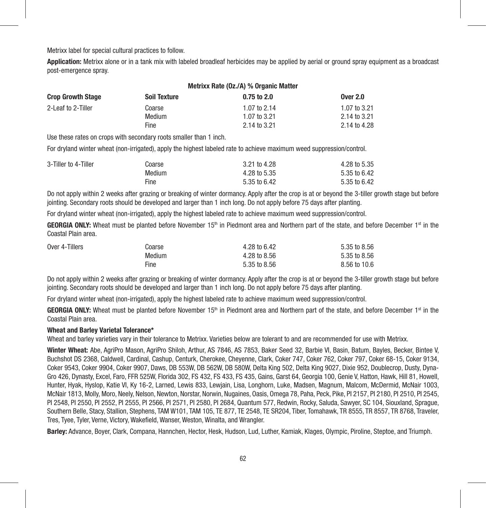Metrixx label for special cultural practices to follow.

**Application:** Metrixx alone or in a tank mix with labeled broadleaf herbicides may be applied by aerial or ground spray equipment as a broadcast post-emergence spray.

|                          |                     | Metrixx Rate (0z./A) % Organic Matter |                 |
|--------------------------|---------------------|---------------------------------------|-----------------|
| <b>Crop Growth Stage</b> | <b>Soil Texture</b> | $0.75$ to 2.0                         | <b>Over 2.0</b> |
| 2-Leaf to 2-Tiller       | Coarse              | 1.07 to $2.14$                        | 1.07 to 3.21    |
|                          | Medium              | 1.07 to 3.21                          | 2.14 to 3.21    |
|                          | <b>Fine</b>         | 2.14 to 3.21                          | 2.14 to 4.28    |

Use these rates on crops with secondary roots smaller than 1 inch.

For dryland winter wheat (non-irrigated), apply the highest labeled rate to achieve maximum weed suppression/control.

| 3-Tiller to 4-Tiller | Coarse | 3.21 to 4.28 | 4.28 to 5.35 |
|----------------------|--------|--------------|--------------|
|                      | Medium | 4.28 to 5.35 | 5.35 to 6.42 |
|                      | Fine   | 5.35 to 6.42 | 5.35 to 6.42 |

Do not apply within 2 weeks after grazing or breaking of winter dormancy. Apply after the crop is at or beyond the 3-tiller growth stage but before jointing. Secondary roots should be developed and larger than 1 inch long. Do not apply before 75 days after planting.

For dryland winter wheat (non-irrigated), apply the highest labeled rate to achieve maximum weed suppression/control.

**GEORGIA ONLY:** Wheat must be planted before November 15<sup>th</sup> in Piedmont area and Northern part of the state, and before December 1<sup>st</sup> in the Coastal Plain area.

| Over 4-Tillers | Coarse | 4.28 to 6.42 | 5.35 to 8.56 |
|----------------|--------|--------------|--------------|
|                | Medium | 4.28 to 8.56 | 5.35 to 8.56 |
|                | Fine   | 5.35 to 8.56 | 8.56 to 10.6 |

Do not apply within 2 weeks after grazing or breaking of winter dormancy. Apply after the crop is at or beyond the 3-tiller growth stage but before jointing. Secondary roots should be developed and larger than 1 inch long. Do not apply before 75 days after planting.

For dryland winter wheat (non-irrigated), apply the highest labeled rate to achieve maximum weed suppression/control.

**GEORGIA ONLY:** Wheat must be planted before November 15<sup>th</sup> in Piedmont area and Northern part of the state, and before December 1<sup>st</sup> in the Coastal Plain area.

### **Wheat and Barley Varietal Tolerance\***

Wheat and barley varieties vary in their tolerance to Metrixx. Varieties below are tolerant to and are recommended for use with Metrixx.

Winter Wheat: Abe, AgriPro Mason, AgriPro Shiloh, Arthur, AS 7846, AS 7853, Baker Seed 32, Barbie VI, Basin, Batum, Bayles, Becker, Bintee V, Buchshot DS 2368, Caldwell, Cardinal, Cashup, Centurk, Cherokee, Cheyenne, Clark, Coker 747, Coker 762, Coker 797, Coker 68-15, Coker 9134, Coker 9543, Coker 9904, Coker 9907, Daws, DB 553W, DB 562W, DB 580W, Delta King 502, Delta King 9027, Dixie 952, Doublecrop, Dusty, Dyna-Gro 426, Dynasty, Excel, Faro, FFR 525W, Florida 302, FS 432, FS 433, FS 435, Gains, Garst 64, Georgia 100, Genie V, Hatton, Hawk, Hill 81, Howell, Hunter, Hyak, Hyslop, Katie VI, Ky 16-2, Larned, Lewis 833, Lewjain, Lisa, Longhorn, Luke, Madsen, Magnum, Malcom, McDermid, McNair 1003, McNair 1813, Molly, Moro, Neely, Nelson, Newton, Norstar, Norwin, Nugaines, Oasis, Omega 78, Paha, Peck, Pike, PI 2157, PI 2180, PI 2510, PI 2545, PI 2548, PI 2550, PI 2552, PI 2555, PI 2566, PI 2571, PI 2580, PI 2684, Quantum 577, Redwin, Rocky, Saluda, Sawyer, SC 104, Siouxland, Sprague, Southern Belle, Stacy, Stallion, Stephens, TAM W101, TAM 105, TE 877, TE 2548, TE SR204, Tiber, Tomahawk, TR 8555, TR 8557, TR 8768, Traveler, Tres, Tyee, Tyler, Verne, Victory, Wakefield, Wanser, Weston, Winalta, and Wrangler.

**Barley:** Advance, Boyer, Clark, Compana, Hannchen, Hector, Hesk, Hudson, Lud, Luther, Kamiak, Klages, Olympic, Piroline, Steptoe, and Triumph.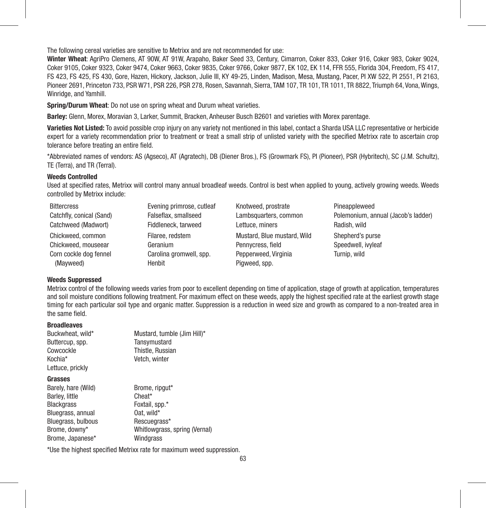The following cereal varieties are sensitive to Metrixx and are not recommended for use:

**Winter Wheat**: AgriPro Clemens, AT 90W, AT 91W, Arapaho, Baker Seed 33, Century, Cimarron, Coker 833, Coker 916, Coker 983, Coker 9024, Coker 9105, Coker 9323, Coker 9474, Coker 9663, Coker 9835, Coker 9766, Coker 9877, EK 102, EK 114, FFR 555, Florida 304, Freedom, FS 417, FS 423, FS 425, FS 430, Gore, Hazen, Hickory, Jackson, Julie III, KY 49-25, Linden, Madison, Mesa, Mustang, Pacer, PI XW 522, PI 2551, PI 2163, Pioneer 2691, Princeton 733, PSR W71, PSR 226, PSR 278, Rosen, Savannah, Sierra, TAM 107, TR 101, TR 1011, TR 8822, Triumph 64, Vona, Wings, Winridge, and Yamhill.

**Spring/Durum Wheat**: Do not use on spring wheat and Durum wheat varieties.

**Barley:** Glenn, Morex, Moravian 3, Larker, Summit, Bracken, Anheuser Busch B2601 and varieties with Morex parentage.

**Varieties Not Listed:** To avoid possible crop injury on any variety not mentioned in this label, contact a Sharda USA LLC representative or herbicide expert for a variety recommendation prior to treatment or treat a small strip of unlisted variety with the specified Metrixx rate to ascertain crop tolerance before treating an entire field.

\*Abbreviated names of vendors: AS (Agseco), AT (Agratech), DB (Diener Bros.), FS (Growmark FS), PI (Pioneer), PSR (Hybritech), SC (J.M. Schultz), TE (Terra), and TR (Terral).

### **Weeds Controlled**

Used at specified rates, Metrixx will control many annual broadleaf weeds. Control is best when applied to young, actively growing weeds. Weeds controlled by Metrixx include:

| <b>Bittercress</b>       | Evening primrose, cutleaf | Knotweed, prostrate         | Pineappleweed                       |
|--------------------------|---------------------------|-----------------------------|-------------------------------------|
| Catchfly, conical (Sand) | Falseflax, smallseed      | Lambsquarters, common       | Polemonium, annual (Jacob's ladder) |
| Catchweed (Madwort)      | Fiddleneck, tarweed       | Lettuce, miners             | Radish, wild                        |
| Chickweed, common        | Filaree, redstem          | Mustard, Blue mustard, Wild | Shepherd's purse                    |
| Chickweed, mouseear      | Geranium                  | Pennycress, field           | Speedwell, ivyleaf                  |
| Corn cockle dog fennel   | Carolina gromwell, spp.   | Pepperweed, Virginia        | Turnip, wild                        |
| (Mayweed)                | Henbit                    | Pigweed, spp.               |                                     |

### **Weeds Suppressed**

Metrixx control of the following weeds varies from poor to excellent depending on time of application, stage of growth at application, temperatures and soil moisture conditions following treatment. For maximum effect on these weeds, apply the highest specified rate at the earliest growth stage timing for each particular soil type and organic matter. Suppression is a reduction in weed size and growth as compared to a non-treated area in the same field.

### **Broadleaves**

| Buckwheat, wild* | Mustard, tumble (Jim Hill)* |
|------------------|-----------------------------|
| Buttercup, spp.  | Tansymustard                |
| Cowcockle        | Thistle, Russian            |
| Kochia*          | Vetch, winter               |
| Lettuce, prickly |                             |

### **Grasses**

| Barely, hare (Wild) | Brome, ripgut*                |
|---------------------|-------------------------------|
| Barley, little      | Cheat*                        |
| <b>Blackgrass</b>   | Foxtail, spp.*                |
| Bluegrass, annual   | Oat. wild*                    |
| Bluegrass, bulbous  | Rescuegrass*                  |
| Brome, downy*       | Whitlowgrass, spring (Vernal) |
| Brome, Japanese*    | Windgrass                     |

\*Use the highest specified Metrixx rate for maximum weed suppression.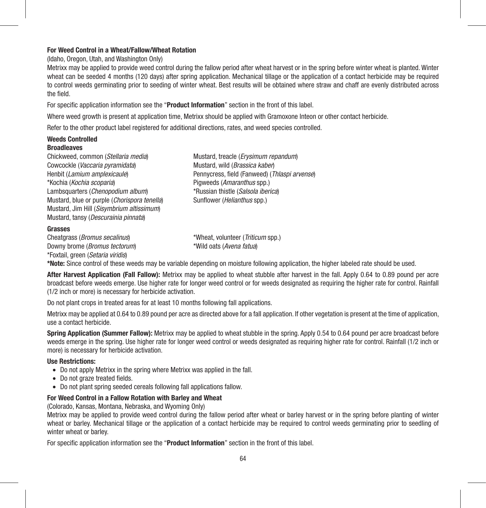### **For Weed Control in a Wheat/Fallow/Wheat Rotation**

### (Idaho, Oregon, Utah, and Washington Only)

Metrixx may be applied to provide weed control during the fallow period after wheat harvest or in the spring before winter wheat is planted. Winter wheat can be seeded 4 months (120 days) after spring application. Mechanical tillage or the application of a contact herbicide may be required to control weeds germinating prior to seeding of winter wheat. Best results will be obtained where straw and chaff are evenly distributed across the field.

For specific application information see the "**Product Information**" section in the front of this label.

Where weed growth is present at application time, Metrixx should be applied with Gramoxone Inteon or other contact herbicide.

Refer to the other product label registered for additional directions, rates, and weed species controlled.

### **Weeds Controlled**

### **Broadleaves**

| Chickweed, common (Stellaria media)          | Mustard, treacle ( <i>Ervsimum repandum</i> ) |
|----------------------------------------------|-----------------------------------------------|
| Cowcockle (Vaccaria pyramidata)              | Mustard, wild (Brassica kaber)                |
| Henbit (Lamium amplexicaule)                 | Pennycress, field (Fanweed) (Thlaspi arvense) |
| *Kochia (Kochia scoparia)                    | Pigweeds (Amaranthus spp.)                    |
| Lambsquarters (Chenopodium album)            | *Russian thistle (Salsola iberica)            |
| Mustard, blue or purple (Chorispora tenella) | Sunflower (Helianthus spp.)                   |
| Mustard, Jim Hill (Sisymbrium altissimum)    |                                               |
| Mustard, tansy (Descurainia pinnata)         |                                               |
| Grasses                                      |                                               |

Cheatgrass (*Bromus secalinus*) \*Wheat, volunteer (*Triticum* spp.) Downy brome (*Bromus tectorum*) \*Foxtail, green (*Setaria viridis*)

**\*Note:** Since control of these weeds may be variable depending on moisture following application, the higher labeled rate should be used.

**After Harvest Application (Fall Fallow):** Metrixx may be applied to wheat stubble after harvest in the fall. Apply 0.64 to 0.89 pound per acre broadcast before weeds emerge. Use higher rate for longer weed control or for weeds designated as requiring the higher rate for control. Rainfall (1/2 inch or more) is necessary for herbicide activation.

Do not plant crops in treated areas for at least 10 months following fall applications.

Metrixx may be applied at 0.64 to 0.89 pound per acre as directed above for a fall application. If other vegetation is present at the time of application, use a contact herbicide.

**Spring Application (Summer Fallow):** Metrixx may be applied to wheat stubble in the spring. Apply 0.54 to 0.64 pound per acre broadcast before weeds emerge in the spring. Use higher rate for longer weed control or weeds designated as requiring higher rate for control. Rainfall (1/2 inch or more) is necessary for herbicide activation.

### **Use Restrictions:**

- Do not apply Metrixx in the spring where Metrixx was applied in the fall.
- Do not graze treated fields.
- Do not plant spring seeded cereals following fall applications fallow.

### **For Weed Control in a Fallow Rotation with Barley and Wheat**

### (Colorado, Kansas, Montana, Nebraska, and Wyoming Only)

Metrixx may be applied to provide weed control during the fallow period after wheat or barley harvest or in the spring before planting of winter wheat or barley. Mechanical tillage or the application of a contact herbicide may be required to control weeds germinating prior to seedling of winter wheat or barley.

For specific application information see the "**Product Information**" section in the front of this label.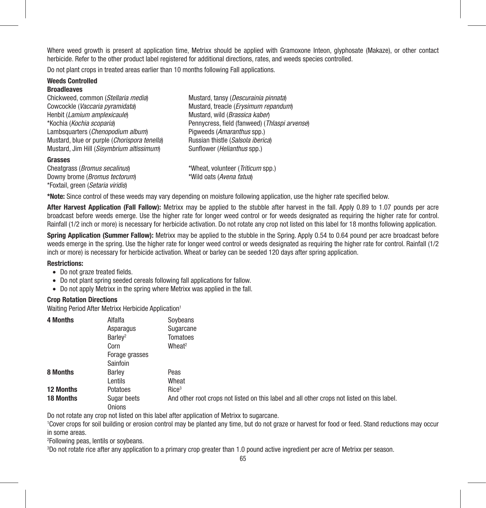Where weed growth is present at application time. Metrixx should be applied with Gramoxone Inteon, glyphosate (Makaze), or other contact herbicide. Refer to the other product label registered for additional directions, rates, and weeds species controlled.

Do not plant crops in treated areas earlier than 10 months following Fall applications.

### **Weeds Controlled Broadleaves**

| Chickweed, common (Stellaria media)          | Mustard, tansy (Descurainia pinnata)          |
|----------------------------------------------|-----------------------------------------------|
| Cowcockle (Vaccaria pyramidata)              | Mustard, treacle (Erysimum repandum)          |
| Henbit (Lamium amplexicaule)                 | Mustard, wild (Brassica kaben)                |
| *Kochia (Kochia scoparia)                    | Pennycress, field (fanweed) (Thlaspi arvense) |
| Lambsquarters (Chenopodium album)            | Pigweeds (Amaranthus spp.)                    |
| Mustard, blue or purple (Chorispora tenella) | Russian thistle (Salsola iberica)             |
| Mustard, Jim Hill (Sisymbrium altissimum)    | Sunflower ( <i>Helianthus</i> spp.)           |
| Grasses                                      |                                               |
| Cheatgrass (Bromus secalinus)                | *Wheat, volunteer (Triticum spp.)             |
| Downy brome (Bromus tectorum)                | *Wild oats (Avena fatua)                      |

**\*Note:** Since control of these weeds may vary depending on moisture following application, use the higher rate specified below.

**After Harvest Application (Fall Fallow):** Metrixx may be applied to the stubble after harvest in the fall. Apply 0.89 to 1.07 pounds per acre broadcast before weeds emerge. Use the higher rate for longer weed control or for weeds designated as requiring the higher rate for control. Rainfall (1/2 inch or more) is necessary for herbicide activation. Do not rotate any crop not listed on this label for 18 months following application.

**Spring Application (Summer Fallow):** Metrixx may be applied to the stubble in the Spring. Apply 0.54 to 0.64 pound per acre broadcast before weeds emerge in the spring. Use the higher rate for longer weed control or weeds designated as requiring the higher rate for control. Rainfall (1/2 inch or more) is necessary for herbicide activation. Wheat or barley can be seeded 120 days after spring application.

### **Restrictions:**

• Do not graze treated fields.

\*Foxtail, green (*Setaria viridis*)

- Do not plant spring seeded cereals following fall applications for fallow.
- Do not apply Metrixx in the spring where Metrixx was applied in the fall.

### **Crop Rotation Directions**

Waiting Period After Metrixx Herbicide Application<sup>1</sup>

| 4 Months         | Alfalfa             | Sovbeans                                                                                    |
|------------------|---------------------|---------------------------------------------------------------------------------------------|
|                  | Asparagus           | Sugarcane                                                                                   |
|                  | Barley <sup>2</sup> | Tomatoes                                                                                    |
|                  | Corn                | Wheat <sup>2</sup>                                                                          |
|                  | Forage grasses      |                                                                                             |
|                  | Sainfoin            |                                                                                             |
| 8 Months         | Barley              | Peas                                                                                        |
|                  | Lentils             | Wheat                                                                                       |
| 12 Months        | Potatoes            | Rice <sup>3</sup>                                                                           |
| <b>18 Months</b> | Sugar beets         | And other root crops not listed on this label and all other crops not listed on this label. |
|                  | Onions              |                                                                                             |
|                  |                     |                                                                                             |

Do not rotate any crop not listed on this label after application of Metrixx to sugarcane.

1 Cover crops for soil building or erosion control may be planted any time, but do not graze or harvest for food or feed. Stand reductions may occur in some areas.

2 Following peas, lentils or soybeans.

3 Do not rotate rice after any application to a primary crop greater than 1.0 pound active ingredient per acre of Metrixx per season.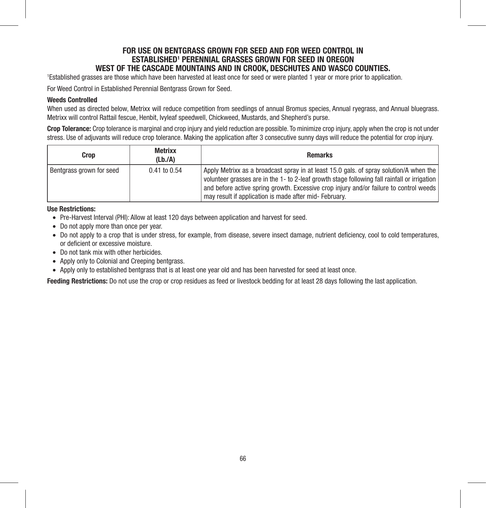### **FOR USE ON BENTGRASS GROWN FOR SEED AND FOR WEED CONTROL IN ESTABLISHED1 PERENNIAL GRASSES GROWN FOR SEED IN OREGON WEST OF THE CASCADE MOUNTAINS AND IN CROOK, DESCHUTES AND WASCO COUNTIES.**

1 Established grasses are those which have been harvested at least once for seed or were planted 1 year or more prior to application.

For Weed Control in Established Perennial Bentgrass Grown for Seed.

### **Weeds Controlled**

When used as directed below, Metrixx will reduce competition from seedlings of annual Bromus species, Annual ryegrass, and Annual bluegrass. Metrixx will control Rattail fescue, Henbit, Ivyleaf speedwell, Chickweed, Mustards, and Shepherd's purse.

**Crop Tolerance:** Crop tolerance is marginal and crop injury and yield reduction are possible. To minimize crop injury, apply when the crop is not under stress. Use of adjuvants will reduce crop tolerance. Making the application after 3 consecutive sunny days will reduce the potential for crop injury.

| <b>Crop</b>              | <b>Metrixx</b><br>(Lb./A) | <b>Remarks</b>                                                                                                                                                                                                                                                                                                                             |
|--------------------------|---------------------------|--------------------------------------------------------------------------------------------------------------------------------------------------------------------------------------------------------------------------------------------------------------------------------------------------------------------------------------------|
| Bentarass arown for seed | $0.41$ to $0.54$          | Apply Metrixx as a broadcast spray in at least 15.0 gals. of spray solution/A when the<br>volunteer grasses are in the 1- to 2-leaf growth stage following fall rainfall or irrigation<br>and before active spring growth. Excessive crop injury and/or failure to control weeds<br>may result if application is made after mid- February. |

### **Use Restrictions:**

- Pre-Harvest Interval (PHI): Allow at least 120 days between application and harvest for seed.
- Do not apply more than once per year.
- Do not apply to a crop that is under stress, for example, from disease, severe insect damage, nutrient deficiency, cool to cold temperatures, or deficient or excessive moisture.
- • Do not tank mix with other herbicides.
- Apply only to Colonial and Creeping bentgrass.
- • Apply only to established bentgrass that is at least one year old and has been harvested for seed at least once.

**Feeding Restrictions:** Do not use the crop or crop residues as feed or livestock bedding for at least 28 days following the last application.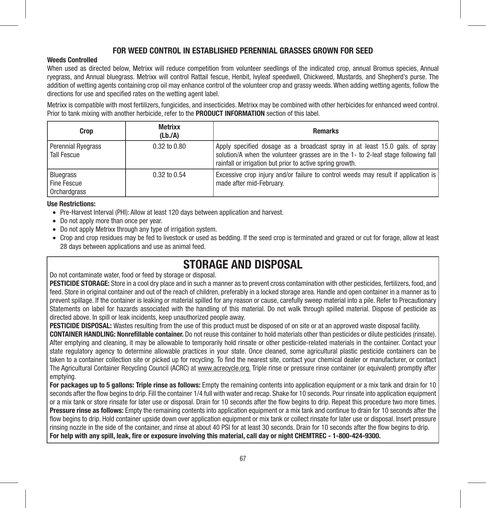### **FOR WEED CONTROL IN ESTABLISHED PERENNIAL GRASSES GROWN FOR SEED**

### **Weeds Controlled**

When used as directed below, Metrixx will reduce competition from volunteer seedlings of the indicated crop, annual Bromus species, Annual ryegrass, and Annual bluegrass. Metrixx will control Rattail fescue, Henbit, Ivyleaf speedwell, Chickweed, Mustards, and Shepherd's purse. The addition of wetting agents containing crop oil may enhance control of the volunteer crop and grassy weeds. When adding wetting agents, follow the directions for use and specified rates on the wetting agent label.

Metrixx is compatible with most fertilizers, fungicides, and insecticides. Metrixx may be combined with other herbicides for enhanced weed control. Prior to tank mixing with another herbicide, refer to the **PRODUCT INFORMATION** section of this label.

| <b>Crop</b>                                     | <b>Metrixx</b><br>(Lb./A) | <b>Remarks</b>                                                                                                                                                                                                                 |
|-------------------------------------------------|---------------------------|--------------------------------------------------------------------------------------------------------------------------------------------------------------------------------------------------------------------------------|
| <b>Perennial Ryegrass</b><br><b>Tall Fescue</b> | $0.32$ to $0.80$          | Apply specified dosage as a broadcast spray in at least 15.0 gals, of spray<br>solution/A when the volunteer grasses are in the 1- to 2-leaf stage following fall<br>rainfall or irrigation but prior to active spring growth. |
| <b>Bluegrass</b><br>Fine Fescue<br>Orchardgrass | $0.32$ to $0.54$          | Excessive crop injury and/or failure to control weeds may result if application is<br>made after mid-February.                                                                                                                 |

### **Use Restrictions:**

- Pre-Harvest Interval (PHI): Allow at least 120 days between application and harvest.
- Do not apply more than once per year.
- Do not apply Metrixx through any type of irrigation system.
- • Crop and crop residues may be fed to livestock or used as bedding. If the seed crop is terminated and grazed or cut for forage, allow at least 28 days between applications and use as animal feed.

# **STORAGE AND DISPOSAL**

Do not contaminate water, food or feed by storage or disposal.

**PESTICIDE STORAGE:** Store in a cool dry place and in such a manner as to prevent cross contamination with other pesticides, fertilizers, food, and feed. Store in original container and out of the reach of children, preferably in a locked storage area. Handle and open container in a manner as to prevent spillage. If the container is leaking or material spilled for any reason or cause, carefully sweep material into a pile. Refer to Precautionary Statements on label for hazards associated with the handling of this material. Do not walk through spilled material. Dispose of pesticide as directed above. In spill or leak incidents, keep unauthorized people away.

**PESTICIDE DISPOSAL:** Wastes resulting from the use of this product must be disposed of on site or at an approved waste disposal facility.

**CONTAINER HANDLING: Nonrefillable container.** Do not reuse this container to hold materials other than pesticides or dilute pesticides (rinsate). After emptying and cleaning, it may be allowable to temporarily hold rinsate or other pesticide-related materials in the container. Contact your state regulatory agency to determine allowable practices in your state. Once cleaned, some agricultural plastic pesticide containers can be taken to a container collection site or picked up for recycling. To find the nearest site, contact your chemical dealer or manufacturer, or contact The Agricultural Container Recycling Council (ACRC) at www.acrecycle.org. Triple rinse or pressure rinse container (or equivalent) promptly after emptying.

**For packages up to 5 gallons: Triple rinse as follows:** Empty the remaining contents into application equipment or a mix tank and drain for 10 seconds after the flow begins to drip. Fill the container 1/4 full with water and recap. Shake for 10 seconds. Pour rinsate into application equipment or a mix tank or store rinsate for later use or disposal. Drain for 10 seconds after the flow begins to drip. Repeat this procedure two more times. **Pressure rinse as follows:** Empty the remaining contents into application equipment or a mix tank and continue to drain for 10 seconds after the flow begins to drip. Hold container upside down over application equipment or mix tank or collect rinsate for later use or disposal. Insert pressure rinsing nozzle in the side of the container, and rinse at about 40 PSI for at least 30 seconds. Drain for 10 seconds after the flow begins to drip. **For help with any spill, leak, fire or exposure involving this material, call day or night CHEMTREC - 1-800-424-9300.**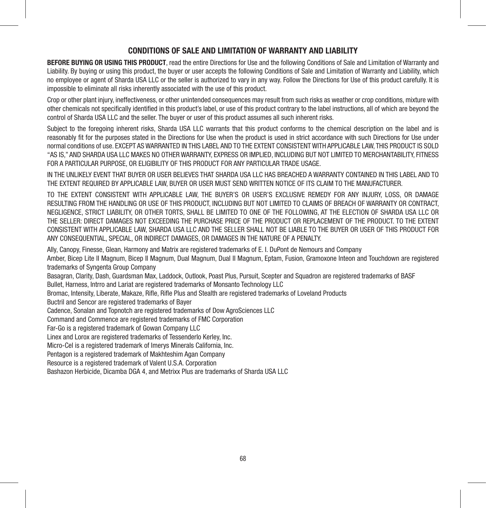### **CONDITIONS OF SALE AND LIMITATION OF WARRANTY AND LIABILITY**

**BEFORE BUYING OR USING THIS PRODUCT**, read the entire Directions for Use and the following Conditions of Sale and Limitation of Warranty and Liability. By buying or using this product, the buyer or user accepts the following Conditions of Sale and Limitation of Warranty and Liability, which no employee or agent of Sharda USA LLC or the seller is authorized to vary in any way. Follow the Directions for Use of this product carefully. It is impossible to eliminate all risks inherently associated with the use of this product.

Crop or other plant injury, ineffectiveness, or other unintended consequences may result from such risks as weather or crop conditions, mixture with other chemicals not specifically identified in this product's label, or use of this product contrary to the label instructions, all of which are beyond the control of Sharda USA LLC and the seller. The buyer or user of this product assumes all such inherent risks.

Subject to the foregoing inherent risks, Sharda USA LLC warrants that this product conforms to the chemical description on the label and is reasonably fit for the purposes stated in the Directions for Use when the product is used in strict accordance with such Directions for Use under normal conditions of use. EXCEPT AS WARRANTED IN THIS LABEL AND TO THE EXTENT CONSISTENT WITH APPLICABLE LAW, THIS PRODUCT IS SOLD "AS IS," AND SHARDA USA LLC MAKES NO OTHER WARRANTY, EXPRESS OR IMPLIED, INCLUDING BUT NOT LIMITED TO MERCHANTABILITY, FITNESS FOR A PARTICULAR PURPOSE, OR ELIGIBILITY OF THIS PRODUCT FOR ANY PARTICULAR TRADE USAGE.

IN THE UNLIKELY EVENT THAT BUYER OR USER BELIEVES THAT SHARDA USA LLC HAS BREACHED A WARRANTY CONTAINED IN THIS LABEL AND TO THE EXTENT REQUIRED BY APPLICABLE LAW, BUYER OR USER MUST SEND WRITTEN NOTICE OF ITS CLAIM TO THE MANUFACTURER.

TO THE EXTENT CONSISTENT WITH APPLICABLE LAW, THE BUYER'S OR USER'S EXCLUSIVE REMEDY FOR ANY INJURY, LOSS, OR DAMAGE RESULTING FROM THE HANDLING OR USE OF THIS PRODUCT, INCLUDING BUT NOT LIMITED TO CLAIMS OF BREACH OF WARRANTY OR CONTRACT, NEGLIGENCE, STRICT LIABILITY, OR OTHER TORTS, SHALL BE LIMITED TO ONE OF THE FOLLOWING, AT THE ELECTION OF SHARDA USA LLC OR THE SELLER: DIRECT DAMAGES NOT EXCEEDING THE PURCHASE PRICE OF THE PRODUCT OR REPLACEMENT OF THE PRODUCT. TO THE EXTENT CONSISTENT WITH APPLICABLE LAW, SHARDA USA LLC AND THE SELLER SHALL NOT BE LIABLE TO THE BUYER OR USER OF THIS PRODUCT FOR ANY CONSEQUENTIAL, SPECIAL, OR INDIRECT DAMAGES, OR DAMAGES IN THE NATURE OF A PENALTY.

Ally, Canopy, Finesse, Glean, Harmony and Matrix are registered trademarks of E. I. DuPont de Nemours and Company Amber, Bicep Lite II Magnum, Bicep II Magnum, Dual Magnum, Dual II Magnum, Eptam, Fusion, Gramoxone Inteon and Touchdown are registered trademarks of Syngenta Group Company

Basagran, Clarity, Dash, Guardsman Max, Laddock, Outlook, Poast Plus, Pursuit, Scepter and Squadron are registered trademarks of BASF

Bullet, Harness, Intrro and Lariat are registered trademarks of Monsanto Technology LLC

Bromac, Intensity, Liberate, Makaze, Rifle, Rifle Plus and Stealth are registered trademarks of Loveland Products

Buctril and Sencor are registered trademarks of Bayer

Cadence, Sonalan and Topnotch are registered trademarks of Dow AgroSciences LLC

Command and Commence are registered trademarks of FMC Corporation

Far-Go is a registered trademark of Gowan Company LLC

Linex and Lorox are registered trademarks of Tessenderlo Kerley, Inc.

Micro-Cel is a registered trademark of Imerys Minerals California, Inc.

Pentagon is a registered trademark of Makhteshim Agan Company

Resource is a registered trademark of Valent U.S.A. Corporation

Bashazon Herbicide, Dicamba DGA 4, and Metrixx Plus are trademarks of Sharda USA LLC